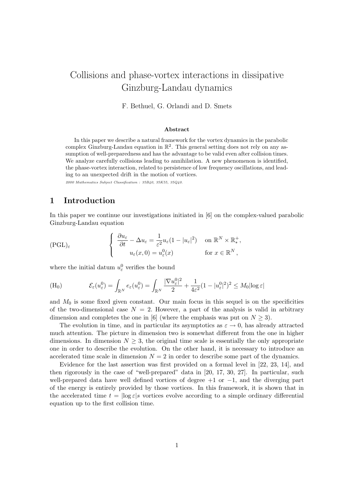# Collisions and phase-vortex interactions in dissipative Ginzburg-Landau dynamics

F. Bethuel, G. Orlandi and D. Smets

#### Abstract

In this paper we describe a natural framework for the vortex dynamics in the parabolic complex Ginzburg-Landau equation in  $\mathbb{R}^2$ . This general setting does not rely on any assumption of well-preparedness and has the advantage to be valid even after collision times. We analyze carefully collisions leading to annihilation. A new phenomenon is identified, the phase-vortex interaction, related to persistence of low frequency oscillations, and leading to an unexpected drift in the motion of vortices.

2000 Mathematics Subject Classification : 35B40, 35K55, 35Q40.

# 1 Introduction

In this paper we continue our investigations initiated in [6] on the complex-valued parabolic Ginzburg-Landau equation

$$
(\text{PGL})_{\varepsilon} \qquad \qquad \left\{ \begin{array}{ll} \frac{\partial u_{\varepsilon}}{\partial t} - \Delta u_{\varepsilon} = \frac{1}{\varepsilon^2} u_{\varepsilon} (1 - |u_{\varepsilon}|^2) & \text{on } \mathbb{R}^N \times \mathbb{R}^+_{*}, \\ u_{\varepsilon}(x, 0) = u_{\varepsilon}^0(x) & \text{for } x \in \mathbb{R}^N, \end{array} \right.
$$

where the initial datum  $u_{\varepsilon}^0$  verifies the bound

(H<sub>0</sub>) 
$$
\mathcal{E}_{\varepsilon}(u_{\varepsilon}^{0}) = \int_{\mathbb{R}^{N}} e_{\varepsilon}(u_{\varepsilon}^{0}) = \int_{\mathbb{R}^{N}} \frac{|\nabla u_{\varepsilon}^{0}|^{2}}{2} + \frac{1}{4\varepsilon^{2}} (1 - |u_{\varepsilon}^{0}|^{2})^{2} \leq M_{0} |\log \varepsilon|
$$

and  $M_0$  is some fixed given constant. Our main focus in this sequel is on the specificities of the two-dimensional case  $N = 2$ . However, a part of the analysis is valid in arbitrary dimension and completes the one in [6] (where the emphasis was put on  $N \geq 3$ ).

The evolution in time, and in particular its asymptotics as  $\varepsilon \to 0$ , has already attracted much attention. The picture in dimension two is somewhat different from the one in higher dimensions. In dimension  $N \geq 3$ , the original time scale is essentially the only appropriate one in order to describe the evolution. On the other hand, it is necessary to introduce an accelerated time scale in dimension  $N = 2$  in order to describe some part of the dynamics.

Evidence for the last assertion was first provided on a formal level in [22, 23, 14], and then rigorously in the case of "well-prepared" data in [20, 17, 30, 27]. In particular, such well-prepared data have well defined vortices of degree  $+1$  or  $-1$ , and the diverging part of the energy is entirely provided by those vortices. In this framework, it is shown that in the accelerated time  $t = \log \varepsilon |s|$  vortices evolve according to a simple ordinary differential equation up to the first collision time.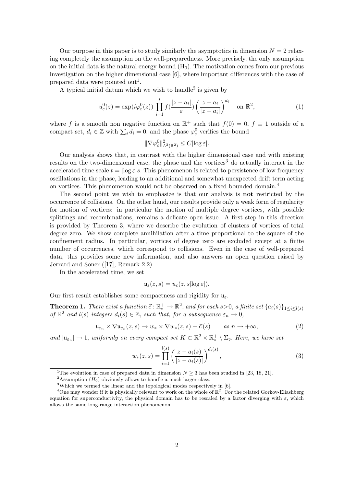Our purpose in this paper is to study similarly the asymptotics in dimension  $N = 2$  relaxing completely the assumption on the well-preparedness. More precisely, the only assumption on the initial data is the natural energy bound  $(H_0)$ . The motivation comes from our previous investigation on the higher dimensional case [6], where important differences with the case of prepared data were pointed out<sup>1</sup>.

A typical initial datum which we wish to handle<sup>2</sup> is given by

$$
u_{\varepsilon}^{0}(z) = \exp(i\varphi_{\varepsilon}^{0}(z)) \prod_{i=1}^{l} f(\frac{|z-a_{i}|}{\varepsilon}) \left(\frac{z-a_{i}}{|z-a_{i}|}\right)^{d_{i}} \quad \text{on } \mathbb{R}^{2}, \tag{1}
$$

where f is a smooth non negative function on  $\mathbb{R}^+$  such that  $f(0) = 0$ ,  $f \equiv 1$  outside of a compact set,  $d_i \in \mathbb{Z}$  with  $\sum_i d_i = 0$ , and the phase  $\varphi_{\varepsilon}^0$  verifies the bound

$$
\|\nabla\varphi_{\varepsilon}^0\|_{L^2(\mathbb{R}^2)}^2 \leq C|\log\varepsilon|.
$$

Our analysis shows that, in contrast with the higher dimensional case and with existing results on the two-dimensional case, the phase and the vortices<sup>3</sup> do actually interact in the accelerated time scale  $t = \log \varepsilon |s|$ . This phenomenon is related to persistence of low frequency oscillations in the phase, leading to an additional and somewhat unexpected drift term acting on vortices. This phenomenon would not be observed on a fixed bounded domain.<sup>4</sup>

The second point we wish to emphasize is that our analysis is not restricted by the occurrence of collisions. On the other hand, our results provide only a weak form of regularity for motion of vortices: in particular the motion of multiple degree vortices, with possible splittings and recombinations, remains a delicate open issue. A first step in this direction is provided by Theorem 3, where we describe the evolution of clusters of vortices of total degree zero. We show complete annihilation after a time proportional to the square of the confinement radius. In particular, vortices of degree zero are excluded except at a finite number of occurrences, which correspond to collisions. Even in the case of well-prepared data, this provides some new information, and also answers an open question raised by Jerrard and Soner ([17], Remark 2.2).

In the accelerated time, we set

$$
\mathfrak{u}_{\varepsilon}(z,s)=u_{\varepsilon}(z,s|\log \varepsilon|).
$$

Our first result establishes some compactness and rigidity for  $\mathfrak{u}_{\varepsilon}$ .

**Theorem 1.** There exist a function  $\vec{c} : \mathbb{R}^+_* \to \mathbb{R}^2$ , and for each  $s > 0$ , a finite set  $\{a_i(s)\}_{1 \leq i \leq l(s)}$ of  $\mathbb{R}^2$  and  $l(s)$  integers  $d_i(s) \in \mathbb{Z}$ , such that, for a subsequence  $\varepsilon_n \to 0$ ,

$$
\mathfrak{u}_{\varepsilon_n} \times \nabla \mathfrak{u}_{\varepsilon_n}(z,s) \to w_* \times \nabla w_*(z,s) + \vec{c}(s) \qquad \text{as } n \to +\infty,
$$
 (2)

and  $|\mathfrak{u}_{\varepsilon_n}| \to 1$ , uniformly on every compact set  $K \subset \mathbb{R}^2 \times \mathbb{R}_*^+$  $\frac{+}{*}\setminus \Sigma_{\mathfrak{v}}$ . Here, we have set

$$
w_*(z,s) = \prod_{i=1}^{l(s)} \left(\frac{z - a_i(s)}{|z - a_i(s)|}\right)^{d_i(s)},\tag{3}
$$

<sup>&</sup>lt;sup>1</sup>The evolution in case of prepared data in dimension  $N \geq 3$  has been studied in [23, 18, 21].

<sup>&</sup>lt;sup>2</sup>Assumption  $(H_0)$  obviously allows to handle a much larger class.

<sup>&</sup>lt;sup>3</sup>Which we termed the linear and the topological modes respectively in [6].

<sup>&</sup>lt;sup>4</sup>One may wonder if it is physically relevant to work on the whole of  $\mathbb{R}^2$ . For the related Gorkov-Eliashberg equation for superconductivity, the physical domain has to be rescaled by a factor diverging with  $\varepsilon$ , which allows the same long-range interaction phenomenon.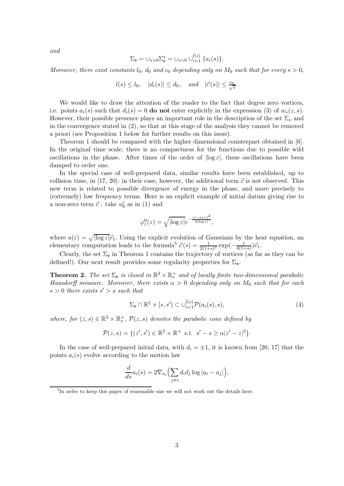and

$$
\Sigma_{\mathfrak{v}} = \cup_{s>0} \Sigma_{\mathfrak{v}}^s = \cup_{s>0} \cup_{i=1}^{l(s)} \{ a_i(s) \}.
$$

Moreover, there exist constants  $l_0$ ,  $d_0$  and  $c_0$  depending only on  $M_0$  such that for every  $s > 0$ ,

$$
l(s) \le l_0, \quad |d_i(s)| \le d_0, \quad and \quad |\vec{c}(s)| \le \frac{c_0}{\sqrt{s}}.
$$

We would like to draw the attention of the reader to the fact that degree zero vortices, i.e. points  $a_i(s)$  such that  $d_i(s) = 0$  do not enter explicitly in the expression (3) of  $w_*(z,s)$ . However, their possible presence plays an important role in the description of the set  $\Sigma_{\nu}$  and in the convergence stated in (2), so that at this stage of the analysis they cannot be removed a priori (see Proposition 1 below for further results on this issue).

Theorem 1 should be compared with the higher dimensional counterpart obtained in [6]. In the original time scale, there is no compactness for the functions due to possible wild oscillations in the phase. After times of the order of  $|\log \varepsilon|$ , these oscillations have been damped to order one.

In the special case of well-prepared data, similar results have been established, up to collision time, in [17, 20]: in their case, however, the additional term  $\vec{c}$  is not observed. This new term is related to possible divergence of energy in the phase, and more precisely to (extremely) low frequency terms. Here is an explicit example of initial datum giving rise to a non-zero term  $\vec{c}$ : take  $u_0^{\varepsilon}$  as in (1) and

$$
\varphi_{\varepsilon}^{0}(z)=\sqrt{|\text{log}\,\varepsilon|}e^{-\frac{|z-a(\varepsilon)|^{2}}{4|\text{log}\,\varepsilon|}},
$$

where  $a(\varepsilon) = \sqrt{\log \varepsilon} \cdot \vec{e}_1$ . Using the explicit evolution of Gaussians by the heat equation, an elementary computation leads to the formula<sup>5</sup>  $\vec{c}(s) = \frac{1}{2(1+s)^2} \exp(-\frac{1}{4(1+s)}) \vec{e}_1$ .

Clearly, the set  $\Sigma_{\mathfrak{v}}$  in Theorem 1 contains the trajectory of vortices (as far as they can be defined!). Our next result provides some regularity properties for  $\Sigma_{\mathfrak{v}}$ .

**Theorem 2.** The set  $\Sigma_{\mathfrak{v}}$  is closed in  $\mathbb{R}^2 \times \mathbb{R}^+$  and of locally finite two-dimensional parabolic Hausdorff measure. Moreover, there exists  $\alpha > 0$  depending only on  $M_0$  such that for each  $s > 0$  there exists  $s' > s$  such that

$$
\Sigma_{\mathfrak{v}} \cap \mathbb{R}^2 \times [s, s') \subset \cup_{i=1}^{l(s)} \mathcal{P}(a_i(s), s), \tag{4}
$$

where, for  $(z, s) \in \mathbb{R}^2 \times \mathbb{R}^+_*$  $^+$ ,  $\mathcal{P}(z,s)$  denotes the parabolic cone defined by

$$
\mathcal{P}(z,s) = \{ (z',s') \in \mathbb{R}^2 \times \mathbb{R}^+ \, s.t. \, s' - s \ge \alpha |z' - z|^2 \}.
$$

In the case of well-prepared initial data, with  $d_i = \pm 1$ , it is known from [20, 17] that the points  $a_i(s)$  evolve according to the motion law

$$
\frac{d}{ds}a_i(s) = 2\nabla_{a_i}\Big(\sum_{j\neq i} d_i d_j \log |a_i - a_j|\Big),\,
$$

<sup>&</sup>lt;sup>5</sup>In order to keep this paper of reasonable size we will not work out the details here.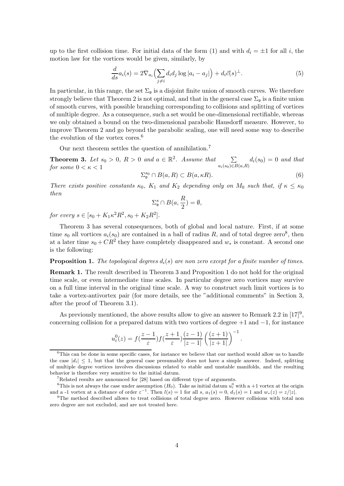up to the first collision time. For initial data of the form (1) and with  $d_i = \pm 1$  for all i, the motion law for the vortices would be given, similarly, by

$$
\frac{d}{ds}a_i(s) = 2\nabla_{a_i}\left(\sum_{j\neq i} d_i d_j \log|a_i - a_j|\right) + d_i \vec{c}(s)^{\perp}.
$$
\n(5)

In particular, in this range, the set  $\Sigma_{\mathfrak{v}}$  is a disjoint finite union of smooth curves. We therefore strongly believe that Theorem 2 is not optimal, and that in the general case  $\Sigma_{\mathfrak{p}}$  is a finite union of smooth curves, with possible branching corresponding to collisions and splitting of vortices of multiple degree. As a consequence, such a set would be one-dimensional rectifiable, whereas we only obtained a bound on the two-dimensional parabolic Hausdorff measure. However, to improve Theorem 2 and go beyond the parabolic scaling, one will need some way to describe the evolution of the vortex cores.<sup>6</sup>

Our next theorem settles the question of annihilation.<sup>7</sup>

**Theorem 3.** Let  $s_0 > 0$ ,  $R > 0$  and  $a \in \mathbb{R}^2$ . Assume that  $a_i(s_0) \in B(a,R)$  $d_i(s_0) = 0$  and that for some  $0 < \kappa < 1$ 

$$
\Sigma_{\mathfrak{v}}^{s_0} \cap B(a, R) \subset B(a, \kappa R). \tag{6}
$$

.

There exists positive constants  $\kappa_0$ ,  $K_1$  and  $K_2$  depending only on  $M_0$  such that, if  $\kappa \leq \kappa_0$ then

$$
\Sigma_{\mathfrak{v}}^{s} \cap B(a, \frac{R}{2}) = \emptyset,
$$

for every  $s \in [s_0 + K_1 \kappa^2 R^2, s_0 + K_2 R^2]$ .

Theorem 3 has several consequences, both of global and local nature. First, if at some time  $s_0$  all vortices  $a_i(s_0)$  are contained in a ball of radius R, and of total degree zero<sup>8</sup>, then at a later time  $s_0 + CR^2$  they have completely disappeared and  $w_*$  is constant. A second one is the following:

#### **Proposition 1.** The topological degrees  $d_i(s)$  are non zero except for a finite number of times.

Remark 1. The result described in Theorem 3 and Proposition 1 do not hold for the original time scale, or even intermediate time scales. In particular degree zero vortices may survive on a full time interval in the original time scale. A way to construct such limit vortices is to take a vortex-antivortex pair (for more details, see the "additional comments" in Section 3, after the proof of Theorem 3.1).

As previously mentioned, the above results allow to give an answer to Remark 2.2 in  $[17]^9$ , concerning collision for a prepared datum with two vortices of degree  $+1$  and  $-1$ , for instance

$$
u_{\varepsilon}^{0}(z) = f(\frac{z-1}{\varepsilon}) f(\frac{z+1}{\varepsilon}) \frac{(z-1)}{|z-1|} \left(\frac{(z+1)}{|z+1|}\right)^{-1}
$$

 $6$ This can be done in some specific cases, for instance we believe that our method would allow us to handle the case  $|d_i| \leq 1$ , but that the general case presumably does not have a simple answer. Indeed, splitting of multiple degree vortices involves discussions related to stable and unstable manifolds, and the resulting behavior is therefore very sensitive to the initial datum.

 $7R$ elated results are announced for [28] based on different type of arguments.

<sup>&</sup>lt;sup>8</sup>This is not always the case under assumption  $(H_0)$ . Take as initial datum  $u_\varepsilon^0$  with a +1 vortex at the origin and a -1 vortex at a distance of order  $\varepsilon^{-1}$ . Then  $l(s) = 1$  for all s,  $a_1(s) = 0$ ,  $d_1(s) = 1$  and  $w_*(z) = z/|z|$ .

<sup>&</sup>lt;sup>9</sup>The method described allows to treat collisions of total degree zero. However collisions with total non zero degree are not excluded, and are not treated here.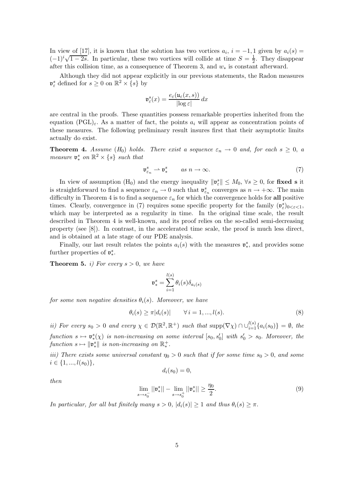In view of [17], it is known that the solution has two vortices  $a_i$ ,  $i = -1, 1$  given by  $a_i(s) =$  $(-1)^i \sqrt{1-2s}$ . In particular, these two vortices will collide at time  $S=\frac{1}{2}$  $\frac{1}{2}$ . They disappear after this collision time, as a consequence of Theorem 3, and  $w_*$  is constant afterward.

Although they did not appear explicitly in our previous statements, the Radon measures  $\mathfrak{v}_{\varepsilon}^s$  defined for  $s \geq 0$  on  $\mathbb{R}^2 \times \{s\}$  by

$$
\mathfrak{v}_{\varepsilon}^{s}(x) = \frac{e_{\varepsilon}(\mathfrak{u}_{\varepsilon}(x,s))}{|\log \varepsilon|} dx
$$

are central in the proofs. These quantities possess remarkable properties inherited from the equation  $(PGL)_{\varepsilon}$ . As a matter of fact, the points  $a_i$  will appear as concentration points of these measures. The following preliminary result insures first that their asymptotic limits actually do exist.

**Theorem 4.** Assume  $(H_0)$  holds. There exist a sequence  $\varepsilon_n \to 0$  and, for each  $s \geq 0$ , a measure  $\mathfrak{v}^s_*$  on  $\mathbb{R}^2 \times \{s\}$  such that

$$
\mathfrak{v}_{\varepsilon_n}^s \rightharpoonup \mathfrak{v}_*^s \qquad \text{as } n \to \infty. \tag{7}
$$

In view of assumption (H<sub>0</sub>) and the energy inequality  $\|\mathfrak{v}_{\varepsilon}^s\| \leq M_0$ ,  $\forall s \geq 0$ , for fixed s it is straightforward to find a sequence  $\varepsilon_n \to 0$  such that  $\mathfrak{v}_{\varepsilon_n}^s$  converges as  $n \to +\infty$ . The main difficulty in Theorem 4 is to find a sequence  $\varepsilon_n$  for which the convergence holds for all positive times. Clearly, convergence in (7) requires some specific property for the family  $(\mathfrak{v}_{\varepsilon}^s)_{0<\varepsilon<1}$ , which may be interpreted as a regularity in time. In the original time scale, the result described in Theorem 4 is well-known, and its proof relies on the so-called semi-decreasing property (see [8]). In contrast, in the accelerated time scale, the proof is much less direct, and is obtained at a late stage of our PDE analysis.

Finally, our last result relates the points  $a_i(s)$  with the measures  $\mathfrak{v}_*^s$ ∗ , and provides some further properties of  $\mathfrak{v}^s_*$ ∗ .

**Theorem 5.** i) For every  $s > 0$ , we have

$$
\mathfrak{v}^s_* = \sum_{i=1}^{l(s)} \theta_i(s) \delta_{a_i(s)}
$$

for some non negative densities  $\theta_i(s)$ . Moreover, we have

$$
\theta_i(s) \ge \pi |d_i(s)| \qquad \forall \, i = 1, \dots, l(s). \tag{8}
$$

ii) For every  $s_0 > 0$  and every  $\chi \in \mathcal{D}(\mathbb{R}^2, \mathbb{R}^+)$  such that  $\text{supp}(\nabla \chi) \cap \bigcup_{i=1}^{l(s)} \{a_i(s_0)\} = \emptyset$ , the function  $s \mapsto \mathfrak{v}^s_*$  $\binom{s}{x}$  is non-increasing on some interval  $[s_0, s'_0]$  with  $s'_0 > s_0$ . Moreover, the  $function s \mapsto ||\mathfrak{v}_*^s||$  is non-increasing on  $\mathbb{R}^+_*$ ∗ .

iii) There exists some universal constant  $\eta_0 > 0$  such that if for some time  $s_0 > 0$ , and some  $i \in \{1, ..., l(s_0)\},\$ 

$$
d_i(s_0)=0,
$$

then

$$
\lim_{s \to s_0^-} ||\mathfrak{v}_*^s|| - \lim_{s \to s_0^+} ||\mathfrak{v}_*^s|| \ge \frac{\eta_0}{2}.
$$
 (9)

In particular, for all but finitely many  $s > 0$ ,  $|d_i(s)| \geq 1$  and thus  $\theta_i(s) \geq \pi$ .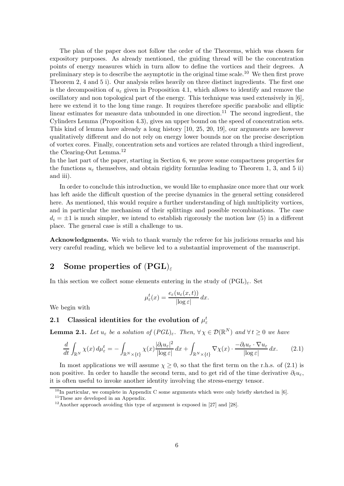The plan of the paper does not follow the order of the Theorems, which was chosen for expository purposes. As already mentioned, the guiding thread will be the concentration points of energy measures which in turn allow to define the vortices and their degrees. A preliminary step is to describe the asymptotic in the original time scale.<sup>10</sup> We then first prove Theorem 2, 4 and 5 i). Our analysis relies heavily on three distinct ingredients. The first one is the decomposition of  $u_{\varepsilon}$  given in Proposition 4.1, which allows to identify and remove the oscillatory and non topological part of the energy. This technique was used extensively in [6], here we extend it to the long time range. It requires therefore specific parabolic and elliptic linear estimates for measure data unbounded in one direction.<sup>11</sup> The second ingredient, the Cylinders Lemma (Proposition 4.3), gives an upper bound on the speed of concentration sets. This kind of lemma have already a long history [10, 25, 20, 19], our arguments are however qualitatively different and do not rely on energy lower bounds nor on the precise description of vortex cores. Finally, concentration sets and vortices are related through a third ingredient, the Clearing-Out Lemma.<sup>12</sup>

In the last part of the paper, starting in Section 6, we prove some compactness properties for the functions  $u_{\varepsilon}$  themselves, and obtain rigidity formulas leading to Theorem 1, 3, and 5 ii) and iii).

In order to conclude this introduction, we would like to emphasize once more that our work has left aside the difficult question of the precise dynamics in the general setting considered here. As mentioned, this would require a further understanding of high multiplicity vortices, and in particular the mechanism of their splittings and possible recombinations. The case  $d_i = \pm 1$  is much simpler, we intend to establish rigorously the motion law (5) in a different place. The general case is still a challenge to us.

Acknowledgments. We wish to thank warmly the referee for his judicious remarks and his very careful reading, which we believe led to a substantial improvement of the manuscript.

# 2 Some properties of  $(PGL)_\varepsilon$

In this section we collect some elements entering in the study of  $(PGL)_{\varepsilon}$ . Set

$$
\mu_{\varepsilon}^{t}(x) = \frac{e_{\varepsilon}(u_{\varepsilon}(x,t))}{|\log \varepsilon|} dx.
$$

We begin with

# 2.1 Classical identities for the evolution of  $\mu_{\varepsilon}^{t}$

**Lemma 2.1.** Let  $u_{\varepsilon}$  be a solution of  $(PGL)_{\varepsilon}$ . Then,  $\forall \chi \in \mathcal{D}(\mathbb{R}^N)$  and  $\forall t \geq 0$  we have

$$
\frac{d}{dt} \int_{\mathbb{R}^N} \chi(x) \, d\mu_{\varepsilon}^t = -\int_{\mathbb{R}^N \times \{t\}} \chi(x) \frac{|\partial_t u_{\varepsilon}|^2}{|\log \varepsilon|} \, dx + \int_{\mathbb{R}^N \times \{t\}} \nabla \chi(x) \cdot \frac{-\partial_t u_{\varepsilon} \cdot \nabla u_{\varepsilon}}{|\log \varepsilon|} \, dx. \tag{2.1}
$$

In most applications we will assume  $\chi \geq 0$ , so that the first term on the r.h.s. of (2.1) is non positive. In order to handle the second term, and to get rid of the time derivative  $\partial_t u_{\varepsilon}$ , it is often useful to invoke another identity involving the stress-energy tensor.

 $10$ In particular, we complete in Appendix C some arguments which were only briefly sketched in [6].

<sup>&</sup>lt;sup>11</sup>These are developed in an Appendix.

 $12$ Another approach avoiding this type of argument is exposed in [27] and [28].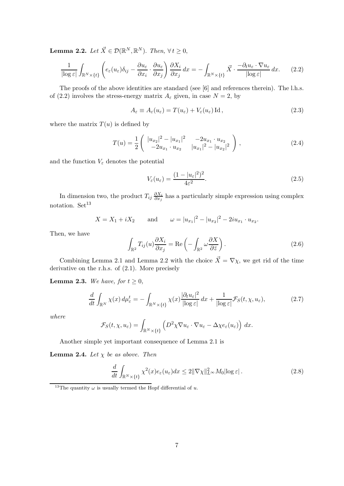**Lemma 2.2.** Let  $\vec{X} \in \mathcal{D}(\mathbb{R}^N, \mathbb{R}^N)$ . Then,  $\forall t \geq 0$ ,

$$
\frac{1}{|\log \varepsilon|} \int_{\mathbb{R}^N \times \{t\}} \left( e_{\varepsilon}(u_{\varepsilon}) \delta_{ij} - \frac{\partial u_{\varepsilon}}{\partial x_i} \cdot \frac{\partial u_{\varepsilon}}{\partial x_j} \right) \frac{\partial X_i}{\partial x_j} dx = - \int_{\mathbb{R}^N \times \{t\}} \vec{X} \cdot \frac{-\partial_t u_{\varepsilon} \cdot \nabla u_{\varepsilon}}{|\log \varepsilon|} dx. \tag{2.2}
$$

The proofs of the above identities are standard (see [6] and references therein). The l.h.s. of (2.2) involves the stress-energy matrix  $A_{\varepsilon}$  given, in case  $N=2$ , by

$$
A_{\varepsilon} \equiv A_{\varepsilon}(u_{\varepsilon}) = T(u_{\varepsilon}) + V_{\varepsilon}(u_{\varepsilon}) \operatorname{Id}, \qquad (2.3)
$$

where the matrix  $T(u)$  is defined by

$$
T(u) = \frac{1}{2} \begin{pmatrix} |u_{x_2}|^2 - |u_{x_1}|^2 & -2u_{x_1} \cdot u_{x_2} \\ -2u_{x_1} \cdot u_{x_2} & |u_{x_1}|^2 - |u_{x_2}|^2 \end{pmatrix},
$$
\n(2.4)

and the function  $V_{\varepsilon}$  denotes the potential

$$
V_{\varepsilon}(u_{\varepsilon}) = \frac{(1 - |u_{\varepsilon}|^2)^2}{4\varepsilon^2}.
$$
\n(2.5)

In dimension two, the product  $T_{ij} \frac{\partial X_i}{\partial x_i}$  $\frac{\partial X_i}{\partial x_j}$  has a particularly simple expression using complex notation. Set<sup>13</sup>

$$
X = X_1 + iX_2
$$
 and  $\omega = |u_{x_1}|^2 - |u_{x_2}|^2 - 2iu_{x_1} \cdot u_{x_2}$ .

Then, we have

$$
\int_{\mathbb{R}^2} T_{ij}(u) \frac{\partial X_i}{\partial x_j} = \text{Re}\left(-\int_{\mathbb{R}^2} \omega \frac{\partial X}{\partial \bar{z}}\right).
$$
\n(2.6)

Combining Lemma 2.1 and Lemma 2.2 with the choice  $\vec{X} = \nabla \chi$ , we get rid of the time derivative on the r.h.s. of (2.1). More precisely

**Lemma 2.3.** We have, for  $t \geq 0$ ,

$$
\frac{d}{dt} \int_{\mathbb{R}^N} \chi(x) \, d\mu_{\varepsilon}^t = - \int_{\mathbb{R}^N \times \{t\}} \chi(x) \frac{|\partial_t u_{\varepsilon}|^2}{|\log \varepsilon|} \, dx + \frac{1}{|\log \varepsilon|} \mathcal{F}_S(t, \chi, u_{\varepsilon}),\tag{2.7}
$$

where

$$
\mathcal{F}_S(t,\chi,u_\varepsilon)=\int_{\mathbb{R}^N\times\{t\}}\left(D^2\chi\nabla u_\varepsilon\cdot\nabla u_\varepsilon-\Delta\chi e_\varepsilon(u_\varepsilon)\right)\,dx.
$$

Another simple yet important consequence of Lemma 2.1 is

**Lemma 2.4.** Let  $\chi$  be as above. Then

$$
\frac{d}{dt} \int_{\mathbb{R}^N \times \{t\}} \chi^2(x) e_{\varepsilon}(u_{\varepsilon}) dx \le 2 \| \nabla \chi \|_{L^{\infty}}^2 M_0 |\log \varepsilon| \,. \tag{2.8}
$$

<sup>&</sup>lt;sup>13</sup>The quantity  $\omega$  is usually termed the Hopf differential of u.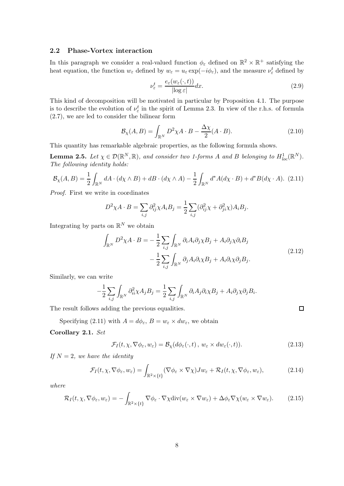### 2.2 Phase-Vortex interaction

In this paragraph we consider a real-valued function  $\phi_{\varepsilon}$  defined on  $\mathbb{R}^2 \times \mathbb{R}^+$  satisfying the heat equation, the function  $w_{\varepsilon}$  defined by  $w_{\varepsilon} = u_{\varepsilon} \exp(-i\phi_{\varepsilon})$ , and the measure  $\nu_{\varepsilon}^{t}$  defined by

$$
\nu_{\varepsilon}^{t} = \frac{e_{\varepsilon}(w_{\varepsilon}(\cdot, t))}{|\log \varepsilon|} dx.
$$
\n(2.9)

This kind of decomposition will be motivated in particular by Proposition 4.1. The purpose is to describe the evolution of  $\nu_{\varepsilon}^{t}$  in the spirit of Lemma 2.3. In view of the r.h.s. of formula (2.7), we are led to consider the bilinear form

$$
\mathcal{B}_{\chi}(A,B) = \int_{\mathbb{R}^N} D^2 \chi A \cdot B - \frac{\Delta \chi}{2} (A \cdot B). \tag{2.10}
$$

This quantity has remarkable algebraic properties, as the following formula shows.

**Lemma 2.5.** Let  $\chi \in \mathcal{D}(\mathbb{R}^N, \mathbb{R})$ , and consider two 1-forms A and B belonging to  $H^1_{loc}(\mathbb{R}^N)$ . The following identity holds:

$$
\mathcal{B}_{\chi}(A,B) = \frac{1}{2} \int_{\mathbb{R}^N} dA \cdot (d\chi \wedge B) + dB \cdot (d\chi \wedge A) - \frac{1}{2} \int_{\mathbb{R}^N} d^*A (d\chi \cdot B) + d^*B (d\chi \cdot A). \tag{2.11}
$$

Proof. First we write in coordinates

$$
D^2 \chi A \cdot B = \sum_{i,j} \partial_{ij}^2 \chi A_i B_j = \frac{1}{2} \sum_{i,j} (\partial_{ij}^2 \chi + \partial_{ji}^2 \chi) A_i B_j.
$$

Integrating by parts on  $\mathbb{R}^N$  we obtain

$$
\int_{\mathbb{R}^N} D^2 \chi A \cdot B = -\frac{1}{2} \sum_{i,j} \int_{\mathbb{R}^N} \partial_i A_i \partial_j \chi B_j + A_i \partial_j \chi \partial_i B_j
$$
\n
$$
- \frac{1}{2} \sum_{i,j} \int_{\mathbb{R}^N} \partial_j A_i \partial_i \chi B_j + A_i \partial_i \chi \partial_j B_j.
$$
\n(2.12)

Similarly, we can write

$$
-\frac{1}{2}\sum_{i,j}\int_{\mathbb{R}^N}\partial_{ii}^2\chi A_jB_j=\frac{1}{2}\sum_{i,j}\int_{\mathbb{R}^N}\partial_iA_j\partial_i\chi B_j+A_i\partial_j\chi\partial_jB_i.
$$

The result follows adding the previous equalities.

Specifying (2.11) with  $A = d\phi_{\varepsilon}, B = w_{\varepsilon} \times dw_{\varepsilon}$ , we obtain

### Corollary 2.1. Set

$$
\mathcal{F}_I(t,\chi,\nabla\phi_{\varepsilon},w_{\varepsilon})=\mathcal{B}_{\chi}(d\phi_{\varepsilon}(\cdot,t),\,w_{\varepsilon}\times dw_{\varepsilon}(\cdot,t)).\tag{2.13}
$$

 $\Box$ 

If  $N = 2$ , we have the identity

$$
\mathcal{F}_I(t, \chi, \nabla \phi_{\varepsilon}, w_{\varepsilon}) = \int_{\mathbb{R}^2 \times \{t\}} (\nabla \phi_{\varepsilon} \times \nabla \chi) J w_{\varepsilon} + \mathcal{R}_I(t, \chi, \nabla \phi_{\varepsilon}, w_{\varepsilon}), \tag{2.14}
$$

where

$$
\mathcal{R}_I(t,\chi,\nabla\phi_{\varepsilon},w_{\varepsilon})=-\int_{\mathbb{R}^2\times\{t\}}\nabla\phi_{\varepsilon}\cdot\nabla\chi\mathrm{div}(w_{\varepsilon}\times\nabla w_{\varepsilon})+\Delta\phi_{\varepsilon}\nabla\chi(w_{\varepsilon}\times\nabla w_{\varepsilon}).\tag{2.15}
$$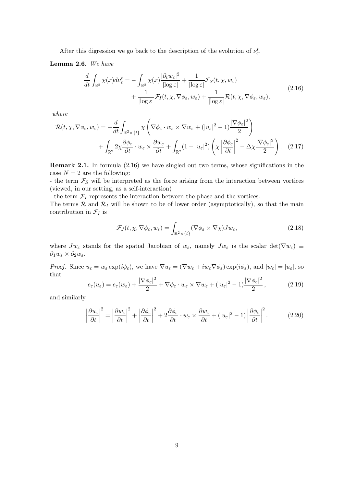After this digression we go back to the description of the evolution of  $\nu_{\varepsilon}^{t}$ .

Lemma 2.6. We have

$$
\frac{d}{dt} \int_{\mathbb{R}^2} \chi(x) d\nu_{\varepsilon}^t = -\int_{\mathbb{R}^2} \chi(x) \frac{|\partial_t w_{\varepsilon}|^2}{|\log \varepsilon|} + \frac{1}{|\log \varepsilon|} \mathcal{F}_S(t, \chi, w_{\varepsilon}) \n+ \frac{1}{|\log \varepsilon|} \mathcal{F}_I(t, \chi, \nabla \phi_{\varepsilon}, w_{\varepsilon}) + \frac{1}{|\log \varepsilon|} \mathcal{R}(t, \chi, \nabla \phi_{\varepsilon}, w_{\varepsilon}),
$$
\n(2.16)

where

$$
\mathcal{R}(t, \chi, \nabla \phi_{\varepsilon}, w_{\varepsilon}) = -\frac{d}{dt} \int_{\mathbb{R}^2 \times \{t\}} \chi \left( \nabla \phi_{\varepsilon} \cdot w_{\varepsilon} \times \nabla w_{\varepsilon} + (|u_{\varepsilon}|^2 - 1) \frac{|\nabla \phi_{\varepsilon}|^2}{2} \right) + \int_{\mathbb{R}^2} 2\chi \frac{\partial \phi_{\varepsilon}}{\partial t} \cdot w_{\varepsilon} \times \frac{\partial w_{\varepsilon}}{\partial t} + \int_{\mathbb{R}^2} (1 - |u_{\varepsilon}|^2) \left( \chi \left| \frac{\partial \phi_{\varepsilon}}{\partial t} \right|^2 - \Delta \chi \frac{|\nabla \phi_{\varepsilon}|^2}{2} \right). \tag{2.17}
$$

Remark 2.1. In formula (2.16) we have singled out two terms, whose significations in the case  $N = 2$  are the following:

- the term  $\mathcal{F}_S$  will be interpreted as the force arising from the interaction between vortices (viewed, in our setting, as a self-interaction)

- the term  $\mathcal{F}_I$  represents the interaction between the phase and the vortices.

The terms  $\mathcal R$  and  $\mathcal R_I$  will be shown to be of lower order (asymptotically), so that the main contribution in  $\mathcal{F}_I$  is

$$
\mathcal{F}_J(t, \chi, \nabla \phi_{\varepsilon}, w_{\varepsilon}) = \int_{\mathbb{R}^2 \times \{t\}} (\nabla \phi_{\varepsilon} \times \nabla \chi) J w_{\varepsilon}, \tag{2.18}
$$

where  $Jw_{\varepsilon}$  stands for the spatial Jacobian of  $w_{\varepsilon}$ , namely  $Jw_{\varepsilon}$  is the scalar det( $\nabla w_{\varepsilon}$ )  $\equiv$  $\partial_1 w_{\varepsilon} \times \partial_2 w_{\varepsilon}$ .

*Proof.* Since  $u_{\varepsilon} = w_{\varepsilon} \exp(i\phi_{\varepsilon})$ , we have  $\nabla u_{\varepsilon} = (\nabla w_{\varepsilon} + iw_{\varepsilon} \nabla \phi_{\varepsilon}) \exp(i\phi_{\varepsilon})$ , and  $|w_{\varepsilon}| = |u_{\varepsilon}|$ , so that

$$
e_{\varepsilon}(u_{\varepsilon}) = e_{\varepsilon}(w_{\varepsilon}) + \frac{|\nabla \phi_{\varepsilon}|^2}{2} + \nabla \phi_{\varepsilon} \cdot w_{\varepsilon} \times \nabla w_{\varepsilon} + (|u_{\varepsilon}|^2 - 1) \frac{|\nabla \phi_{\varepsilon}|^2}{2},\tag{2.19}
$$

and similarly

$$
\left|\frac{\partial u_{\varepsilon}}{\partial t}\right|^2 = \left|\frac{\partial w_{\varepsilon}}{\partial t}\right|^2 + \left|\frac{\partial \phi_{\varepsilon}}{\partial t}\right|^2 + 2\frac{\partial \phi_{\varepsilon}}{\partial t} \cdot w_{\varepsilon} \times \frac{\partial w_{\varepsilon}}{\partial t} + (|u_{\varepsilon}|^2 - 1)\left|\frac{\partial \phi_{\varepsilon}}{\partial t}\right|^2. \tag{2.20}
$$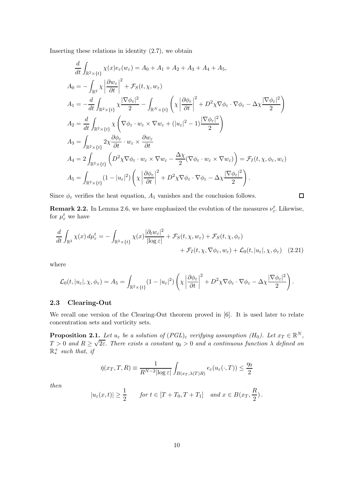Inserting these relations in identity  $(2.7)$ , we obtain

$$
\frac{d}{dt} \int_{\mathbb{R}^2 \times \{t\}} \chi(x) e_{\varepsilon}(w_{\varepsilon}) = A_0 + A_1 + A_2 + A_3 + A_4 + A_5,
$$
\n
$$
A_0 = -\int_{\mathbb{R}^2} \chi \left| \frac{\partial w_{\varepsilon}}{\partial t} \right|^2 + \mathcal{F}_S(t, \chi, w_{\varepsilon})
$$
\n
$$
A_1 = -\frac{d}{dt} \int_{\mathbb{R}^2 \times \{t\}} \chi \frac{|\nabla \phi_{\varepsilon}|^2}{2} - \int_{\mathbb{R}^N \times \{t\}} \left( \chi \left| \frac{\partial \phi_{\varepsilon}}{\partial t} \right|^2 + D^2 \chi \nabla \phi_{\varepsilon} \cdot \nabla \phi_{\varepsilon} - \Delta \chi \frac{|\nabla \phi_{\varepsilon}|^2}{2} \right)
$$
\n
$$
A_2 = \frac{d}{dt} \int_{\mathbb{R}^2 \times \{t\}} \chi \left( \nabla \phi_{\varepsilon} \cdot w_{\varepsilon} \times \nabla w_{\varepsilon} + (|u_{\varepsilon}|^2 - 1) \frac{|\nabla \phi_{\varepsilon}|^2}{2} \right)
$$
\n
$$
A_3 = \int_{\mathbb{R}^2 \times \{t\}} 2 \chi \frac{\partial \phi_{\varepsilon}}{\partial t} \cdot w_{\varepsilon} \times \frac{\partial w_{\varepsilon}}{\partial t}
$$
\n
$$
A_4 = 2 \int_{\mathbb{R}^2 \times \{t\}} \left( D^2 \chi \nabla \phi_{\varepsilon} \cdot w_{\varepsilon} \times \nabla w_{\varepsilon} - \frac{\Delta \chi}{2} (\nabla \phi_{\varepsilon} \cdot w_{\varepsilon} \times \nabla w_{\varepsilon}) \right) = \mathcal{F}_I(t, \chi, \phi_{\varepsilon}, w_{\varepsilon})
$$
\n
$$
A_5 = \int_{\mathbb{R}^2 \times \{t\}} (1 - |u_{\varepsilon}|^2) \left( \chi \left| \frac{\partial \phi_{\varepsilon}}{\partial t} \right|^2 + D^2 \chi \nabla \phi_{\varepsilon} \cdot \nabla \phi_{\varepsilon} - \Delta \
$$

Since  $\phi_{\varepsilon}$  verifies the heat equation,  $A_1$  vanishes and the conclusion follows.

 $\Box$ 

**Remark 2.2.** In Lemma 2.6, we have emphasized the evolution of the measures  $\nu_{\varepsilon}^{t}$ . Likewise, for  $\mu_{\varepsilon}^{t}$  we have

$$
\frac{d}{dt} \int_{\mathbb{R}^2} \chi(x) \, d\mu_{\varepsilon}^t = - \int_{\mathbb{R}^2 \times \{t\}} \chi(x) \frac{|\partial_t w_{\varepsilon}|^2}{|\log \varepsilon|} + \mathcal{F}_S(t, \chi, w_{\varepsilon}) + \mathcal{F}_S(t, \chi, \phi_{\varepsilon}) + \mathcal{F}_I(t, \chi, \nabla \phi_{\varepsilon}, w_{\varepsilon}) + \mathcal{L}_0(t, |u_{\varepsilon}|, \chi, \phi_{\varepsilon}) \tag{2.21}
$$

where

$$
\mathcal{L}_0(t, |u_{\varepsilon}|, \chi, \phi_{\varepsilon}) = A_5 = \int_{\mathbb{R}^2 \times \{t\}} (1 - |u_{\varepsilon}|^2) \left( \chi \left| \frac{\partial \phi_{\varepsilon}}{\partial t} \right|^2 + D^2 \chi \nabla \phi_{\varepsilon} \cdot \nabla \phi_{\varepsilon} - \Delta \chi \frac{|\nabla \phi_{\varepsilon}|^2}{2} \right).
$$

### 2.3 Clearing-Out

We recall one version of the Clearing-Out theorem proved in [6]. It is used later to relate concentration sets and vorticity sets.

**Proposition 2.1.** Let  $u_{\varepsilon}$  be a solution of  $(PGL)_{\varepsilon}$  verifying assumption  $(H_0)$ . Let  $x_T \in \mathbb{R}^N$ ,  $T > 0$  and  $R \ge \sqrt{2\varepsilon}$ . There exists a constant  $\eta_0 > 0$  and a continuous function  $\lambda$  defined on  $\mathbb{R}^+_*$  $*$  such that, if

$$
\check{\eta}(x_T, T, R) \equiv \frac{1}{R^{N-2} |\log \varepsilon|} \int_{B(x_T, \lambda(T)R)} e_{\varepsilon}(u_{\varepsilon}(\cdot, T)) \le \frac{\eta_0}{2}
$$

then

$$
|u_{\varepsilon}(x,t)| \geq \frac{1}{2}
$$
 for  $t \in [T+T_0, T+T_1]$  and  $x \in B(x_T, \frac{R}{2})$ .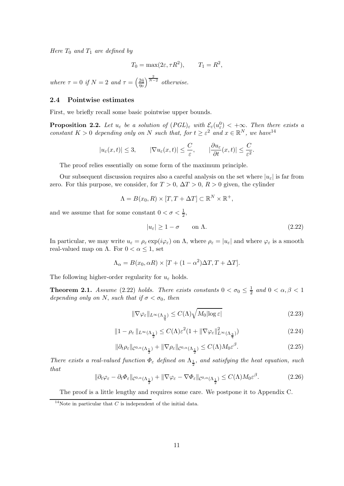Here  $T_0$  and  $T_1$  are defined by

$$
T_0 = \max(2\varepsilon, \tau R^2), \qquad T_1 = R^2,
$$

where  $\tau = 0$  if  $N = 2$  and  $\tau = \left(\frac{2\tilde{\eta}}{n_0}\right)$  $\frac{2\check{\eta}}{\eta_0}\bigg)^{\frac{2}{N-2}}$  otherwise.

### 2.4 Pointwise estimates

First, we briefly recall some basic pointwise upper bounds.

**Proposition 2.2.** Let  $u_{\varepsilon}$  be a solution of  $(PGL)_{\varepsilon}$  with  $\mathcal{E}_{\varepsilon}(u_{\varepsilon}^0) < +\infty$ . Then there exists a constant  $K > 0$  depending only on N such that, for  $t \geq \varepsilon^2$  and  $x \in \mathbb{R}^N$ , we have  $e^{14}$ 

$$
|u_{\varepsilon}(x,t)| \leq 3,
$$
  $|\nabla u_{\varepsilon}(x,t)| \leq \frac{C}{\varepsilon},$   $|\frac{\partial u_{\varepsilon}}{\partial t}(x,t)| \leq \frac{C}{\varepsilon^2}.$ 

The proof relies essentially on some form of the maximum principle.

Our subsequent discussion requires also a careful analysis on the set where  $|u_{\varepsilon}|$  is far from zero. For this purpose, we consider, for  $T > 0$ ,  $\Delta T > 0$ ,  $R > 0$  given, the cylinder

$$
\Lambda = B(x_0, R) \times [T, T + \Delta T] \subset \mathbb{R}^N \times \mathbb{R}^+,
$$

and we assume that for some constant  $0 < \sigma < \frac{1}{2}$ ,

$$
|u_{\varepsilon}| \ge 1 - \sigma \qquad \text{on } \Lambda. \tag{2.22}
$$

In particular, we may write  $u_{\varepsilon} = \rho_{\varepsilon} \exp(i\varphi_{\varepsilon})$  on  $\Lambda$ , where  $\rho_{\varepsilon} = |u_{\varepsilon}|$  and where  $\varphi_{\varepsilon}$  is a smooth real-valued map on  $\Lambda$ . For  $0 < \alpha \leq 1$ , set

$$
\Lambda_{\alpha} = B(x_0, \alpha R) \times [T + (1 - \alpha^2) \Delta T, T + \Delta T].
$$

The following higher-order regularity for  $u_{\varepsilon}$  holds.

**Theorem 2.1.** Assume (2.22) holds. There exists constants  $0 < \sigma_0 \leq \frac{1}{2}$  $\frac{1}{2}$  and  $0 < \alpha, \beta < 1$ depending only on N, such that if  $\sigma < \sigma_0$ , then

$$
\|\nabla\varphi_{\varepsilon}\|_{L^{\infty}(\Lambda_{\frac{3}{4}})} \le C(\Lambda)\sqrt{M_0|\log\varepsilon|} \tag{2.23}
$$

$$
||1 - \rho_{\varepsilon}||_{L^{\infty}(\Lambda_{\frac{1}{2}})} \leq C(\Lambda)\varepsilon^{2} (1 + ||\nabla\varphi_{\varepsilon}||_{L^{\infty}(\Lambda_{\frac{3}{4}})}^{2})
$$
\n(2.24)

$$
\|\partial_t \rho_{\varepsilon}\|_{\mathcal{C}^{0,\alpha}(\Lambda_{\frac{1}{2}})} + \|\nabla \rho_{\varepsilon}\|_{\mathcal{C}^{0,\alpha}(\Lambda_{\frac{1}{2}})} \le C(\Lambda)M_0 \varepsilon^{\beta}.
$$
\n(2.25)

There exists a real-valued function  $\Phi_{\varepsilon}$  defined on  $\Lambda_{\frac{1}{2}}$ , and satisfying the heat equation, such that

$$
\|\partial_t \varphi_{\varepsilon} - \partial_t \Phi_{\varepsilon}\|_{\mathcal{C}^{0,\alpha}(\Lambda_{\frac{1}{2}})} + \|\nabla \varphi_{\varepsilon} - \nabla \Phi_{\varepsilon}\|_{\mathcal{C}^{0,\alpha}(\Lambda_{\frac{1}{2}})} \le C(\Lambda)M_0 \varepsilon^{\beta}.
$$
 (2.26)

The proof is a little lengthy and requires some care. We postpone it to Appendix C.

<sup>&</sup>lt;sup>14</sup>Note in particular that  $C$  is independent of the initial data.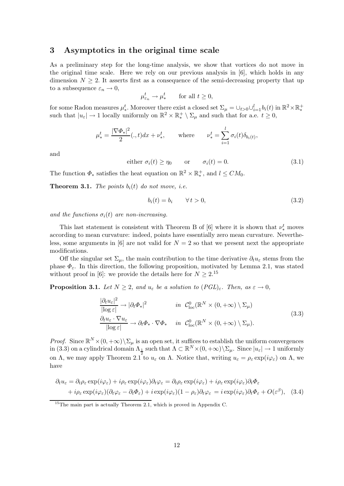### 3 Asymptotics in the original time scale

As a preliminary step for the long-time analysis, we show that vortices do not move in the original time scale. Here we rely on our previous analysis in [6], which holds in any dimension  $N \geq 2$ . It asserts first as a consequence of the semi-decreasing property that up to a subsequence  $\varepsilon_n \to 0$ ,

$$
\mu_{\varepsilon_n}^t \to \mu_*^t \qquad \text{for all } t \ge 0,
$$

for some Radon measures  $\mu^t_*$ . Moreover there exist a closed set  $\Sigma_{\mu} = \cup_{t>0} \cup_{i=1}^l b_i(t)$  in  $\mathbb{R}^2 \times \mathbb{R}^+_*$ such that  $|u_{\varepsilon}| \to 1$  locally uniformly on  $\mathbb{R}^2 \times \mathbb{R}^+ \setminus \Sigma_{\mu}$  and such that for a.e.  $t \ge 0$ , ∗

$$
\mu^t_* = \frac{|\nabla \Phi_*|^2}{2} (.,t) dx + \nu^t_*, \quad \text{where} \quad \nu^t_* = \sum_{i=1}^l \sigma_i(t) \delta_{b_i(t)},
$$

and

either 
$$
\sigma_i(t) \ge \eta_0
$$
 or  $\sigma_i(t) = 0.$  (3.1)

The function  $\Phi_*$  satisfies the heat equation on  $\mathbb{R}^2 \times \mathbb{R}^+_*$  $^+_*,$  and  $l \leq CM_0.$ 

**Theorem 3.1.** The points  $b_i(t)$  do not move, i.e.

$$
b_i(t) = b_i \qquad \forall \, t > 0,\tag{3.2}
$$

and the functions  $\sigma_i(t)$  are non-increasing.

This last statement is consistent with Theorem B of  $[6]$  where it is shown that  $\nu_*^t$  moves according to mean curvature: indeed, points have essentially zero mean curvature. Nevertheless, some arguments in [6] are not valid for  $N = 2$  so that we present next the appropriate modifications.

Off the singular set  $\Sigma_{\mu}$ , the main contribution to the time derivative  $\partial_t u_{\varepsilon}$  stems from the phase  $\Phi_{\varepsilon}$ . In this direction, the following proposition, motivated by Lemma 2.1, was stated without proof in [6]: we provide the details here for  $N \geq 2$ .<sup>15</sup>

**Proposition 3.1.** Let  $N \geq 2$ , and  $u_{\varepsilon}$  be a solution to  $(PGL)_{\varepsilon}$ . Then, as  $\varepsilon \to 0$ ,

$$
\frac{|\partial_t u_{\varepsilon}|^2}{|\log \varepsilon|} \to |\partial_t \Phi_*|^2 \qquad in \quad \mathcal{C}^0_{\text{loc}}(\mathbb{R}^N \times (0, +\infty) \setminus \Sigma_\mu)
$$
\n
$$
\frac{\partial_t u_{\varepsilon} \cdot \nabla u_{\varepsilon}}{|\log \varepsilon|} \to \partial_t \Phi_* \cdot \nabla \Phi_* \quad in \quad \mathcal{C}^0_{\text{loc}}(\mathbb{R}^N \times (0, +\infty) \setminus \Sigma_\mu). \tag{3.3}
$$

*Proof.* Since  $\mathbb{R}^N \times (0, +\infty) \setminus \Sigma_\mu$  is an open set, it suffices to establish the uniform convergences in (3.3) on a cylindrical domain  $\Lambda_{\frac{1}{2}}$  such that  $\Lambda \subset \mathbb{R}^N \times (0, +\infty) \setminus \Sigma_{\mu}$ . Since  $|u_{\varepsilon}| \to 1$  uniformly on Λ, we may apply Theorem 2.1 to  $u_{\varepsilon}$  on Λ. Notice that, writing  $u_{\varepsilon} = \rho_{\varepsilon} \exp(i \varphi_{\varepsilon})$  on Λ, we have

$$
\partial_t u_{\varepsilon} = \partial_t \rho_{\varepsilon} \exp(i\varphi_{\varepsilon}) + i\rho_{\varepsilon} \exp(i\varphi_{\varepsilon})\partial_t \varphi_{\varepsilon} = \partial_t \rho_{\varepsilon} \exp(i\varphi_{\varepsilon}) + i\rho_{\varepsilon} \exp(i\varphi_{\varepsilon})\partial_t \Phi_{\varepsilon} + i\rho_{\varepsilon} \exp(i\varphi_{\varepsilon})(\partial_t \varphi_{\varepsilon} - \partial_t \Phi_{\varepsilon}) + i \exp(i\varphi_{\varepsilon})(1 - \rho_{\varepsilon})\partial_t \varphi_{\varepsilon} = i \exp(i\varphi_{\varepsilon})\partial_t \Phi_{\varepsilon} + O(\varepsilon^{\beta}), \quad (3.4)
$$

 $15$ The main part is actually Theorem 2.1, which is proved in Appendix C.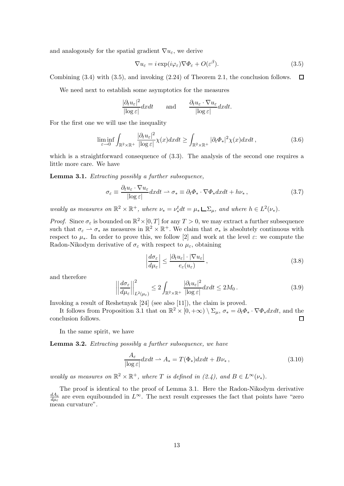and analogously for the spatial gradient  $\nabla u_{\varepsilon}$ , we derive

$$
\nabla u_{\varepsilon} = i \exp(i\varphi_{\varepsilon}) \nabla \Phi_{\varepsilon} + O(\varepsilon^{\beta}). \tag{3.5}
$$

Combining (3.4) with (3.5), and invoking (2.24) of Theorem 2.1, the conclusion follows.  $\Box$ 

We need next to establish some asymptotics for the measures

$$
\frac{|\partial_t u_{\varepsilon}|^2}{|\log \varepsilon|} dx dt \quad \text{and} \quad \frac{\partial_t u_{\varepsilon} \cdot \nabla u_{\varepsilon}}{|\log \varepsilon|} dx dt.
$$

For the first one we will use the inequality

$$
\liminf_{\varepsilon \to 0} \int_{\mathbb{R}^2 \times \mathbb{R}^+} \frac{|\partial_t u_\varepsilon|^2}{|\log \varepsilon|} \chi(x) dx dt \ge \int_{\mathbb{R}^2 \times \mathbb{R}^+} |\partial_t \Phi_*|^2 \chi(x) dx dt,
$$
\n(3.6)

which is a straightforward consequence of  $(3.3)$ . The analysis of the second one requires a little more care. We have

Lemma 3.1. Extracting possibly a further subsequence,

$$
\sigma_{\varepsilon} \equiv \frac{\partial_t u_{\varepsilon} \cdot \nabla u_{\varepsilon}}{|\log \varepsilon|} dx dt \rightharpoonup \sigma_* \equiv \partial_t \Phi_* \cdot \nabla \Phi_* dx dt + h\nu_*,
$$
\n(3.7)

weakly as measures on  $\mathbb{R}^2 \times \mathbb{R}^+$ , where  $\nu_* = \nu_*^t dt = \mu_* \sqcup \Sigma_\mu$ , and where  $h \in L^2(\nu_*)$ .

*Proof.* Since  $\sigma_{\varepsilon}$  is bounded on  $\mathbb{R}^2 \times [0,T]$  for any  $T > 0$ , we may extract a further subsequence such that  $\sigma_{\varepsilon} \rightharpoonup \sigma_{*}$  as measures in  $\mathbb{R}^{2} \times \mathbb{R}^{+}$ . We claim that  $\sigma_{*}$  is absolutely continuous with respect to  $\mu_*$ . In order to prove this, we follow [2] and work at the level  $\varepsilon$ : we compute the Radon-Nikodym derivative of  $\sigma_{\varepsilon}$  with respect to  $\mu_{\varepsilon}$ , obtaining

$$
\left|\frac{d\sigma_{\varepsilon}}{d\mu_{\varepsilon}}\right| \le \frac{|\partial_t u_{\varepsilon}| \cdot |\nabla u_{\varepsilon}|}{e_{\varepsilon}(u_{\varepsilon})},\tag{3.8}
$$

and therefore

$$
\left| \left| \frac{d\sigma_{\varepsilon}}{d\mu_{\varepsilon}} \right| \right|_{L^{2}(\mu_{\varepsilon})}^{2} \leq 2 \int_{\mathbb{R}^{2} \times \mathbb{R}^{+}} \frac{|\partial_{t} u_{\varepsilon}|^{2}}{|\log \varepsilon|} dx dt \leq 2M_{0}.
$$
\n(3.9)

Invoking a result of Reshetnyak [24] (see also [11]), the claim is proved.

It follows from Proposition 3.1 that on  $\mathbb{R}^2 \times [0, +\infty) \setminus \Sigma_{\mu}$ ,  $\sigma_* = \partial_t \Phi_* \cdot \nabla \Phi_* dx dt$ , and the conclusion follows.

In the same spirit, we have

Lemma 3.2. Extracting possibly a further subsequence, we have

$$
\frac{A_{\varepsilon}}{|\log \varepsilon|} dxdt \rightharpoonup A_{*} = T(\Phi_{*}) dxdt + B\nu_{*} , \qquad (3.10)
$$

weakly as measures on  $\mathbb{R}^2 \times \mathbb{R}^+$ , where T is defined in (2.4), and  $B \in L^{\infty}(\nu_*)$ .

The proof is identical to the proof of Lemma 3.1. Here the Radon-Nikodym derivative  $dA_{\varepsilon}$  $\frac{dA_{\varepsilon}}{d\mu_{\varepsilon}}$  are even equibounded in  $L^{\infty}$ . The next result expresses the fact that points have "zero mean curvature".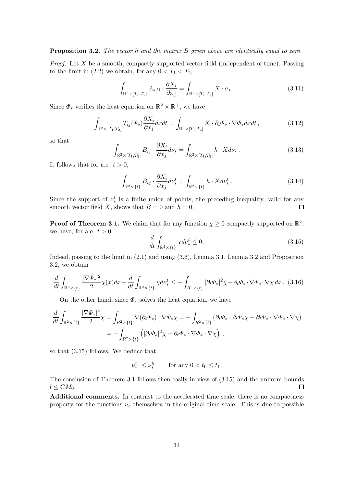#### Proposition 3.2. The vector h and the matrix B given above are identically equal to zero.

*Proof.* Let X be a smooth, compactly supported vector field (independent of time). Passing to the limit in (2.2) we obtain, for any  $0 < T_1 < T_2$ ,

$$
\int_{\mathbb{R}^2 \times [T_1, T_2]} A_{\ast ij} \cdot \frac{\partial X_i}{\partial x_j} = \int_{\mathbb{R}^2 \times [T_1, T_2]} X \cdot \sigma_{\ast}.
$$
\n(3.11)

Since  $\Phi_*$  verifies the heat equation on  $\mathbb{R}^2 \times \mathbb{R}^+$ , we have

$$
\int_{\mathbb{R}^2 \times [T_1, T_2]} T_{ij}(\Phi_*) \frac{\partial X_i}{\partial x_j} dx dt = \int_{\mathbb{R}^2 \times [T_1, T_2]} X \cdot \partial_t \Phi_* \cdot \nabla \Phi_* dx dt,
$$
\n(3.12)

so that

$$
\int_{\mathbb{R}^2 \times [T_1, T_2]} B_{ij} \cdot \frac{\partial X_i}{\partial x_j} d\nu_* = \int_{\mathbb{R}^2 \times [T_1, T_2]} h \cdot X d\nu_* \,. \tag{3.13}
$$

It follows that for a.e.  $t > 0$ ,

$$
\int_{\mathbb{R}^2 \times \{t\}} B_{ij} \cdot \frac{\partial X_i}{\partial x_j} d\nu_*^t = \int_{\mathbb{R}^2 \times \{t\}} h \cdot X d\nu_*^t. \tag{3.14}
$$

Since the support of  $\nu_*^t$  is a finite union of points, the preceding inequality, valid for any smooth vector field X, shows that  $B = 0$  and  $h = 0$ .  $\Box$ 

**Proof of Theorem 3.1.** We claim that for any function  $\chi \geq 0$  compactly supported on  $\mathbb{R}^2$ , we have, for a.e.  $t > 0$ ,

$$
\frac{d}{dt} \int_{\mathbb{R}^2 \times \{t\}} \chi d\nu_*^t \le 0. \tag{3.15}
$$

Indeed, passing to the limit in (2.1) and using (3.6), Lemma 3.1, Lemma 3.2 and Proposition 3.2, we obtain

$$
\frac{d}{dt} \int_{\mathbb{R}^2 \times \{t\}} \frac{|\nabla \Phi_*|^2}{2} \chi(x) dx + \frac{d}{dt} \int_{\mathbb{R}^2 \times \{t\}} \chi d\nu_*^t \le - \int_{R^2 \times \{t\}} |\partial_t \Phi_*|^2 \chi - \partial_t \Phi_* \cdot \nabla \Phi_* \cdot \nabla \chi dx. \tag{3.16}
$$

On the other hand, since  $\Phi_*$  solves the heat equation, we have

$$
\frac{d}{dt} \int_{\mathbb{R}^2 \times \{t\}} \frac{|\nabla \Phi_*|^2}{2} \chi = \int_{R^2 \times \{t\}} \nabla(\partial_t \Phi_*) \cdot \nabla \Phi_* \chi = - \int_{R^2 \times \{t\}} (\partial_t \Phi_* \cdot \Delta \Phi_* \cdot \nabla \Phi_* \cdot \nabla \Phi_* \cdot \nabla \chi)
$$
  
= 
$$
- \int_{R^2 \times \{t\}} \left( |\partial_t \Phi_*|^2 \chi - \partial_t \Phi_* \cdot \nabla \Phi_* \cdot \nabla \chi \right) ,
$$

so that (3.15) follows. We deduce that

$$
\nu_*^{t_1} \leq \nu_*^{t_0}
$$
 for any  $0 < t_0 \leq t_1$ .

The conclusion of Theorem 3.1 follows then easily in view of (3.15) and the uniform bounds  $l \leq CM_0.$  $\Box$ 

Additional comments. In contrast to the accelerated time scale, there is no compactness property for the functions  $u_{\varepsilon}$  themselves in the original time scale. This is due to possible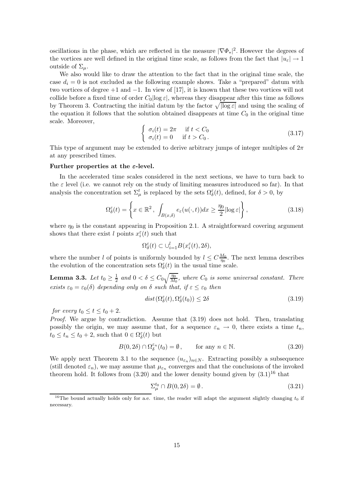oscillations in the phase, which are reflected in the measure  $|\nabla \Phi_*|^2$ . However the degrees of the vortices are well defined in the original time scale, as follows from the fact that  $|u_{\varepsilon}| \to 1$ outside of  $\Sigma_u$ .

We also would like to draw the attention to the fact that in the original time scale, the case  $d_i = 0$  is not excluded as the following example shows. Take a "prepared" datum with two vortices of degree  $+1$  and  $-1$ . In view of [17], it is known that these two vortices will not collide before a fixed time of order  $C_0$ |log  $\varepsilon$ |, whereas they disappear after this time as follows by Theorem 3. Contracting the initial datum by the factor  $\sqrt{|\log \varepsilon|}$  and using the scaling of the equation it follows that the solution obtained disappears at time  $C_0$  in the original time scale. Moreover,

$$
\begin{cases}\n\sigma_i(t) = 2\pi & \text{if } t < C_0 \\
\sigma_i(t) = 0 & \text{if } t > C_0.\n\end{cases}
$$
\n(3.17)

This type of argument may be extended to derive arbitrary jumps of integer multiples of  $2\pi$ at any prescribed times.

#### Further properties at the  $\varepsilon$ -level.

In the accelerated time scales considered in the next sections, we have to turn back to the  $\varepsilon$  level (i.e. we cannot rely on the study of limiting measures introduced so far). In that analysis the concentration set  $\Sigma_{\mu}^{t}$  is replaced by the sets  $\Omega_{\delta}^{\varepsilon}(t)$ , defined, for  $\delta > 0$ , by

$$
\Omega_{\delta}^{\varepsilon}(t) = \left\{ x \in \mathbb{R}^2, \int_{B(x,\delta)} e_{\varepsilon}(u(\cdot,t))dx \ge \frac{\eta_0}{2} |\log \varepsilon| \right\},\tag{3.18}
$$

where  $\eta_0$  is the constant appearing in Proposition 2.1. A straightforward covering argument shows that there exist l points  $x_i^{\varepsilon}(t)$  such that

$$
\Omega^{\varepsilon}_{\delta}(t) \subset \cup_{i=1}^{l} B(x^{\varepsilon}_{i}(t), 2\delta),
$$

where the number l of points is uniformly bounded by  $l \leq C \frac{M_0}{\eta_0}$  $\frac{M_0}{\eta_0}$ . The next lemma describes the evolution of the concentration sets  $\Omega_{\delta}^{\varepsilon}(t)$  in the usual time scale.

Lemma 3.3. Let  $t_0 \geq \frac{1}{2}$  $\frac{1}{2}$  and  $0 < \delta \leq C_0 \sqrt{\frac{\eta_0}{M_0}}$ , where  $C_0$  is some universal constant. There exists  $\varepsilon_0 = \varepsilon_0(\delta)$  depending only on  $\delta$  such that, if  $\varepsilon \leq \varepsilon_0$  then

$$
dist(\Omega^{\varepsilon}_{\delta}(t), \Omega^{\varepsilon}_{\delta}(t_0)) \le 2\delta \tag{3.19}
$$

for every  $t_0 \le t \le t_0 + 2$ .

Proof. We argue by contradiction. Assume that  $(3.19)$  does not hold. Then, translating possibly the origin, we may assume that, for a sequence  $\varepsilon_n \to 0$ , there exists a time  $t_n$ ,  $t_0 \le t_n \le t_0 + 2$ , such that  $0 \in \Omega_{\delta}^{\varepsilon}(t)$  but

$$
B(0, 2\delta) \cap \Omega^{\varepsilon_n}_{\delta}(t_0) = \emptyset, \qquad \text{for any } n \in \mathbb{N}.
$$
 (3.20)

We apply next Theorem 3.1 to the sequence  $(u_{\varepsilon_n})_{n \in N}$ . Extracting possibly a subsequence (still denoted  $\varepsilon_n$ ), we may assume that  $\mu_{\varepsilon_n}$  converges and that the conclusions of the invoked theorem hold. It follows from  $(3.20)$  and the lower density bound given by  $(3.1)^{16}$  that

$$
\Sigma_{\mu}^{t_0} \cap B(0, 2\delta) = \emptyset. \tag{3.21}
$$

<sup>&</sup>lt;sup>16</sup>The bound actually holds only for a.e. time, the reader will adapt the argument slightly changing  $t_0$  if necessary.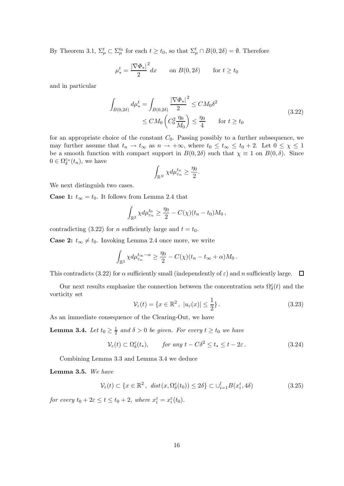By Theorem 3.1,  $\Sigma_{\mu}^{t} \subset \Sigma_{\mu}^{t_0}$  for each  $t \geq t_0$ , so that  $\Sigma_{\mu}^{t} \cap B(0, 2\delta) = \emptyset$ . Therefore

$$
\mu^t_* = \frac{|\nabla \Phi_*|^2}{2} dx \qquad \text{on } B(0, 2\delta) \qquad \text{for } t \ge t_0
$$

and in particular

$$
\int_{B(0,2\delta)} d\mu_*^t = \int_{B(0,2\delta)} \frac{|\nabla \Phi_*|^2}{2} \le CM_0 \delta^2
$$
\n
$$
\le CM_0 \left( C_0^2 \frac{\eta_0}{M_0} \right) \le \frac{\eta_0}{4} \quad \text{for } t \ge t_0
$$
\n(3.22)

for an appropriate choice of the constant  $C_0$ . Passing possibly to a further subsequence, we may further assume that  $t_n \to t_\infty$  as  $n \to +\infty$ , where  $t_0 \leq t_\infty \leq t_0 + 2$ . Let  $0 \leq \chi \leq 1$ be a smooth function with compact support in  $B(0, 2\delta)$  such that  $\chi \equiv 1$  on  $B(0, \delta)$ . Since  $0 \in \Omega^{\varepsilon_n}_{\delta}(t_n)$ , we have

$$
\int_{\mathbb{R}^N} \chi d\mu_{\varepsilon_n}^{t_n} \ge \frac{\eta_0}{2}.
$$

We next distinguish two cases.

**Case 1:**  $t_{\infty} = t_0$ . It follows from Lemma 2.4 that

$$
\int_{\mathbb{R}^2} \chi d\mu_{\varepsilon_n}^{t_0} \geq \frac{\eta_0}{2} - C(\chi)(t_n - t_0)M_0,
$$

contradicting (3.22) for *n* sufficiently large and  $t = t_0$ .

**Case 2:**  $t_{\infty} \neq t_0$ . Invoking Lemma 2.4 once more, we write

$$
\int_{\mathbb{R}^2} \chi d\mu_{\varepsilon_n}^{t_{\infty}-\alpha} \ge \frac{\eta_0}{2} - C(\chi)(t_n - t_{\infty} + \alpha)M_0.
$$

This contradicts (3.22) for  $\alpha$  sufficiently small (independently of  $\varepsilon$ ) and n sufficiently large.  $\Box$ 

Our next results emphasize the connection between the concentration sets  $\Omega_\delta^\varepsilon(t)$  and the vorticity set

$$
\mathcal{V}_{\varepsilon}(t) = \{x \in \mathbb{R}^2, \ |u_{\varepsilon}(x)| \le \frac{1}{2}\}.
$$
 (3.23)

As an immediate consequence of the Clearing-Out, we have

**Lemma 3.4.** Let  $t_0 \geq \frac{1}{2}$  $\frac{1}{2}$  and  $\delta > 0$  be given. For every  $t \geq t_0$  we have

$$
\mathcal{V}_{\varepsilon}(t) \subset \Omega_{\delta}^{\varepsilon}(t_{*}), \qquad \text{for any } t - C\delta^{2} \le t_{*} \le t - 2\varepsilon. \tag{3.24}
$$

Combining Lemma 3.3 and Lemma 3.4 we deduce

Lemma 3.5. We have

$$
\mathcal{V}_{\varepsilon}(t) \subset \{x \in \mathbb{R}^2, \ \operatorname{dist}(x, \Omega^{\varepsilon}_{\delta}(t_0)) \le 2\delta\} \subset \cup_{i=1}^l B(x_i^{\varepsilon}, 4\delta) \tag{3.25}
$$

for every  $t_0 + 2\varepsilon \le t \le t_0 + 2$ , where  $x_i^{\varepsilon} = x_i^{\varepsilon}(t_0)$ .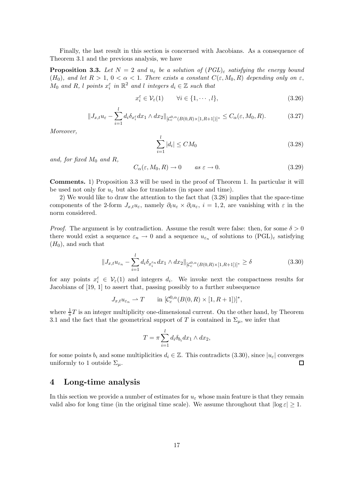Finally, the last result in this section is concerned with Jacobians. As a consequence of Theorem 3.1 and the previous analysis, we have

**Proposition 3.3.** Let  $N = 2$  and  $u_{\varepsilon}$  be a solution of  $(PGL)_{\varepsilon}$  satisfying the energy bound (H<sub>0</sub>), and let  $R > 1$ ,  $0 < \alpha < 1$ . There exists a constant  $C(\varepsilon, M_0, R)$  depending only on  $\varepsilon$ ,  $M_0$  and  $R$ , l points  $x_i^{\varepsilon}$  in  $\mathbb{R}^2$  and l integers  $d_i \in \mathbb{Z}$  such that

$$
x_i^{\varepsilon} \in \mathcal{V}_{\varepsilon}(1) \qquad \forall i \in \{1, \cdots, l\},\tag{3.26}
$$

$$
||J_{x,t}u_{\varepsilon}-\sum_{i=1}^l d_i \delta_{x_i^{\varepsilon}} dx_1 \wedge dx_2||_{[C_c^{0,\alpha}(B(0,R)\times[1,R+1])]^*} \leq C_{\alpha}(\varepsilon, M_0, R). \tag{3.27}
$$

Moreover,

$$
\sum_{i=1}^{l} |d_i| \le CM_0 \tag{3.28}
$$

and, for fixed  $M_0$  and  $R$ ,

$$
C_{\alpha}(\varepsilon, M_0, R) \to 0 \qquad as \ \varepsilon \to 0. \tag{3.29}
$$

Comments. 1) Proposition 3.3 will be used in the proof of Theorem 1. In particular it will be used not only for  $u_{\varepsilon}$  but also for translates (in space and time).

2) We would like to draw the attention to the fact that (3.28) implies that the space-time components of the 2-form  $J_{x,t}u_{\varepsilon}$ , namely  $\partial_t u_{\varepsilon} \times \partial_i u_{\varepsilon}$ ,  $i = 1, 2$ , are vanishing with  $\varepsilon$  in the norm considered.

*Proof.* The argument is by contradiction. Assume the result were false: then, for some  $\delta > 0$ there would exist a sequence  $\varepsilon_n \to 0$  and a sequence  $u_{\varepsilon_n}$  of solutions to  $(PGL)_{\varepsilon}$  satisfying  $(H_0)$ , and such that

$$
||J_{x,t}u_{\varepsilon_n} - \sum_{i=1}^l d_i \delta_{x_i^{\varepsilon_n}} dx_1 \wedge dx_2||_{[\mathcal{C}_c^{0,\alpha}(B(0,R)\times[1,R+1])]^*} \ge \delta
$$
\n(3.30)

for any points  $x_i^{\varepsilon} \in V_{\varepsilon}(1)$  and integers  $d_i$ . We invoke next the compactness results for Jacobians of [19, 1] to assert that, passing possibly to a further subsequence

$$
J_{x,t}u_{\varepsilon_n} \rightharpoonup T \qquad \text{in } [C_c^{0,\alpha}(B(0,R)\times[1,R+1])]^*,
$$

where  $\frac{1}{\pi}T$  is an integer multiplicity one-dimensional current. On the other hand, by Theorem 3.1 and the fact that the geometrical support of T is contained in  $\Sigma_{\mu}$ , we infer that

$$
T = \pi \sum_{i=1}^{l} d_i \delta_{b_i} dx_1 \wedge dx_2,
$$

for some points  $b_i$  and some multiplicities  $d_i \in \mathbb{Z}$ . This contradicts (3.30), since  $|u_{\varepsilon}|$  converges uniformly to 1 outside  $\Sigma_{\mu}$ . uniformly to 1 outside  $\Sigma_{\mu}$ .

### 4 Long-time analysis

In this section we provide a number of estimates for  $u_{\varepsilon}$  whose main feature is that they remain valid also for long time (in the original time scale). We assume throughout that  $|\log \epsilon| > 1$ .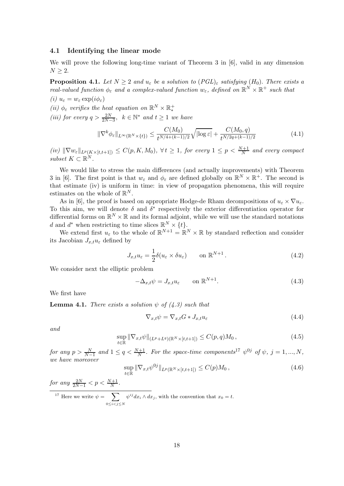#### 4.1 Identifying the linear mode

We will prove the following long-time variant of Theorem 3 in [6], valid in any dimension  $N \geq 2$ .

**Proposition 4.1.** Let  $N \geq 2$  and  $u_{\varepsilon}$  be a solution to  $(PGL)_{\varepsilon}$  satisfying  $(H_0)$ . There exists a real-valued function  $\phi_{\varepsilon}$  and a complex-valued function  $w_{\varepsilon}$ , defined on  $\mathbb{R}^N \times \mathbb{R}^+$  such that (i)  $u_{\varepsilon} = w_{\varepsilon} \exp(i \phi_{\varepsilon})$ 

(ii) 
$$
\phi_{\varepsilon}
$$
 verifies the heat equation on  $\mathbb{R}^N\times\mathbb{R}^+_{*}$ 

(iii) for every  $q > \frac{2N}{2N-3}$ ,  $k \in \mathbb{N}^*$  and  $t \ge 1$  we have

$$
\|\nabla^k \phi_{\varepsilon}\|_{L^{\infty}(\mathbb{R}^N \times \{t\})} \le \frac{C(M_0)}{t^{N/4 + (k-1)/2}} \sqrt{|\log \varepsilon|} + \frac{C(M_0, q)}{t^{N/2q + (k-1)/2}} \tag{4.1}
$$

 $(iv)$   $\|\nabla w_{\varepsilon}\|_{L^{p}(K\times [t,t+1])} \leq C(p,K,M_0), \forall t \geq 1$ , for every  $1 \leq p < \frac{N+1}{N}$  and every compact subset  $K \subset \mathbb{R}^N$ .

We would like to stress the main differences (and actually improvements) with Theorem 3 in [6]. The first point is that  $w_{\varepsilon}$  and  $\phi_{\varepsilon}$  are defined globally on  $\mathbb{R}^{N} \times \mathbb{R}^{+}$ . The second is that estimate (iv) is uniform in time: in view of propagation phenomena, this will require estimates on the whole of  $\mathbb{R}^N$ .

As in [6], the proof is based on appropriate Hodge-de Rham decompositions of  $u_{\varepsilon} \times \nabla u_{\varepsilon}$ . To this aim, we will denote  $\delta$  and  $\delta^*$  respectively the exterior differentiation operator for differential forms on  $\mathbb{R}^N \times \mathbb{R}$  and its formal adjoint, while we will use the standard notations d and d<sup>\*</sup> when restricting to time slices  $\mathbb{R}^N \times \{t\}.$ 

We extend first  $u_{\varepsilon}$  to the whole of  $\mathbb{R}^{N+1} = \mathbb{R}^{N} \times \mathbb{R}$  by standard reflection and consider its Jacobian  $J_{x,t}u_{\varepsilon}$  defined by

$$
J_{x,t}u_{\varepsilon} = \frac{1}{2}\delta(u_{\varepsilon} \times \delta u_{\varepsilon}) \qquad \text{on } \mathbb{R}^{N+1}.
$$
 (4.2)

We consider next the elliptic problem

$$
-\Delta_{x,t}\psi = J_{x,t}u_{\varepsilon} \qquad \text{on } \mathbb{R}^{N+1}.
$$
 (4.3)

We first have

**Lemma 4.1.** There exists a solution  $\psi$  of (4.3) such that

$$
\nabla_{x,t}\psi = \nabla_{x,t}G * J_{x,t}u_{\varepsilon}
$$
\n(4.4)

and

$$
\sup_{t \in \mathbb{R}} \|\nabla_{x,t} \psi\|_{(L^p + L^q)(\mathbb{R}^N \times [t,t+1])} \le C(p,q)M_0,
$$
\n(4.5)

for any  $p > \frac{N}{N-1}$  and  $1 \leq q < \frac{N+1}{N}$ . For the space-time components<sup>17</sup>  $\psi^{0j}$  of  $\psi$ ,  $j = 1, ..., N$ , we have moreover

$$
\sup_{t \in \mathbb{R}} \|\nabla_{x,t} \psi^{0j}\|_{L^p(\mathbb{R}^N \times [t,t+1])} \le C(p) M_0 ,\tag{4.6}
$$

for any  $\frac{2N}{2N-1} < p < \frac{N+1}{N}$ .

<sup>17</sup> Here we write  $\psi = \sum$  $0 \leq i < j \leq N$  $\psi^{ij} dx_i \wedge dx_j$ , with the convention that  $x_0 = t$ .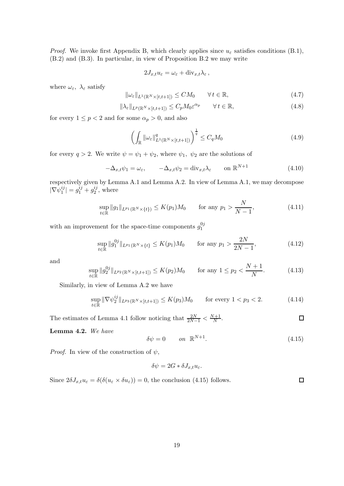*Proof.* We invoke first Appendix B, which clearly applies since  $u_{\varepsilon}$  satisfies conditions (B.1), (B.2) and (B.3). In particular, in view of Proposition B.2 we may write

$$
2J_{x,t}u_{\varepsilon}=\omega_{\varepsilon}+\mathrm{div}_{x,t}\lambda_{\varepsilon}\,,
$$

where  $\omega_{\varepsilon}$ ,  $\lambda_{\varepsilon}$  satisfy

$$
\|\omega_{\varepsilon}\|_{L^{1}(\mathbb{R}^{N}\times[t,t+1])} \le CM_{0} \qquad \forall \, t \in \mathbb{R},\tag{4.7}
$$

$$
\|\lambda_{\varepsilon}\|_{L^{p}(\mathbb{R}^{N}\times[t,t+1])} \leq C_{p}M_{0}\varepsilon^{\alpha_{p}} \qquad \forall t \in \mathbb{R},
$$
\n(4.8)

for every  $1 \le p < 2$  and for some  $\alpha_p > 0$ , and also

$$
\left(\int_{\mathbb{R}}\|\omega_{\varepsilon}\|_{L^{1}(\mathbb{R}^{N}\times[t,t+1])}^{q}\right)^{\frac{1}{q}} \leq C_{q}M_{0}
$$
\n(4.9)

for every  $q > 2$ . We write  $\psi = \psi_1 + \psi_2$ , where  $\psi_1$ ,  $\psi_2$  are the solutions of

$$
-\Delta_{x,t}\psi_1 = \omega_{\varepsilon}, \qquad -\Delta_{x,t}\psi_2 = \text{div}_{x,t}\lambda_{\varepsilon} \qquad \text{on } \mathbb{R}^{N+1}
$$
(4.10)

respectively given by Lemma A.1 and Lemma A.2. In view of Lemma A.1, we may decompose  $|\nabla \psi_{1}^{ij}$  $|j| = g_1^{ij} + g_2^{ij}$  $i<sub>2</sub><sup>ij</sup>$ , where

$$
\sup_{t \in \mathbb{R}} \|g_1\|_{L^{p_1}(\mathbb{R}^N \times \{t\})} \le K(p_1)M_0 \quad \text{for any } p_1 > \frac{N}{N-1},
$$
\n(4.11)

with an improvement for the space-time components  $g_1^{0j}$ 1

$$
\sup_{t \in \mathbb{R}} \|g_1^{0j}\|_{L^{p_1}(\mathbb{R}^N \times \{t\}} \le K(p_1)M_0 \quad \text{for any } p_1 > \frac{2N}{2N - 1},\tag{4.12}
$$

and

$$
\sup_{t \in \mathbb{R}} \|g_2^{0j}\|_{L^{p_2}(\mathbb{R}^N \times [t,t+1])} \le K(p_2)M_0 \quad \text{for any } 1 \le p_2 < \frac{N+1}{N}.\tag{4.13}
$$

Similarly, in view of Lemma A.2 we have

$$
\sup_{t \in \mathbb{R}} \|\nabla \psi_2^{ij}\|_{L^{p_3}(\mathbb{R}^N \times [t,t+1])} \le K(p_3)M_0 \qquad \text{for every } 1 < p_3 < 2. \tag{4.14}
$$

The estimates of Lemma 4.1 follow noticing that  $\frac{2N}{2N-1} < \frac{N+1}{N}$  $\hfill \square$  $\frac{1}{N}$ .

Lemma 4.2. We have

$$
\delta \psi = 0 \qquad on \quad \mathbb{R}^{N+1}.
$$
\n(4.15)

*Proof.* In view of the construction of  $\psi$ ,

$$
\delta \psi = 2G * \delta J_{x,t} u_\varepsilon.
$$

Since  $2\delta J_{x,t}u_{\varepsilon} = \delta(\delta(u_{\varepsilon} \times \delta u_{\varepsilon})) = 0$ , the conclusion (4.15) follows.  $\Box$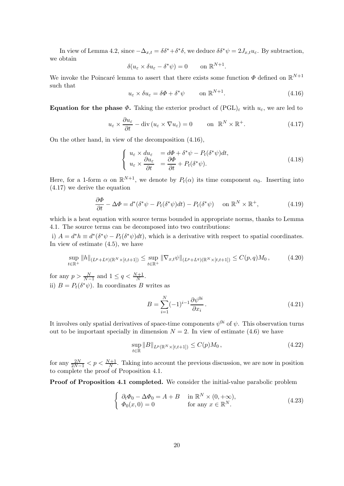In view of Lemma 4.2, since  $-\Delta_{x,t} = \delta \delta^* + \delta^* \delta$ , we deduce  $\delta \delta^* \psi = 2J_{x,t}u_{\varepsilon}$ . By subtraction, we obtain

$$
\delta(u_{\varepsilon} \times \delta u_{\varepsilon} - \delta^* \psi) = 0 \quad \text{on } \mathbb{R}^{N+1}.
$$

We invoke the Poincaré lemma to assert that there exists some function  $\Phi$  defined on  $\mathbb{R}^{N+1}$ such that

$$
u_{\varepsilon} \times \delta u_{\varepsilon} = \delta \Phi + \delta^* \psi \qquad \text{on } \mathbb{R}^{N+1}.
$$
 (4.16)

**Equation for the phase**  $\Phi$ **.** Taking the exterior product of  $(PGL)_{\varepsilon}$  with  $u_{\varepsilon}$ , we are led to

$$
u_{\varepsilon} \times \frac{\partial u_{\varepsilon}}{\partial t} - \text{div}\left(u_{\varepsilon} \times \nabla u_{\varepsilon}\right) = 0 \qquad \text{on } \mathbb{R}^N \times \mathbb{R}^+.
$$
 (4.17)

On the other hand, in view of the decomposition (4.16),

$$
\begin{cases}\n u_{\varepsilon} \times du_{\varepsilon} &= d\Phi + \delta^* \psi - P_t(\delta^* \psi) dt, \\
 u_{\varepsilon} \times \frac{\partial u_{\varepsilon}}{\partial t} &= \frac{\partial \Phi}{\partial t} + P_t(\delta^* \psi).\n\end{cases} \tag{4.18}
$$

Here, for a 1-form  $\alpha$  on  $\mathbb{R}^{N+1}$ , we denote by  $P_t(\alpha)$  its time component  $\alpha_0$ . Inserting into (4.17) we derive the equation

$$
\frac{\partial \Phi}{\partial t} - \Delta \Phi = d^*(\delta^* \psi - P_t(\delta^* \psi) dt) - P_t(\delta^* \psi) \quad \text{on } \mathbb{R}^N \times \mathbb{R}^+, \tag{4.19}
$$

which is a heat equation with source terms bounded in appropriate norms, thanks to Lemma 4.1. The source terms can be decomposed into two contributions:

i)  $A = d^*h \equiv d^*(\delta^*\psi - P_t(\delta^*\psi)dt)$ , which is a derivative with respect to spatial coordinates. In view of estimate (4.5), we have

$$
\sup_{t \in \mathbb{R}^+} \|h\|_{(L^p + L^q)(\mathbb{R}^N \times [t, t+1])} \leq \sup_{t \in \mathbb{R}^+} \|\nabla_{x,t}\psi\|_{(L^p + L^q)(\mathbb{R}^N \times [t, t+1])} \leq C(p, q)M_0,
$$
\n(4.20)

for any  $p > \frac{N}{N-1}$  and  $1 \le q < \frac{N+1}{N}$ . ii)  $B = P_t(\delta^*\psi)$ . In coordinates B writes as

$$
B = \sum_{i=1}^{N} (-1)^{i-1} \frac{\partial \psi^{0i}}{\partial x_i}.
$$
 (4.21)

It involves only spatial derivatives of space-time components  $\psi^{0i}$  of  $\psi$ . This observation turns out to be important specially in dimension  $N = 2$ . In view of estimate (4.6) we have

$$
\sup_{t \in \mathbb{R}} \|B\|_{L^p(\mathbb{R}^N \times [t,t+1])} \le C(p) M_0,
$$
\n(4.22)

for any  $\frac{2N}{2N-1} < p < \frac{N+1}{N}$ . Taking into account the previous discussion, we are now in position to complete the proof of Proposition 4.1.

Proof of Proposition 4.1 completed. We consider the initial-value parabolic problem

$$
\begin{cases} \n\partial_t \Phi_0 - \Delta \Phi_0 = A + B & \text{in } \mathbb{R}^N \times (0, +\infty), \\ \n\Phi_0(x, 0) = 0 & \text{for any } x \in \mathbb{R}^N. \n\end{cases} \tag{4.23}
$$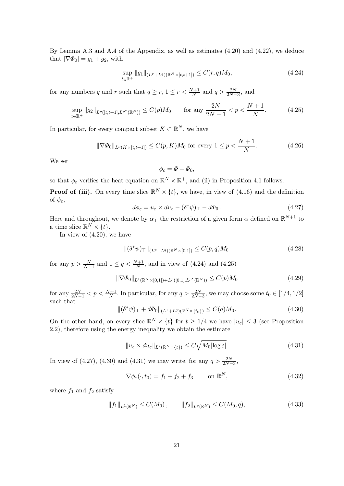By Lemma A.3 and A.4 of the Appendix, as well as estimates (4.20) and (4.22), we deduce that  $|\nabla \Phi_0| = g_1 + g_2$ , with

$$
\sup_{t \in \mathbb{R}^+} \|g_1\|_{(L^r + L^q)(\mathbb{R}^N \times [t, t+1])} \le C(r, q)M_0,
$$
\n(4.24)

for any numbers q and r such that  $q \ge r$ ,  $1 \le r < \frac{N+1}{N}$  and  $q > \frac{2N}{2N-3}$ , and

$$
\sup_{t \in \mathbb{R}^+} \|g_2\|_{L^p([t,t+1];L^{p^*}(\mathbb{R}^N))} \le C(p)M_0 \quad \text{for any } \frac{2N}{2N-1} < p < \frac{N+1}{N}.\tag{4.25}
$$

In particular, for every compact subset  $K \subset \mathbb{R}^N$ , we have

$$
\|\nabla \Phi_0\|_{L^p(K \times [t, t+1])} \le C(p, K)M_0 \text{ for every } 1 \le p < \frac{N+1}{N}.\tag{4.26}
$$

We set

$$
\phi_{\varepsilon}=\varPhi-\varPhi_0,
$$

so that  $\phi_{\varepsilon}$  verifies the heat equation on  $\mathbb{R}^N \times \mathbb{R}^+$ , and (ii) in Proposition 4.1 follows.

**Proof of (iii).** On every time slice  $\mathbb{R}^N \times \{t\}$ , we have, in view of (4.16) and the definition of  $\phi_{\varepsilon}$ ,

$$
d\phi_{\varepsilon} = u_{\varepsilon} \times du_{\varepsilon} - (\delta^* \psi)_{\top} - d\Phi_0.
$$
 (4.27)

Here and throughout, we denote by  $\alpha_{\perp}$  the restriction of a given form  $\alpha$  defined on  $\mathbb{R}^{N+1}$  to a time slice  $\mathbb{R}^N \times \{t\}.$ 

In view of  $(4.20)$ , we have

$$
\| (\delta^* \psi)_{\top} \|_{(L^p + L^q)(\mathbb{R}^N \times [0,1])} \le C(p,q) M_0 \tag{4.28}
$$

for any  $p > \frac{N}{N-1}$  and  $1 \le q < \frac{N+1}{N}$ , and in view of (4.24) and (4.25)

$$
\|\nabla \Phi_0\|_{L^1(\mathbb{R}^N \times [0,1]) + L^p([0,1], L^{p^*}(\mathbb{R}^N))} \le C(p)M_0
$$
\n(4.29)

for any  $\frac{2N}{2N-1} < p < \frac{N+1}{N}$ . In particular, for any  $q > \frac{2N}{2N-3}$ , we may choose some  $t_0 \in [1/4, 1/2]$ such that

$$
\|(\delta^*\psi)_\top + d\Phi_0\|_{(L^1 + L^q)(\mathbb{R}^N \times \{t_0\})} \le C(q)M_0.
$$
\n(4.30)

On the other hand, on every slice  $\mathbb{R}^N \times \{t\}$  for  $t \geq 1/4$  we have  $|u_{\varepsilon}| \leq 3$  (see Proposition 2.2), therefore using the energy inequality we obtain the estimate

$$
||u_{\varepsilon} \times du_{\varepsilon}||_{L^{2}(\mathbb{R}^{N}\times\{t\})} \leq C\sqrt{M_{0}|\log \varepsilon|}. \tag{4.31}
$$

In view of (4.27), (4.30) and (4.31) we may write, for any  $q > \frac{2N}{2N-3}$ ,

$$
\nabla \phi_{\varepsilon}(\cdot, t_0) = f_1 + f_2 + f_3 \qquad \text{on } \mathbb{R}^N, \tag{4.32}
$$

where  $f_1$  and  $f_2$  satisfy

$$
||f_1||_{L^1(\mathbb{R}^N)} \le C(M_0), \qquad ||f_2||_{L^q(\mathbb{R}^N)} \le C(M_0, q), \tag{4.33}
$$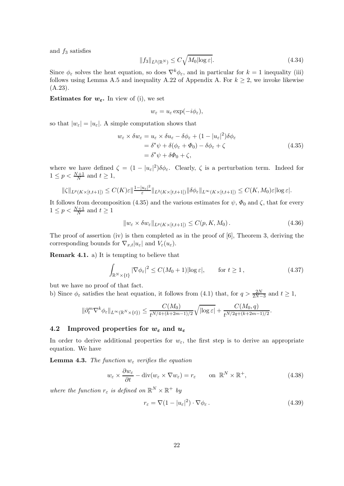and  $f_3$  satisfies

$$
||f_3||_{L^2(\mathbb{R}^N)} \le C\sqrt{M_0|\log \varepsilon|}. \tag{4.34}
$$

Since  $\phi_{\varepsilon}$  solves the heat equation, so does  $\nabla^k \phi_{\varepsilon}$ , and in particular for  $k = 1$  inequality (iii) follows using Lemma A.5 and inequality A.22 of Appendix A. For  $k \geq 2$ , we invoke likewise (A.23).

**Estimates for**  $w_{\varepsilon}$ **.** In view of (i), we set

$$
w_{\varepsilon} = u_{\varepsilon} \exp(-i\phi_{\varepsilon}),
$$

so that  $|w_{\varepsilon}| = |u_{\varepsilon}|$ . A simple computation shows that

$$
w_{\varepsilon} \times \delta w_{\varepsilon} = u_{\varepsilon} \times \delta u_{\varepsilon} - \delta \phi_{\varepsilon} + (1 - |u_{\varepsilon}|^2) \delta \phi_{\varepsilon}
$$
  
=  $\delta^* \psi + \delta (\phi_{\varepsilon} + \Phi_0) - \delta \phi_{\varepsilon} + \zeta$   
=  $\delta^* \psi + \delta \Phi_0 + \zeta$ , (4.35)

where we have defined  $\zeta = (1 - |u_{\varepsilon}|^2) \delta \phi_{\varepsilon}$ . Clearly,  $\zeta$  is a perturbation term. Indeed for  $1 \leq p < \frac{N+1}{N}$  and  $t \geq 1$ ,

$$
\|\zeta\|_{L^p(K\times[t,t+1])}\leq C(K)\varepsilon\|\frac{1-|u_\varepsilon|^2}{\varepsilon}\|_{L^2(K\times[t,t+1])}\|\delta\phi_\varepsilon\|_{L^\infty(K\times[t,t+1])}\leq C(K,M_0)\varepsilon|\log\varepsilon|.
$$

It follows from decomposition (4.35) and the various estimates for  $\psi$ ,  $\Phi_0$  and  $\zeta$ , that for every  $1 \leq p < \frac{N+1}{N}$  and  $t \geq 1$ 

$$
||w_{\varepsilon} \times \delta w_{\varepsilon}||_{L^{p}(K \times [t,t+1])} \leq C(p, K, M_0).
$$
\n(4.36)

The proof of assertion (iv) is then completed as in the proof of [6], Theorem 3, deriving the corresponding bounds for  $\nabla_{x,t}|u_{\varepsilon}|$  and  $V_{\varepsilon}(u_{\varepsilon}).$ 

Remark 4.1. a) It is tempting to believe that

$$
\int_{\mathbb{R}^N \times \{t\}} |\nabla \phi_{\varepsilon}|^2 \le C(M_0 + 1) |\log \varepsilon|, \qquad \text{for } t \ge 1,
$$
\n(4.37)

but we have no proof of that fact.

b) Since  $\phi_{\varepsilon}$  satisfies the heat equation, it follows from (4.1) that, for  $q > \frac{2N}{2N-3}$  and  $t \ge 1$ ,

$$
\|\partial_t^m \nabla^k \phi_{\varepsilon}\|_{L^\infty(\mathbb{R}^N\times\{t\})}\leq \frac{C(M_0)}{t^{N/4+(k+2m-1)/2}}\sqrt{|\!\log \varepsilon|}+\frac{C(M_0,q)}{t^{N/2q+(k+2m-1)/2}}.
$$

### 4.2 Improved properties for  $w_{\varepsilon}$  and  $u_{\varepsilon}$

In order to derive additional properties for  $w_{\varepsilon}$ , the first step is to derive an appropriate equation. We have

**Lemma 4.3.** The function  $w_{\varepsilon}$  verifies the equation

$$
w_{\varepsilon} \times \frac{\partial w_{\varepsilon}}{\partial t} - \text{div}(w_{\varepsilon} \times \nabla w_{\varepsilon}) = r_{\varepsilon} \qquad \text{on } \mathbb{R}^N \times \mathbb{R}^+, \tag{4.38}
$$

where the function  $r_{\varepsilon}$  is defined on  $\mathbb{R}^N \times \mathbb{R}^+$  by

$$
r_{\varepsilon} = \nabla (1 - |u_{\varepsilon}|^2) \cdot \nabla \phi_{\varepsilon}.
$$
\n(4.39)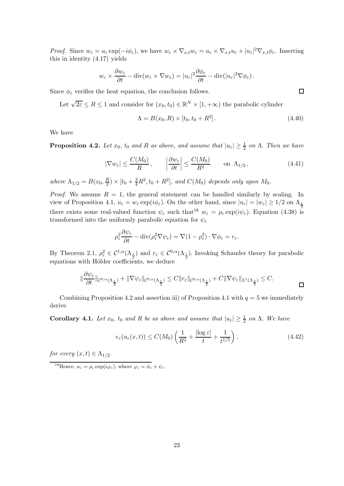*Proof.* Since  $w_{\varepsilon} = u_{\varepsilon} \exp(-i\phi_{\varepsilon})$ , we have  $w_{\varepsilon} \times \nabla_{x,t} w_{\varepsilon} = u_{\varepsilon} \times \nabla_{x,t} u_{\varepsilon} + |u_{\varepsilon}|^2 \nabla_{x,t} \phi_{\varepsilon}$ . Inserting this in identity (4.17) yields

$$
w_{\varepsilon} \times \frac{\partial w_{\varepsilon}}{\partial t} - \text{div}(w_{\varepsilon} \times \nabla w_{\varepsilon}) = |u_{\varepsilon}|^2 \frac{\partial \phi_{\varepsilon}}{\partial t} - \text{div}(|u_{\varepsilon}|^2 \nabla \phi_{\varepsilon}).
$$

Since  $\phi_{\varepsilon}$  verifies the heat equation, the conclusion follows.

Let  $\sqrt{2\varepsilon} \leq R \leq 1$  and consider for  $(x_0, t_0) \in \mathbb{R}^N \times [1, +\infty)$  the parabolic cylinder

$$
\Lambda = B(x_0, R) \times [t_0, t_0 + R^2].
$$
\n(4.40)

We have

**Proposition 4.2.** Let  $x_0$ ,  $t_0$  and R as above, and assume that  $|u_{\varepsilon}| \geq \frac{1}{2}$  on  $\Lambda$ . Then we have

$$
|\nabla w_{\varepsilon}| \le \frac{C(M_0)}{R}, \qquad \left|\frac{\partial w_{\varepsilon}}{\partial t}\right| \le \frac{C(M_0)}{R^2} \qquad \text{on } \Lambda_{1/2},\tag{4.41}
$$

where  $\Lambda_{1/2} = B(x_0, \frac{R}{2})$  $\frac{R}{2}$   $\times$  [ $t_0 + \frac{3}{4}R^2$ ,  $t_0 + R^2$ ], and  $C(M_0)$  depends only upon  $M_0$ .

*Proof.* We assume  $R = 1$ , the general statement can be handled similarly by scaling. In view of Proposition 4.1,  $u_{\varepsilon} = w_{\varepsilon} \exp(i\phi_{\varepsilon})$ . On the other hand, since  $|u_{\varepsilon}| = |w_{\varepsilon}| \ge 1/2$  on  $\Lambda_{\frac{1}{2}}$ there exists some real-valued function  $\psi_{\varepsilon}$  such that<sup>18</sup>  $w_{\varepsilon} = \rho_{\varepsilon} \exp(i \psi_{\varepsilon})$ . Equation (4.38) is transformed into the uniformly parabolic equation for  $\psi_{\varepsilon}$ 

$$
\rho_{\varepsilon}^{2} \frac{\partial \psi_{\varepsilon}}{\partial t} - \text{div}(\rho_{\varepsilon}^{2} \nabla \psi_{\varepsilon}) = \nabla (1 - \rho_{\varepsilon}^{2}) \cdot \nabla \phi_{\varepsilon} = r_{\varepsilon}.
$$

By Theorem 2.1,  $\rho_{\varepsilon}^2 \in C^{1,\alpha}(\Lambda_{\frac{1}{2}})$  and  $r_{\varepsilon} \in C^{0,\alpha}(\Lambda_{\frac{1}{2}})$ . Invoking Schauder theory for parabolic equations with Hölder coefficients, we deduce

$$
\|\frac{\partial \psi_{\varepsilon}}{\partial t}\|_{\mathcal{C}^{0,\alpha}(\Lambda_{\frac{1}{2}})} + \|\nabla \psi_{\varepsilon}\|_{\mathcal{C}^{0,\alpha}(\Lambda_{\frac{1}{2}})} \leq C \|r_{\varepsilon}\|_{\mathcal{C}^{0,\alpha}(\Lambda_{\frac{1}{2}})} + C \|\nabla \psi_{\varepsilon}\|_{L^{1}(\Lambda_{\frac{3}{4}})} \leq C.
$$

Combining Proposition 4.2 and assertion iii) of Proposition 4.1 with  $q = 5$  we immediately derive

**Corollary 4.1.** Let  $x_0$ ,  $t_0$  and R be as above and assume that  $|u_{\varepsilon}| \geq \frac{1}{2}$  on  $\Lambda$ . We have

$$
e_{\varepsilon}(u_{\varepsilon}(x,t)) \le C(M_0) \left( \frac{1}{R^2} + \frac{|\log \varepsilon|}{t} + \frac{1}{t^{1/5}} \right),\tag{4.42}
$$

for every  $(x,t) \in \Lambda_{1/2}$ .

 $\Box$ 

<sup>&</sup>lt;sup>18</sup>Hence,  $u_{\varepsilon} = \rho_{\varepsilon} \exp(i\varphi_{\varepsilon})$ , where  $\varphi_{\varepsilon} = \phi_{\varepsilon} + \psi_{\varepsilon}$ .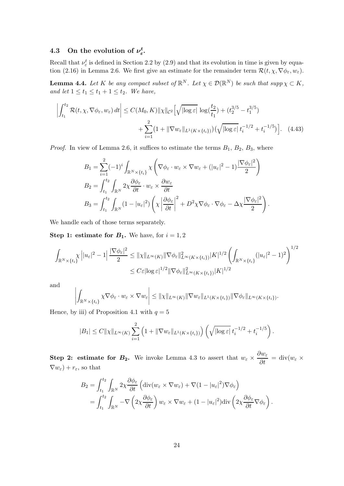#### 4.3 On the evolution of  $\nu_{\varepsilon}^{t}$ ,t<br>ε•

Recall that  $\nu_{\varepsilon}^{t}$  is defined in Section 2.2 by (2.9) and that its evolution in time is given by equation (2.16) in Lemma 2.6. We first give an estimate for the remainder term  $\mathcal{R}(t, \chi, \nabla \phi_{\varepsilon}, w_{\varepsilon})$ .

**Lemma 4.4.** Let K be any compact subset of  $\mathbb{R}^N$ . Let  $\chi \in \mathcal{D}(\mathbb{R}^N)$  be such that  $supp \chi \subset K$ , and let  $1 \le t_1 \le t_1 + 1 \le t_2$ . We have,

$$
\left| \int_{t_1}^{t_2} \mathcal{R}(t, \chi, \nabla \phi_{\varepsilon}, w_{\varepsilon}) dt \right| \le C(M_0, K) \|\chi\|_{\mathcal{C}^2} \left[ \sqrt{|\log \varepsilon|} \, \log(\frac{t_2}{t_1}) + (t_2^{3/5} - t_1^{3/5}) \right] + \sum_{i=1}^2 (1 + \|\nabla w_{\varepsilon}\|_{L^1(K \times \{t_i\})}) \big( \sqrt{|\log \varepsilon|} \, t_i^{-1/2} + t_i^{-1/5} \big) \right]. \tag{4.43}
$$

*Proof.* In view of Lemma 2.6, it suffices to estimate the terms  $B_1$ ,  $B_2$ ,  $B_3$ , where

$$
B_1 = \sum_{i=1}^2 (-1)^i \int_{\mathbb{R}^N \times \{t_i\}} \chi \left( \nabla \phi_{\varepsilon} \cdot w_{\varepsilon} \times \nabla w_{\varepsilon} + (|u_{\varepsilon}|^2 - 1) \frac{|\nabla \phi_{\varepsilon}|^2}{2} \right)
$$
  
\n
$$
B_2 = \int_{t_1}^{t_2} \int_{\mathbb{R}^N} 2\chi \frac{\partial \phi_{\varepsilon}}{\partial t} \cdot w_{\varepsilon} \times \frac{\partial w_{\varepsilon}}{\partial t}
$$
  
\n
$$
B_3 = \int_{t_1}^{t_2} \int_{\mathbb{R}^N} (1 - |u_{\varepsilon}|^2) \left( \chi \left| \frac{\partial \phi_{\varepsilon}}{\partial t} \right|^2 + D^2 \chi \nabla \phi_{\varepsilon} \cdot \nabla \phi_{\varepsilon} - \Delta \chi \frac{|\nabla \phi_{\varepsilon}|^2}{2} \right).
$$

We handle each of those terms separately.

**Step 1: estimate for**  $B_1$ **.** We have, for  $i = 1, 2$ 

$$
\int_{\mathbb{R}^N \times \{t_i\}} \chi \left| |u_{\varepsilon}|^2 - 1 \right| \frac{|\nabla \phi_{\varepsilon}|^2}{2} \leq ||\chi||_{L^{\infty}(K)} ||\nabla \phi_{\varepsilon}||_{L^{\infty}(K \times \{t_i\})}^2 |K|^{1/2} \left( \int_{\mathbb{R}^N \times \{t_i\}} (|u_{\varepsilon}|^2 - 1)^2 \right)^{1/2} \leq C \varepsilon |\log \varepsilon|^{1/2} ||\nabla \phi_{\varepsilon}||_{L^{\infty}(K \times \{t_i\})}^2 |K|^{1/2}
$$

and

$$
\left| \int_{\mathbb{R}^N \times \{t_i\}} \chi \nabla \phi_{\varepsilon} \cdot w_{\varepsilon} \times \nabla w_{\varepsilon} \right| \leq ||\chi||_{L^{\infty}(K)} ||\nabla w_{\varepsilon}||_{L^{1}(K \times \{t_i\})} ||\nabla \phi_{\varepsilon}||_{L^{\infty}(K \times \{t_i\})}.
$$

Hence, by iii) of Proposition 4.1 with  $q = 5$ 

$$
|B_1| \leq C ||\chi||_{L^{\infty}(K)} \sum_{i=1}^2 \left(1 + ||\nabla w_{\varepsilon}||_{L^1(K \times \{t_i\})}\right) \left(\sqrt{|\log \varepsilon|} \; t_i^{-1/2} + t_i^{-1/5}\right).
$$

Step 2: estimate for  $B_2$ . We invoke Lemma 4.3 to assert that  $w_{\varepsilon} \times \frac{\partial w_{\varepsilon}}{\partial t} = \text{div}(w_{\varepsilon} \times$  $\nabla w_{\varepsilon}$ ) +  $r_{\varepsilon}$ , so that

$$
B_2 = \int_{t_1}^{t_2} \int_{\mathbb{R}^N} 2\chi \frac{\partial \phi_{\varepsilon}}{\partial t} \left( \text{div}(w_{\varepsilon} \times \nabla w_{\varepsilon}) + \nabla (1 - |u_{\varepsilon}|^2) \nabla \phi_{\varepsilon} \right)
$$
  
= 
$$
\int_{t_1}^{t_2} \int_{\mathbb{R}^N} -\nabla \left( 2\chi \frac{\partial \phi_{\varepsilon}}{\partial t} \right) w_{\varepsilon} \times \nabla w_{\varepsilon} + (1 - |u_{\varepsilon}|^2) \text{div} \left( 2\chi \frac{\partial \phi_{\varepsilon}}{\partial t} \nabla \phi_{\varepsilon} \right).
$$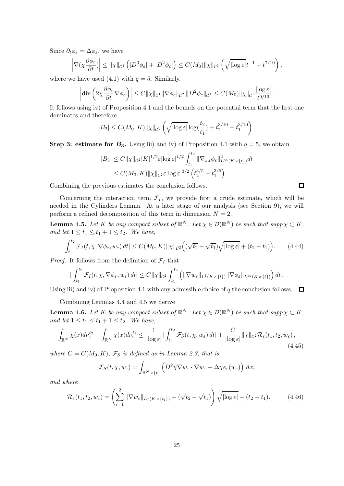Since  $\partial_t \phi_\varepsilon = \Delta \phi_\varepsilon$ , we have

$$
\left|\nabla(\chi \frac{\partial \phi_{\varepsilon}}{\partial t})\right| \leq \|\chi\|_{\mathcal{C}^{1}}\left(|D^{3}\phi_{\varepsilon}| + |D^{2}\phi_{\varepsilon}|\right) \leq C(M_{0})\|\chi\|_{\mathcal{C}^{1}}\left(\sqrt{|\log \varepsilon|}t^{-1} + t^{7/10}\right),
$$

where we have used  $(4.1)$  with  $q = 5$ . Similarly,

$$
\left|\mathrm{div}\left(2\chi\frac{\partial\phi_{\varepsilon}}{\partial t}\nabla\phi_{\varepsilon}\right)\right|\leq C\|\chi\|_{\mathcal{C}^{1}}\|\nabla\phi_{\varepsilon}\|_{\mathcal{C}^{2}}\|D^{2}\phi_{\varepsilon}\|_{\mathcal{C}^{1}}\leq C(M_{0})\|\chi\|_{\mathcal{C}^{1}}\frac{|\log\varepsilon|}{t^{9/10}}.
$$

It follows using iv) of Proposition 4.1 and the bounds on the potential term that the first one dominates and therefore

$$
|B_2| \leq C(M_0, K) \|\chi\|_{\mathcal{C}^1} \left( \sqrt{|\log \varepsilon|} \log(\frac{t_2}{t_1}) + t_2^{3/10} - t_1^{3/10} \right).
$$

Step 3: estimate for  $B_3$ . Using iii) and iv) of Proposition 4.1 with  $q=5$ , we obtain

$$
|B_3| \leq C ||\chi||_{\mathcal{C}^2} |K|^{1/2} \varepsilon |\log \varepsilon|^{1/2} \int_{t_1}^{t_2} ||\nabla_{x,t} \phi_{\varepsilon}||_{L^{\infty}(K \times \{t\})}^2 dt
$$
  
 
$$
\leq C(M_0, K) ||\chi||_{\mathcal{C}^2} \varepsilon |\log \varepsilon|^{3/2} \left(t_2^{3/5} - t_1^{3/5}\right).
$$

Combining the previous estimates the conclusion follows.

Concerning the interaction term  $\mathcal{F}_I$ , we provide first a crude estimate, which will be needed in the Cylinders Lemma. At a later stage of our analysis (see Section 9), we will perform a refined decomposition of this term in dimension  $N = 2$ .

**Lemma 4.5.** Let K be any compact subset of  $\mathbb{R}^N$ . Let  $\chi \in \mathcal{D}(\mathbb{R}^N)$  be such that  $supp \chi \subset K$ , and let  $1 \le t_1 \le t_1 + 1 \le t_2$ . We have,

$$
\left| \int_{t_1}^{t_2} \mathcal{F}_I(t, \chi, \nabla \phi_{\varepsilon}, w_{\varepsilon}) dt \right| \le C(M_0, K) \|\chi\|_{\mathcal{C}^2} \Big( (\sqrt{t_2} - \sqrt{t_1}) \sqrt{|\log \varepsilon|} + (t_2 - t_1) \Big). \tag{4.44}
$$

*Proof.* It follows from the definition of  $\mathcal{F}_I$  that

$$
|\int_{t_1}^{t_2} \mathcal{F}_I(t,\chi,\nabla\phi_{\varepsilon},w_{\varepsilon}) dt| \leq C \|\chi\|_{\mathcal{C}^2} \int_{t_1}^{t_2} \left( \|\nabla w_{\varepsilon}\|_{L^1(K\times\{t\})} \|\nabla\phi_{\varepsilon}\|_{L^{\infty}(K\times\{t\})} \right) dt.
$$

Using iii) and iv) of Proposition 4.1 with any admissible choice of q the conclusion follows.  $\Box$ 

Combining Lemmas 4.4 and 4.5 we derive

**Lemma 4.6.** Let K be any compact subset of  $\mathbb{R}^N$ . Let  $\chi \in \mathcal{D}(\mathbb{R}^N)$  be such that  $supp \chi \subset K$ , and let  $1 \le t_1 \le t_1 + 1 \le t_2$ . We have,

$$
\int_{\mathbb{R}^N} \chi(x) d\nu_{\varepsilon}^{t_2} - \int_{\mathbb{R}^N} \chi(x) d\nu_{\varepsilon}^{t_1} \le \frac{1}{|\log \varepsilon|} |\int_{t_1}^{t_2} \mathcal{F}_S(t, \chi, w_{\varepsilon}) dt| + \frac{C}{|\log \varepsilon|} \|\chi\|_{\mathcal{C}^2} \mathcal{R}_{\varepsilon}(t_1, t_2, w_{\varepsilon}),
$$
\n(4.45)

where  $C = C(M_0, K)$ ,  $\mathcal{F}_S$  is defined as in Lemma 2.3, that is

$$
\mathcal{F}_S(t,\chi,w_{\varepsilon})=\int_{\mathbb{R}^N\times\{t\}}\left(D^2\chi\nabla w_{\varepsilon}\cdot\nabla w_{\varepsilon}-\Delta\chi e_{\varepsilon}(w_{\varepsilon})\right)\,dx,
$$

and where

$$
\mathcal{R}_{\varepsilon}(t_1, t_2, w_{\varepsilon}) = \left(\sum_{i=1}^2 \|\nabla w_{\varepsilon}\|_{L^1(K \times \{t_i\})} + (\sqrt{t_2} - \sqrt{t_1})\right) \sqrt{|\log \varepsilon|} + (t_2 - t_1). \tag{4.46}
$$

 $\Box$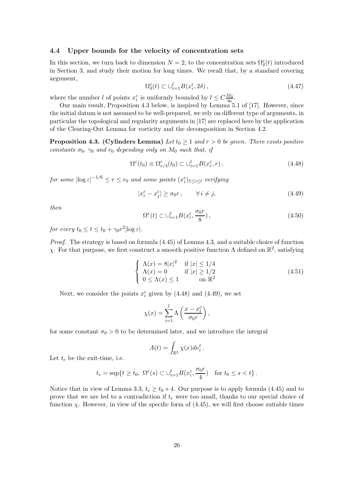#### 4.4 Upper bounds for the velocity of concentration sets

In this section, we turn back to dimension  $N=2$ , to the concentration sets  $\Omega_{\delta}^{\varepsilon}(t)$  introduced in Section 3, and study their motion for long times. We recall that, by a standard covering argument,

$$
\Omega^{\varepsilon}_{\delta}(t) \subset \bigcup_{i=1}^{l} B(x_i^{\varepsilon}, 2\delta), \tag{4.47}
$$

where the number l of points  $x_i^{\varepsilon}$  is uniformly bounded by  $l \leq C \frac{M_0}{\eta_0}$  $\frac{W_0}{\eta_0}.$ 

Our main result, Proposition 4.3 below, is inspired by Lemma 5.1 of [17]. However, since the initial datum is not assumed to be well-prepared, we rely on different type of arguments, in particular the topological and regularity arguments in [17] are replaced here by the application of the Clearing-Out Lemma for vorticity and the decomposition in Section 4.2.

**Proposition 4.3. (Cylinders Lemma)** Let  $t_0 \geq 1$  and  $r > 0$  be given. There exists positive constants  $\sigma_0$ ,  $\gamma_0$  and  $r_0$  depending only on  $M_0$  such that, if

$$
\Omega^{\varepsilon}(t_0) \equiv \Omega^{\varepsilon}_{r/4}(t_0) \subset \bigcup_{i=1}^{l} B(x_i^{\varepsilon}, r) ,\qquad (4.48)
$$

for some  $|\log \varepsilon|^{-1/6} \leq r \leq r_0$  and some points  $(x_i^{\varepsilon})_{1 \leq i \leq l}$  verifying

$$
|x_i^{\varepsilon} - x_j^{\varepsilon}| \ge \sigma_0 r \,, \qquad \forall \, i \ne j, \tag{4.49}
$$

then

$$
\Omega^{\varepsilon}(t) \subset \bigcup_{i=1}^{l} B(x_i^{\varepsilon}, \frac{\sigma_0 r}{8}), \qquad (4.50)
$$

for every  $t_0 \le t \le t_0 + \gamma_0 r^2 |\log \varepsilon|$ .

Proof. The strategy is based on formula (4.45) of Lemma 4.3, and a suitable choice of function  $\chi$ . For that purpose, we first construct a smooth positive function  $\Lambda$  defined on  $\mathbb{R}^2$ , satisfying

$$
\begin{cases}\n\Lambda(x) = 8|x|^2 & \text{if } |x| \le 1/4 \\
\Lambda(x) = 0 & \text{if } |x| \ge 1/2 \\
0 \le \Lambda(x) \le 1 & \text{on } \mathbb{R}^2\n\end{cases}
$$
\n(4.51)

Next, we consider the points  $x_i^{\varepsilon}$  given by (4.48) and (4.49), we set

$$
\chi(x) = \sum_{i=1}^{l} \Lambda\left(\frac{x - x_i^{\varepsilon}}{\sigma_0 r}\right),\,
$$

for some constant  $\sigma_0 > 0$  to be determined later, and we introduce the integral

$$
A(t) = \int_{\mathbb{R}^2} \chi(x) d\nu_{\varepsilon}^t.
$$

Let  $t_e$  be the exit-time, i.e.

$$
t_e = \sup\{t \ge t_0, \ \Omega^{\varepsilon}(s) \subset \bigcup_{i=1}^l B(x_i^{\varepsilon}, \frac{\sigma_0 r}{4}) \text{ for } t_0 \le s < t\}.
$$

Notice that in view of Lemma 3.3,  $t_e \ge t_0 + 4$ . Our purpose is to apply formula (4.45) and to prove that we are led to a contradiction if  $t<sub>e</sub>$  were too small, thanks to our special choice of function  $\chi$ . However, in view of the specific form of (4.45), we will first choose suitable times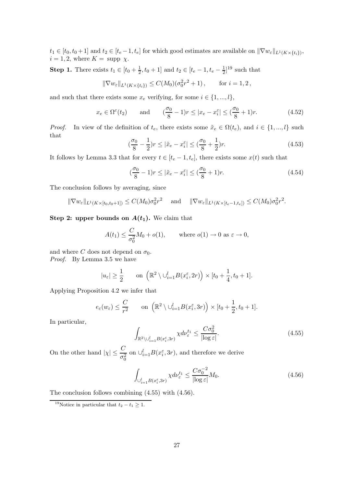$t_1 \in [t_0, t_0 + 1]$  and  $t_2 \in [t_e - 1, t_e]$  for which good estimates are available on  $\|\nabla w_{\varepsilon}\|_{L^1(K \times \{t_i\})}$ ,  $i = 1, 2$ , where  $K = \text{supp }\chi$ .

**Step 1.** There exists  $t_1 \in [t_0 + \frac{1}{2}]$  $\frac{1}{2}$ ,  $t_0 + 1$  and  $t_2 \in [t_e - 1, t_e - \frac{1}{2}]$  $\frac{1}{2}]^{19}$  such that

$$
\|\nabla w_{\varepsilon}\|_{L^1(K\times\{t_i\})}\leq C(M_0)(\sigma_0^2r^2+1)\,,\qquad\text{for }i=1,2\,,
$$

and such that there exists some  $x_e$  verifying, for some  $i \in \{1, ..., l\}$ ,

$$
x_e \in \Omega^{\varepsilon}(t_2) \quad \text{and} \quad (\frac{\sigma_0}{8} - 1)r \le |x_e - x_i^{\varepsilon}| \le (\frac{\sigma_0}{8} + 1)r. \tag{4.52}
$$

*Proof.* In view of the definition of  $t_e$ , there exists some  $\tilde{x}_e \in \Omega(t_e)$ , and  $i \in \{1, ..., l\}$  such that

$$
(\frac{\sigma_0}{8} - \frac{1}{2})r \le |\tilde{x}_e - x_i^{\varepsilon}| \le (\frac{\sigma_0}{8} + \frac{1}{2})r. \tag{4.53}
$$

It follows by Lemma 3.3 that for every  $t \in [t_e - 1, t_e]$ , there exists some  $x(t)$  such that

$$
\left(\frac{\sigma_0}{8} - 1\right) r \le |\tilde{x}_e - x_i^{\varepsilon}| \le \left(\frac{\sigma_0}{8} + 1\right) r. \tag{4.54}
$$

The conclusion follows by averaging, since

$$
\|\nabla w_{\varepsilon}\|_{L^{1}(K\times [t_0,t_0+1])} \leq C(M_0)\sigma_0^2 r^2 \quad \text{and} \quad \|\nabla w_{\varepsilon}\|_{L^{1}(K\times [t_e-1,t_e])} \leq C(M_0)\sigma_0^2 r^2.
$$

### Step 2: upper bounds on  $A(t_1)$ . We claim that

$$
A(t_1) \le \frac{C}{\sigma_0^2} M_0 + o(1), \quad \text{where } o(1) \to 0 \text{ as } \varepsilon \to 0,
$$

and where C does not depend on  $\sigma_0$ . Proof. By Lemma 3.5 we have

$$
|u_{\varepsilon}|\geq \frac{1}{2} \qquad \text{on } \left(\mathbb{R}^2\setminus \cup_{i=1}^l B(x_i^{\varepsilon}, 2r)\right)\times [t_0+\frac{1}{4}, t_0+1].
$$

Applying Proposition 4.2 we infer that

$$
e_{\varepsilon}(w_{\varepsilon}) \leq \frac{C}{r^2}
$$
 on  $(\mathbb{R}^2 \setminus \bigcup_{i=1}^l B(x_i^{\varepsilon}, 3r)) \times [t_0 + \frac{1}{2}, t_0 + 1].$ 

In particular,

$$
\int_{\mathbb{R}^2 \setminus \bigcup_{i=1}^l B(x_i^{\varepsilon}, 3r)} \chi d\nu_{\varepsilon}^{t_1} \le \frac{C\sigma_0^2}{|\log \varepsilon|}.
$$
\n(4.55)

On the other hand  $|\chi| \leq \frac{C}{\sigma_0^2}$  on  $\cup_{i=1}^l B(x_i^{\varepsilon}, 3r)$ , and therefore we derive

$$
\int_{\bigcup_{i=1}^{l} B(x_i^{\varepsilon}, 3r)} \chi d\nu_{\varepsilon}^{t_1} \le \frac{C\sigma_0^{-2}}{|\log \varepsilon|} M_0. \tag{4.56}
$$

The conclusion follows combining (4.55) with (4.56).

<sup>&</sup>lt;sup>19</sup>Notice in particular that  $t_2 - t_1 \geq 1$ .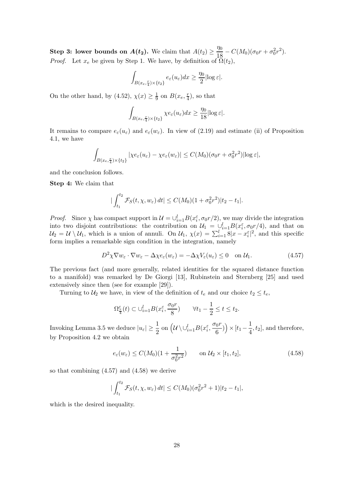**Step 3: lower bounds on**  $A(t_2)$ **.** We claim that  $A(t_2) \geq \frac{\eta_0}{18}$  $\frac{\eta_0}{18} - C(M_0)(\sigma_0 r + \sigma_0^2 r^2).$ *Proof.* Let  $x_e$  be given by Step 1. We have, by definition of  $\tilde{\Omega}(t_2)$ ,

$$
\int_{B(x_e,\frac{r}{4})\times\{t_2\}} e_{\varepsilon}(u_{\varepsilon})dx \geq \frac{\eta_0}{2}|\log \varepsilon|.
$$

On the other hand, by (4.52),  $\chi(x) \geq \frac{1}{9}$  $\frac{1}{9}$  on  $B(x_e, \frac{r}{4})$  $(\frac{r}{4})$ , so that

$$
\int_{B(x_e, \frac{r}{4}) \times \{t_2\}} \chi e_{\varepsilon}(u_{\varepsilon}) dx \geq \frac{\eta_0}{18} |\log \varepsilon|.
$$

It remains to compare  $e_{\varepsilon}(u_{\varepsilon})$  and  $e_{\varepsilon}(w_{\varepsilon})$ . In view of (2.19) and estimate (ii) of Proposition 4.1, we have

$$
\int_{B(x_e,\frac{r}{4})\times\{t_2\}} |\chi e_{\varepsilon}(u_{\varepsilon})-\chi e_{\varepsilon}(w_{\varepsilon})| \leq C(M_0)(\sigma_0 r + \sigma_0^2 r^2) |\log \varepsilon|,
$$

and the conclusion follows.

Step 4: We claim that

$$
\left|\int_{t_1}^{t_2} \mathcal{F}_S(t, \chi, w_\varepsilon) dt\right| \le C(M_0)(1 + \sigma_0^2 r^2)|t_2 - t_1|.
$$

*Proof.* Since  $\chi$  has compact support in  $\mathcal{U} = \bigcup_{i=1}^{l} B(x_i^{\varepsilon}, \sigma_0 r/2)$ , we may divide the integration into two disjoint contributions: the contribution on  $\mathcal{U}_1 = \bigcup_{i=1}^l B(x_i^{\varepsilon}, \sigma_0 r/4)$ , and that on  $\mathcal{U}_2 = \mathcal{U} \setminus \mathcal{U}_1$ , which is a union of annuli. On  $\mathcal{U}_1$ ,  $\chi(x) = \sum_{i=1}^l 8|x - x_i^{\varepsilon}|^2$ , and this specific form implies a remarkable sign condition in the integration, namely

$$
D^{2}\chi\nabla w_{\varepsilon}\cdot\nabla w_{\varepsilon} - \Delta\chi e_{\varepsilon}(w_{\varepsilon}) = -\Delta\chi V_{\varepsilon}(u_{\varepsilon}) \leq 0 \quad \text{on } \mathcal{U}_{1}.
$$
 (4.57)

The previous fact (and more generally, related identities for the squared distance function to a manifold) was remarked by De Giorgi [13], Rubinstein and Sternberg [25] and used extensively since then (see for example [29]).

Turning to  $U_2$  we have, in view of the definition of  $t_e$  and our choice  $t_2 \leq t_e$ ,

$$
\Omega^{\varepsilon}_{\frac{r}{4}}(t) \subset \cup_{i=1}^{l} B(x_i^{\varepsilon}, \frac{\sigma_0 r}{8}) \qquad \forall t_1 - \frac{1}{2} \le t \le t_2.
$$

Invoking Lemma 3.5 we deduce  $|u_{\varepsilon}| \geq \frac{1}{2}$  on  $\left(\mathcal{U} \setminus \cup_{i=1}^l B(x_i^{\varepsilon}, \frac{\sigma_0 r}{6})\right)$  $\left(\frac{6r}{6}\right)$ ) ×  $[t_1 - \frac{1}{4}]$  $\frac{1}{4}$ ,  $t_2$ , and therefore, by Proposition 4.2 we obtain

$$
e_{\varepsilon}(w_{\varepsilon}) \le C(M_0)(1 + \frac{1}{\sigma_0^2 r^2}) \qquad \text{on } \mathcal{U}_2 \times [t_1, t_2], \tag{4.58}
$$

so that combining (4.57) and (4.58) we derive

$$
|\int_{t_1}^{t_2} \mathcal{F}_S(t, \chi, w_\varepsilon) dt| \le C(M_0) (\sigma_0^2 r^2 + 1)|t_2 - t_1|,
$$

which is the desired inequality.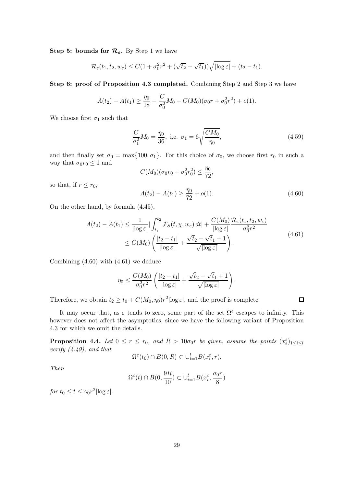Step 5: bounds for  $\mathcal{R}_{\varepsilon}$ . By Step 1 we have

$$
\mathcal{R}_{\varepsilon}(t_1, t_2, w_{\varepsilon}) \leq C(1 + \sigma_0^2 r^2 + (\sqrt{t_2} - \sqrt{t_1}))\sqrt{|\log \varepsilon|} + (t_2 - t_1).
$$

Step 6: proof of Proposition 4.3 completed. Combining Step 2 and Step 3 we have

$$
A(t_2) - A(t_1) \ge \frac{\eta_0}{18} - \frac{C}{\sigma_0^2}M_0 - C(M_0)(\sigma_0 r + \sigma_0^2 r^2) + o(1).
$$

We choose first  $\sigma_1$  such that

$$
\frac{C}{\sigma_1^2}M_0 = \frac{\eta_0}{36}, \text{ i.e. } \sigma_1 = 6\sqrt{\frac{CM_0}{\eta_0}}, \tag{4.59}
$$

and then finally set  $\sigma_0 = \max\{100, \sigma_1\}$ . For this choice of  $\sigma_0$ , we choose first  $r_0$  in such a way that  $\sigma_0 r_0 \leq 1$  and

$$
C(M_0)(\sigma_0 r_0 + \sigma_0^2 r_0^2) \le \frac{\eta_0}{72},
$$

so that, if  $r \leq r_0$ ,

$$
A(t_2) - A(t_1) \ge \frac{\eta_0}{72} + o(1). \tag{4.60}
$$

 $\Box$ 

On the other hand, by formula (4.45),

$$
A(t_2) - A(t_1) \le \frac{1}{|\log \varepsilon|} |\int_{t_1}^{t_2} \mathcal{F}_S(t, \chi, w_\varepsilon) dt| + \frac{C(M_0)}{|\log \varepsilon|} \frac{\mathcal{R}_\varepsilon(t_1, t_2, w_\varepsilon)}{\sigma_0^2 r^2}
$$
  
 
$$
\le C(M_0) \left( \frac{|t_2 - t_1|}{|\log \varepsilon|} + \frac{\sqrt{t_2} - \sqrt{t_1} + 1}{\sqrt{|\log \varepsilon|}} \right).
$$
 (4.61)

Combining (4.60) with (4.61) we deduce

$$
\eta_0 \le \frac{C(M_0)}{\sigma_0^2 r^2} \left( \frac{|t_2 - t_1|}{|\log \varepsilon|} + \frac{\sqrt{t_2} - \sqrt{t_1} + 1}{\sqrt{|\log \varepsilon|}} \right).
$$

Therefore, we obtain  $t_2 \ge t_0 + C(M_0, \eta_0) r^2 |\log \varepsilon|$ , and the proof is complete.

It may occur that, as  $\varepsilon$  tends to zero, some part of the set  $\Omega^{\varepsilon}$  escapes to infinity. This however does not affect the asymptotics, since we have the following variant of Proposition 4.3 for which we omit the details.

**Proposition 4.4.** Let  $0 \le r \le r_0$ , and  $R > 10\sigma_0 r$  be given, assume the points  $(x_i^{\varepsilon})_{1 \le i \le l}$ verify  $(4.49)$ , and that

$$
\Omega^{\varepsilon}(t_0) \cap B(0,R) \subset \cup_{i=1}^l B(x_i^{\varepsilon},r).
$$

Then

$$
\Omega^{\varepsilon}(t) \cap B(0, \frac{9R}{10}) \subset \cup_{i=1}^{l} B(x_i^{\varepsilon}, \frac{\sigma_0 r}{8})
$$

for  $t_0 \le t \le \gamma_0 r^2 |\log \varepsilon|$ .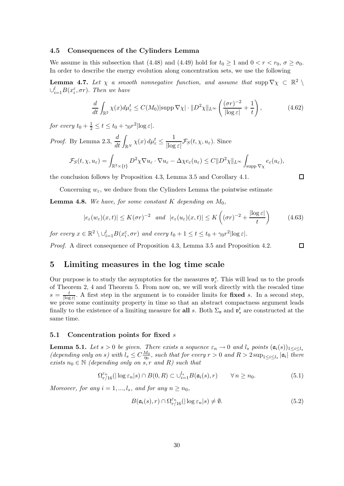#### 4.5 Consequences of the Cylinders Lemma

We assume in this subsection that (4.48) and (4.49) hold for  $t_0 \ge 1$  and  $0 < r < r_0$ ,  $\sigma \ge \sigma_0$ . In order to describe the energy evolution along concentration sets, we use the following

**Lemma 4.7.** Let  $\chi$  a smooth nonnegative function, and assume that  $\text{supp}\nabla\chi \subset \mathbb{R}^2$  $\cup_{i=1}^{l} B(x_i^{\varepsilon}, \sigma r)$ . Then we have

$$
\frac{d}{dt} \int_{\mathbb{R}^2} \chi(x) d\mu_{\varepsilon}^t \le C(M_0) |\text{supp}\,\nabla \chi| \cdot \|D^2 \chi\|_{L^\infty} \left(\frac{(\sigma r)^{-2}}{|\log \varepsilon|} + \frac{1}{t}\right),\tag{4.62}
$$

for every  $t_0 + \frac{1}{2} \le t \le t_0 + \gamma_0 r^2 |\log \varepsilon|$ .

*Proof.* By Lemma 2.3,  $\frac{d}{dt} \int_{\mathbb{R}^N} \chi(x) d\mu_{\varepsilon}^t \leq$ 1  $\frac{1}{|\log \varepsilon|} \mathcal{F}_S(t, \chi, u_\varepsilon)$ . Since

$$
\mathcal{F}_S(t,\chi,u_\varepsilon)=\int_{\mathbb{R}^2\times\{t\}}D^2\chi\nabla u_\varepsilon\cdot\nabla u_\varepsilon-\Delta\chi e_\varepsilon(u_\varepsilon)\leq C\|D^2\chi\|_{L^\infty}\int_{\text{supp }\nabla\chi}e_\varepsilon(u_\varepsilon),
$$

the conclusion follows by Proposition 4.3, Lemma 3.5 and Corollary 4.1.

Concerning  $w_{\varepsilon}$ , we deduce from the Cylinders Lemma the pointwise estimate

**Lemma 4.8.** We have, for some constant K depending on  $M_0$ ,

$$
|e_{\varepsilon}(w_{\varepsilon})(x,t)| \le K(\sigma r)^{-2} \quad \text{and} \quad |e_{\varepsilon}(u_{\varepsilon})(x,t)| \le K\left((\sigma r)^{-2} + \frac{|\log \varepsilon|}{t}\right) \tag{4.63}
$$

for every  $x \in \mathbb{R}^2 \setminus \cup_{i=1}^l B(x_i^{\varepsilon}, \sigma r)$  and every  $t_0 + 1 \le t \le t_0 + \gamma_0 r^2 |\log \varepsilon|$ .

Proof. A direct consequence of Proposition 4.3, Lemma 3.5 and Proposition 4.2.

### 5 Limiting measures in the log time scale

Our purpose is to study the asymptotics for the measures  $\mathfrak{v}^s_{\varepsilon}$ . This will lead us to the proofs of Theorem 2, 4 and Theorem 5. From now on, we will work directly with the rescaled time  $s = \frac{t}{\ln a}$  $\frac{t}{\lvert \log \varepsilon \rvert}$ . A first step in the argument is to consider limits for fixed s. In a second step, we prove some continuity property in time so that an abstract compactness argument leads finally to the existence of a limiting measure for all s. Both  $\Sigma_{\mathfrak{v}}$  and  $\mathfrak{v}_*^t$  are constructed at the same time.

### 5.1 Concentration points for fixed s

**Lemma 5.1.** Let  $s > 0$  be given. There exists a sequence  $\varepsilon_n \to 0$  and  $l_s$  points  $(\mathfrak{a}_i(s))_{1 \leq i \leq l_s}$ (depending only on s) with  $l_s \leq C \frac{M_0}{\eta_0}$  $\frac{M_0}{n_0}$ , such that for every  $r > 0$  and  $R > 2 \sup_{1 \leq i \leq l_s} |\mathfrak{a}_i|$  there exists  $n_0 \in \mathbb{N}$  (depending only on s, r and R) such that

$$
\Omega_{r/16}^{\varepsilon_n}(|\log \varepsilon_n|s) \cap B(0,R) \subset \bigcup_{i=1}^{l_s} B(\mathfrak{a}_i(s),r) \qquad \forall n \ge n_0. \tag{5.1}
$$

Moreover, for any  $i = 1, ..., l_s$ , and for any  $n \geq n_0$ ,

$$
B(\mathfrak{a}_i(s), r) \cap \Omega_{r/16}^{\varepsilon_n}(|\log \varepsilon_n|s) \neq \emptyset. \tag{5.2}
$$

 $\Box$ 

 $\Box$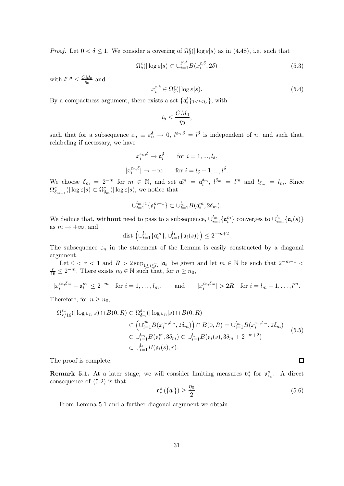*Proof.* Let  $0 < \delta \le 1$ . We consider a covering of  $\Omega_{\delta}^{\varepsilon}(|\log \varepsilon|s)$  as in (4.48), i.e. such that

$$
\Omega_{\delta}^{\varepsilon}(|\log \varepsilon|s) \subset \cup_{i=1}^{\ell^{\varepsilon,\delta}} B(x_i^{\varepsilon,\delta}, 2\delta) \tag{5.3}
$$

with  $l^{\varepsilon,\delta} \leq \frac{CM_0}{\eta_0}$  $\frac{M_0}{\eta_0}$  and

$$
x_i^{\varepsilon,\delta} \in \Omega^{\varepsilon}_{\delta}(|\log \varepsilon|s). \tag{5.4}
$$

.

By a compactness argument, there exists a set  $\{\mathfrak{a}_{i}^{\delta}\}_{1\leq i\leq l_{\delta}}\}$ , with

$$
l_{\delta}\leq \frac{CM_{0}}{\eta_{0}},
$$

such that for a subsequence  $\varepsilon_n \equiv \varepsilon_n^{\delta} \to 0$ ,  $l^{\varepsilon_n,\delta} = l^{\delta}$  is independent of *n*, and such that, relabeling if necessary, we have

$$
x_i^{\varepsilon_n, \delta} \to \mathfrak{a}_i^{\delta} \qquad \text{for } i = 1, ..., l_{\delta},
$$
  

$$
|x_i^{\varepsilon_n, \delta}| \to +\infty \qquad \text{for } i = l_{\delta} + 1, ..., l^{\delta}
$$

We choose  $\delta_m = 2^{-m}$  for  $m \in \mathbb{N}$ , and set  $\mathfrak{a}_i^m = \mathfrak{a}_i^{\delta_m}$ ,  $l^{\delta_m} = l^m$  and  $l_{\delta_m} = l_m$ . Since  $\Omega_{\delta_{m+1}}^{\varepsilon}(|\log \varepsilon|s) \subset \Omega_{\delta_m}^{\varepsilon}(|\log \varepsilon|s)$ , we notice that

$$
\cup_{i=1}^{l_{m+1}} \{\mathfrak{a}_i^{m+1}\} \subset \cup_{i=1}^{l_m} B(\mathfrak{a}_i^m, 2\delta_m).
$$

We deduce that, without need to pass to a subsequence,  $\cup_{i=1}^{l_m} \{\mathfrak{a}_i^m\}$  converges to  $\cup_{i=1}^{l_s} \{\mathfrak{a}_i(s)\}\$ as  $m \to +\infty$ , and

$$
\mathop{\rm dist}\nolimits\Big(\cup_{i=1}^{l_1}\{\mathfrak a_i^m\},\cup_{i=1}^{l_1}\{\mathfrak a_i(s)\}\Big)\le 2^{-m+2}.
$$

The subsequence  $\varepsilon_n$  in the statement of the Lemma is easily constructed by a diagonal argument.

Let  $0 < r < 1$  and  $R > 2 \sup_{1 \le i \le l_s} |\mathfrak{a}_i|$  be given and let  $m \in \mathbb{N}$  be such that  $2^{-m-1} <$  $\frac{r}{16} \leq 2^{-m}$ . There exists  $n_0 \in \mathbb{N}$  such that, for  $n \geq n_0$ ,

 $|x_i^{\varepsilon_n,\delta_m} - \mathfrak{a}_i^m| \leq 2^{-m}$  for  $i = 1,\ldots,l_m$ , and  $|x_i^{\varepsilon_n,\delta_m}| > 2R$  for  $i = l_m + 1,\ldots,l^m$ .

Therefore, for  $n \geq n_0$ ,

$$
\Omega_{r/16}^{\varepsilon_n}(|\log \varepsilon_n|s) \cap B(0,R) \subset \Omega_{\delta_m}^{\varepsilon_n}(|\log \varepsilon_n|s) \cap B(0,R)
$$
  

$$
\subset \left(\cup_{i=1}^{\infty} B(x_i^{\varepsilon_n,\delta_m}, 2\delta_m)\right) \cap B(0,R) = \cup_{i=1}^{\infty} B(x_i^{\varepsilon_n,\delta_m}, 2\delta_m)
$$
  

$$
\subset \cup_{i=1}^{\infty} B(\mathfrak{a}_i^m, 3\delta_m) \subset \cup_{i=1}^{\infty} B(\mathfrak{a}_i(s), 3\delta_m + 2^{-m+2})
$$
  

$$
\subset \cup_{i=1}^{\infty} B(\mathfrak{a}_i(s), r).
$$
 (5.5)

The proof is complete.

**Remark 5.1.** At a later stage, we will consider limiting measures  $v_*^s$ <sup>s</sup> for  $\mathfrak{v}_{\varepsilon_n}^s$ . A direct consequence of (5.2) is that

$$
\mathfrak{v}^s_*\left(\{\mathfrak{a}_i\}\right) \ge \frac{\eta_0}{2}.\tag{5.6}
$$

 $\Box$ 

From Lemma 5.1 and a further diagonal argument we obtain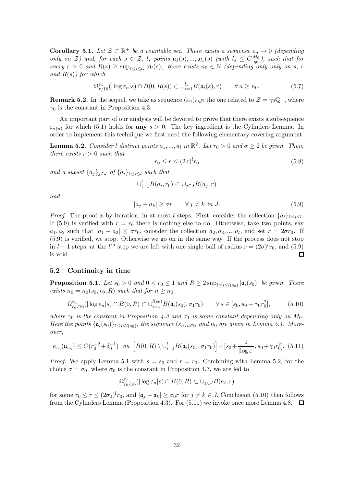**Corollary 5.1.** Let  $\mathcal{Z} \subset \mathbb{R}^+$  be a countable set. There exists a sequence  $\varepsilon_n \to 0$  (depending only on  $\mathcal{Z}$ ) and, for each  $s \in \mathcal{Z}$ ,  $l_s$  points  $\mathfrak{a}_1(s),...,\mathfrak{a}_{l_s}(s)$  (with  $l_s \leq C \frac{M_0}{\eta_0}$  $\frac{M_0}{\eta_0}$ ), such that for every  $r > 0$  and  $R(s) \ge \sup_{1 \le i \le l_s} |\mathfrak{a}_i(s)|$ , there exists  $n_0 \in \mathbb{N}$  (depending only only on s, r and  $R(s)$ ) for which

$$
\Omega_{r/16}^{\varepsilon_n}(|\log \varepsilon_n|s) \cap B(0, R(s)) \subset \bigcup_{i=1}^{l_s} B(\mathfrak{a}_i(s), r) \qquad \forall n \ge n_0. \tag{5.7}
$$

**Remark 5.2.** In the sequel, we take as sequence  $(\varepsilon_n)_{n\in\mathbb{N}}$  the one related to  $\mathcal{Z} = \gamma_0 \mathbb{Q}^+$ , where  $\gamma_0$  is the constant in Proposition 4.3.

An important part of our analysis will be devoted to prove that there exists a subsequence  $\varepsilon_{\sigma(n)}$  for which (5.1) holds for **any**  $s > 0$ . The key ingredient is the Cylinders Lemma. In order to implement this technique we first need the following elementary covering argument.

**Lemma 5.2.** Consider *l* distinct points  $a_1, ..., a_l$  in  $\mathbb{R}^2$ . Let  $r_0 > 0$  and  $\sigma \geq 2$  be given. Then, there exists  $r > 0$  such that

$$
r_0 \le r \le (2\sigma)^l r_0 \tag{5.8}
$$

and a subset  $\{a_j\}_{j\in J}$  of  $\{a_i\}_{1\leq i\leq l}$  such that

$$
\cup_{i=1}^l B(a_i, r_0) \subset \cup_{j \in J} B(a_j, r)
$$

and

$$
|a_j - a_k| \ge \sigma r \qquad \forall j \ne k \text{ in } J. \tag{5.9}
$$

*Proof.* The proof is by iteration, in at most l steps. First, consider the collection  $\{a_i\}_{1\leq i\leq l}$ . If (5.9) is verified with  $r = r_0$  there is nothing else to do. Otherwise, take two points, say  $a_1, a_2$  such that  $|a_1 - a_2| \leq \sigma r_0$ , consider the collection  $a_2, a_3, ..., a_l$ , and set  $r = 2\sigma r_0$ . If (5.9) is verified, we stop. Otherwise we go on in the same way. If the process does not stop in  $l-1$  steps, at the  $l<sup>th</sup>$  step we are left with one single ball of radius  $r = (2\sigma)^l r_0$ , and  $(5.9)$ is void.  $\Box$ 

#### 5.2 Continuity in time

**Proposition 5.1.** Let  $s_0 > 0$  and  $0 < r_0 \leq 1$  and  $R \geq 2 \sup_{1 \leq i \leq l(s_0)} |\mathfrak{a}_i(s_0)|$  be given. There exists  $n_0 = n_0(s_0, r_0, R)$  such that for  $n \geq n_0$ 

$$
\Omega_{r_0/16}^{\varepsilon_n}(|\log \varepsilon_n|s) \cap B(0,R) \subset \bigcup_{i=1}^{l(s_0)} B(\mathfrak{a}_i(s_0), \sigma_1 r_0) \qquad \forall \, s \in [s_0, s_0 + \gamma_0 r_0^2],\tag{5.10}
$$

where  $\gamma_0$  is the constant in Proposition 4.3 and  $\sigma_1$  is some constant depending only on  $M_0$ . Here the points  $\{\mathfrak{a}_i(s_0)\}_{1 \leq i \leq l(s_0)}$ , the sequence  $(\varepsilon_n)_{n \in \mathbb{N}}$  and  $n_0$  are given in Lemma 5.1. Moreover,

$$
e_{\varepsilon_n}(\mathfrak{u}_{\varepsilon_n}) \le C(r_0^{-2} + \delta_0^{-1}) \quad \text{on } \left[ B(0, R) \setminus \bigcup_{i=1}^l B(\mathfrak{a}_i(s_0), \sigma_1 r_0) \right] \times [s_0 + \frac{1}{|\log \varepsilon|}, s_0 + \gamma_0 r_0^2]. \tag{5.11}
$$

*Proof.* We apply Lemma 5.1 with  $s = s_0$  and  $r = r_0$ . Combining with Lemma 5.2, for the choice  $\sigma = \sigma_0$ , where  $\sigma_0$  is the constant in Proposition 4.3, we are led to

$$
\Omega_{r_0/16}^{\varepsilon_n}(|\log\varepsilon_n|s)\cap B(0,R)\subset\cup_{j\in J}B(a_i,r)
$$

for some  $r_0 \le r \le (2\sigma_0)^l r_0$ , and  $|\mathfrak{a}_j - \mathfrak{a}_k| \ge \sigma_0 r$  for  $j \ne k \in J$ . Conclusion (5.10) then follows from the Cylinders Lemma (Proposition 4.3). For (5.11) we invoke once more Lemma 4.8.  $\Box$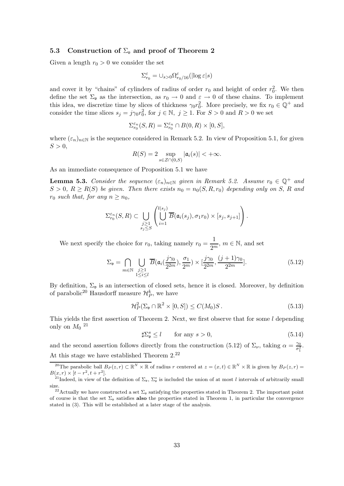#### 5.3 Construction of  $\Sigma_{\nu}$  and proof of Theorem 2

Given a length  $r_0 > 0$  we consider the set

$$
\Sigma^{\varepsilon}_{r_0}=\cup_{s>0}\Omega^{\varepsilon}_{r_0/16}(|\!\log\varepsilon|s)
$$

and cover it by "chains" of cylinders of radius of order  $r_0$  and height of order  $r_0^2$ . We then define the set  $\Sigma_{\mathfrak{v}}$  as the intersection, as  $r_0 \to 0$  and  $\varepsilon \to 0$  of these chains. To implement this idea, we discretize time by slices of thickness  $\gamma_0 r_0^2$ . More precisely, we fix  $r_0 \in \mathbb{Q}^+$  and consider the time slices  $s_j = j\gamma_0 r_0^2$ , for  $j \in \mathbb{N}, j \ge 1$ . For  $S > 0$  and  $R > 0$  we set

$$
\Sigma^{\varepsilon_n}_{r_0}(S,R)=\Sigma^{\varepsilon_n}_{r_0}\cap B(0,R)\times[0,S],
$$

where  $(\varepsilon_n)_{n\in\mathbb{N}}$  is the sequence considered in Remark 5.2. In view of Proposition 5.1, for given  $S > 0$ ,

$$
R(S) = 2 \sup_{s \in \mathcal{Z} \cap (0, S)} |\mathfrak{a}_i(s)| < +\infty.
$$

As an immediate consequence of Proposition 5.1 we have

**Lemma 5.3.** Consider the sequence  $(\varepsilon_n)_{n\in\mathbb{N}}$  given in Remark 5.2. Assume  $r_0 \in \mathbb{Q}^+$  and  $S > 0$ ,  $R \ge R(S)$  be given. Then there exists  $n_0 = n_0(S, R, r_0)$  depending only on S, R and  $r_0$  such that, for any  $n \geq n_0$ ,

$$
\Sigma_{r_0}^{\varepsilon_n}(S,R) \subset \bigcup_{\substack{j\geq 1\\s_j\leq S}} \left( \bigcup_{i=1}^{l(s_j)} \overline{B}(\mathfrak{a}_i(s_j), \sigma_1 r_0) \times [s_j, s_{j+1}] \right).
$$

We next specify the choice for  $r_0$ , taking namely  $r_0 = \frac{1}{2n}$  $\frac{1}{2^m}$ ,  $m \in \mathbb{N}$ , and set

$$
\Sigma_{\mathfrak{v}} = \bigcap_{m \in \mathbb{N}} \bigcup_{\substack{j \geq 1 \\ 1 \leq i \leq l}} \overline{B}(\mathfrak{a}_i(\frac{j\gamma_0}{2^{2m}}), \frac{\sigma_1}{2^m}) \times [\frac{j\gamma_0}{2^{2m}}, \frac{(j+1)\gamma_0}{2^{2m}}].
$$
\n(5.12)

By definition,  $\Sigma_{\mathfrak{v}}$  is an intersection of closed sets, hence it is closed. Moreover, by definition of parabolic<sup>20</sup> Hausdorff measure  $\mathcal{H}_{P}^{k}$ , we have

$$
\mathcal{H}_P^2(\Sigma_\mathfrak{v} \cap \mathbb{R}^2 \times [0, S]) \le C(M_0)S. \tag{5.13}
$$

This yields the first assertion of Theorem 2. Next, we first observe that for some l depending only on  $M_0$  <sup>21</sup>

$$
\sharp \Sigma_{\mathfrak{v}}^{s} \le l \qquad \text{for any } s > 0,
$$
\n
$$
(5.14)
$$

and the second assertion follows directly from the construction (5.12) of  $\Sigma_{\nu}$ , taking  $\alpha = \frac{\gamma_0}{\sigma^2}$  $\frac{\gamma_0}{\sigma_1^2}$  . At this stage we have established Theorem 2.<sup>22</sup>

<sup>&</sup>lt;sup>20</sup>The parabolic ball  $B_P(z,r) \subset \mathbb{R}^N \times \mathbb{R}$  of radius r centered at  $z = (x,t) \in \mathbb{R}^N \times \mathbb{R}$  is given by  $B_P(z,r) =$  $B(x,r) \times [t - r^2, t + r^2].$ 

<sup>&</sup>lt;sup>21</sup>Indeed, in view of the definition of  $\Sigma_{\mathfrak{v}}$ ,  $\Sigma_{\mathfrak{v}}^s$  is included the union of at most l intervals of arbitrarily small size.

<sup>&</sup>lt;sup>22</sup>Actually we have constructed a set  $\Sigma_{\nu}$  satisfying the properties stated in Theorem 2. The important point of course is that the set  $\Sigma_{\mathfrak{v}}$  satisfies also the properties stated in Theorem 1, in particular the convergence stated in (3). This will be established at a later stage of the analysis.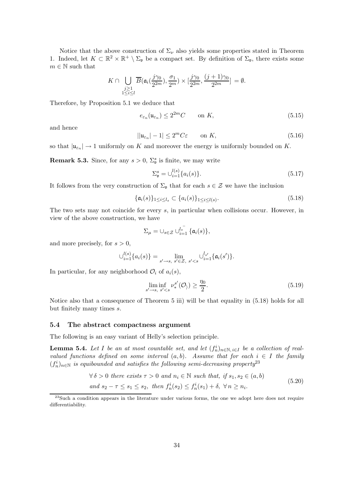Notice that the above construction of  $\Sigma_{\nu}$  also yields some properties stated in Theorem 1. Indeed, let  $K \subset \mathbb{R}^2 \times \mathbb{R}^+ \setminus \Sigma_{\mathfrak{v}}$  be a compact set. By definition of  $\Sigma_{\mathfrak{v}}$ , there exists some  $m \in \mathbb{N}$  such that

$$
K \cap \bigcup_{\substack{j \geq 1 \\ 1 \leq i \leq l}} \overline{B}(\mathfrak{a}_i(\frac{j\gamma_0}{2^{2m}}), \frac{\sigma_1}{2^m}) \times [\frac{j\gamma_0}{2^{2m}}, \frac{(j+1)\gamma_0}{2^{2m}}] = \emptyset.
$$

Therefore, by Proposition 5.1 we deduce that

$$
e_{\varepsilon_n}(\mathfrak{u}_{\varepsilon_n}) \le 2^{2m}C \qquad \text{on } K,\tag{5.15}
$$

and hence

$$
||\mathfrak{u}_{\varepsilon_n}| - 1| \le 2^m C \varepsilon \qquad \text{on } K,\tag{5.16}
$$

so that  $|\mathfrak{u}_{\varepsilon_n}| \to 1$  uniformly on K and moreover the energy is uniformly bounded on K.

**Remark 5.3.** Since, for any  $s > 0$ ,  $\Sigma_{\mathfrak{v}}^s$  is finite, we may write

$$
\Sigma_{\mathfrak{v}}^{s} = \cup_{i=1}^{l(s)} \{ a_i(s) \}. \tag{5.17}
$$

It follows from the very construction of  $\Sigma_{\mathfrak{v}}$  that for each  $s \in \mathcal{Z}$  we have the inclusion

$$
\{\mathfrak{a}_i(s)\}_{1\leq i\leq l_s}\subset\{a_i(s)\}_{1\leq i\leq l(s)}.\tag{5.18}
$$

The two sets may not coincide for every s, in particular when collisions occur. However, in view of the above construction, we have

$$
\Sigma_{\mu} = \cup_{s \in \mathcal{Z}} \cup_{i=1}^{l_s^-} {\{\mathfrak{a}_i(s)\}},
$$

and more precisely, for  $s > 0$ ,

$$
\bigcup_{i=1}^{l(s)} \{a_i(s)\} = \lim_{s' \to s, s' \in \mathcal{Z}, s' < s} \bigcup_{i=1}^{l_{s'}} \{a_i(s')\}.
$$

In particular, for any neighborhood  $\mathcal{O}_i$  of  $a_i(s)$ ,

$$
\lim_{s' \to s, s' < s} \inf_{s'' < s} \nu_s^{s'}(\mathcal{O}_\lambda) \ge \frac{\eta_0}{2}.\tag{5.19}
$$

Notice also that a consequence of Theorem 5 iii) will be that equality in (5.18) holds for all but finitely many times s.

#### 5.4 The abstract compactness argument

The following is an easy variant of Helly's selection principle.

**Lemma 5.4.** Let I be an at most countable set, and let  $(f_n^i)_{n \in \mathbb{N}, i \in I}$  be a collection of realvalued functions defined on some interval  $(a, b)$ . Assume that for each  $i \in I$  the family  $(f_n^i)_{n \in \mathbb{N}}$  is equibounded and satisfies the following semi-decreasing property<sup>23</sup>

$$
\forall \delta > 0 \text{ there exists } \tau > 0 \text{ and } n_i \in \mathbb{N} \text{ such that, if } s_1, s_2 \in (a, b)
$$
  
and  $s_2 - \tau \le s_1 \le s_2$ , then  $f_n^i(s_2) \le f_n^i(s_1) + \delta$ ,  $\forall n \ge n_i$ . (5.20)

<sup>&</sup>lt;sup>23</sup>Such a condition appears in the literature under various forms, the one we adopt here does not require differentiability.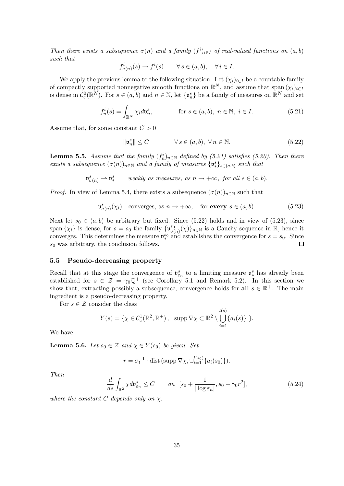Then there exists a subsequence  $\sigma(n)$  and a family  $(f^i)_{i \in I}$  of real-valued functions on  $(a, b)$ such that

$$
f_{\sigma(n)}^i(s) \to f^i(s) \qquad \forall \, s \in (a, b), \quad \forall \, i \in I.
$$

We apply the previous lemma to the following situation. Let  $(\chi_i)_{i\in I}$  be a countable family of compactly supported nonnegative smooth functions on  $\mathbb{R}^N$ , and assume that span  $(\chi_i)_{i\in I}$ is dense in  $\mathcal{C}_c^0(\mathbb{R}^N)$ . For  $s \in (a, b)$  and  $n \in \mathbb{N}$ , let  $\{\mathfrak{v}_n^s\}$  be a family of measures on  $\mathbb{R}^N$  and set

$$
f_n^i(s) = \int_{\mathbb{R}^N} \chi_i d\mathfrak{v}_n^s, \qquad \text{for } s \in (a, b), \ n \in \mathbb{N}, \ i \in I. \tag{5.21}
$$

Assume that, for some constant  $C > 0$ 

$$
\|\mathfrak{v}_n^s\| \le C \qquad \forall s \in (a, b), \ \forall n \in \mathbb{N}.
$$
 (5.22)

**Lemma 5.5.** Assume that the family  $(f_n^i)_{n \in \mathbb{N}}$  defined by (5.21) satisfies (5.20). Then there exists a subsequence  $(\sigma(n))_{n\in\mathbb{N}}$  and a family of measures  $\{\mathfrak{v}_*^s\}_{s\in(a,b)}$  such that

> $\mathfrak{v}_{\sigma(n)}^s \rightharpoonup \mathfrak{v}_*^s$ weakly as measures, as  $n \to +\infty$ , for all  $s \in (a, b)$ .

*Proof.* In view of Lemma 5.4, there exists a subsequence  $(\sigma(n))_{n\in\mathbb{N}}$  such that

$$
\mathfrak{v}_{\sigma(n)}^{s}(\chi_{i}) \quad \text{converges, as } n \to +\infty, \quad \text{for every } s \in (a, b). \tag{5.23}
$$

Next let  $s_0 \in (a, b)$  be arbitrary but fixed. Since (5.22) holds and in view of (5.23), since span  $\{\chi_i\}$  is dense, for  $s = s_0$  the family  $\{ \mathfrak{v}_{\sigma}^{s_0} \}$  $\sigma_{\sigma(n)}^{s_0}(\chi)\}_{n\in\mathbb{N}}$  is a Cauchy sequence in  $\mathbb{R}$ , hence it converges. This determines the measure  $v_*^{s_0}$ <sup>s<sub>0</sub></sup> and establishes the convergence for  $s = s_0$ . Since  $\Box$  $s_0$  was arbitrary, the conclusion follows.

### 5.5 Pseudo-decreasing property

Recall that at this stage the convergence of  $\mathfrak{v}_{\varepsilon_n}^s$  to a limiting measure  $\mathfrak{v}_*^s$  has already been established for  $s \in \mathcal{Z} = \gamma_0 \mathbb{Q}^+$  (see Corollary 5.1 and Remark 5.2). In this section we show that, extracting possibly a subsequence, convergence holds for **all**  $s \in \mathbb{R}^+$ . The main ingredient is a pseudo-decreasing property.

For  $s \in \mathcal{Z}$  consider the class

$$
Y(s) = \{ \chi \in C_c^1(\mathbb{R}^2, \mathbb{R}^+), \ \ \sup \nabla \chi \subset \mathbb{R}^2 \setminus \bigcup_{i=1}^{l(s)} \{ a_i(s) \} \}.
$$

We have

**Lemma 5.6.** Let  $s_0 \in \mathcal{Z}$  and  $\chi \in Y(s_0)$  be given. Set

$$
r = \sigma_1^{-1} \cdot \text{dist}(\text{supp}\,\nabla \chi, \cup_{i=1}^{l(s_0)} \{a_i(s_0)\}).
$$

Then

$$
\frac{d}{ds} \int_{\mathbb{R}^2} \chi d\mathfrak{v}_{\varepsilon_n}^s \le C \qquad on \quad [s_0 + \frac{1}{|\log \varepsilon_n|}, s_0 + \gamma_0 r^2],\tag{5.24}
$$

where the constant C depends only on  $\chi$ .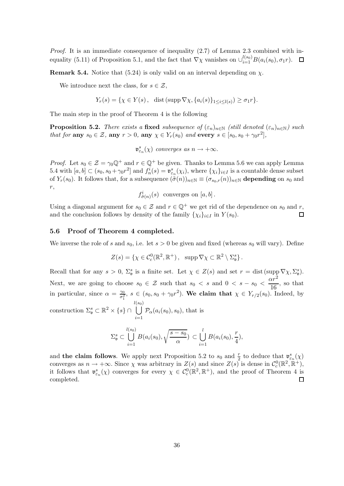Proof. It is an immediate consequence of inequality (2.7) of Lemma 2.3 combined with inequality (5.11) of Proposition 5.1, and the fact that  $\nabla \chi$  vanishes on  $\cup_{i=1}^{l(s_0)} B(a_i(s_0), \sigma_1 r)$ .

**Remark 5.4.** Notice that (5.24) is only valid on an interval depending on  $\chi$ .

We introduce next the class, for  $s \in \mathcal{Z}$ ,

$$
Y_r(s) = \{ \chi \in Y(s), \quad \text{dist}(\operatorname{supp} \nabla \chi, \{a_i(s)\}_{1 \le i \le l(s)}) \ge \sigma_1 r \}.
$$

The main step in the proof of Theorem 4 is the following

**Proposition 5.2.** There exists a fixed subsequence of  $(\varepsilon_n)_{n\in\mathbb{N}}$  (still denoted  $(\varepsilon_n)_{n\in\mathbb{N}}$ ) such that for any  $s_0 \in \mathcal{Z}$ , any  $r > 0$ , any  $\chi \in Y_r(s_0)$  and every  $s \in [s_0, s_0 + \gamma_0 r^2]$ ,

 $\mathfrak{v}_{\varepsilon_n}^s(\chi)$  converges as  $n \to +\infty$ .

*Proof.* Let  $s_0 \in \mathcal{Z} = \gamma_0 \mathbb{Q}^+$  and  $r \in \mathbb{Q}^+$  be given. Thanks to Lemma 5.6 we can apply Lemma 5.4 with  $[a, b] \subset (s_0, s_0 + \gamma_0 r^2]$  and  $f_n^i(s) = \mathfrak{v}_{\varepsilon_n}^s(\chi_i)$ , where  $\{\chi_i\}_{i \in I}$  is a countable dense subset of  $Y_r(s_0)$ . It follows that, for a subsequence  $(\tilde{\sigma}(n))_{n\in\mathbb{N}} \equiv (\sigma_{s_0,r}(n))_{n\in\mathbb{N}}$  depending on  $s_0$  and r,

 $f_{\tilde{\sigma}(n)}^i(s)$  converges on  $[a,b]$ .

Using a diagonal argument for  $s_0 \in \mathcal{Z}$  and  $r \in \mathbb{Q}^+$  we get rid of the dependence on  $s_0$  and  $r$ , and the conclusion follows by density of the family  $\{x_i\}_{i \in I}$  in  $Y(s_0)$ . and the conclusion follows by density of the family  $\{\chi_i\}_{i\in I}$  in  $Y(s_0)$ .

#### 5.6 Proof of Theorem 4 completed.

We inverse the role of s and  $s_0$ , i.e. let  $s > 0$  be given and fixed (whereas  $s_0$  will vary). Define

$$
Z(s) = \{ \chi \in C_c^0(\mathbb{R}^2, \mathbb{R}^+), \ \ \text{supp } \nabla \chi \subset \mathbb{R}^2 \setminus \Sigma_{\mathfrak{v}}^s \}.
$$

Recall that for any  $s > 0$ ,  $\Sigma_{\mathfrak{v}}^s$  is a finite set. Let  $\chi \in Z(s)$  and set  $r = \text{dist}(\text{supp }\nabla \chi, \Sigma_{\mathfrak{v}}^s)$ . Next, we are going to choose  $s_0 \in \mathcal{Z}$  such that  $s_0 < s$  and  $0 < s - s_0 <$  $\alpha r^2$  $\frac{x}{16}$ , so that in particular, since  $\alpha = \frac{\gamma_0}{\sigma^2}$  $\frac{\gamma_0}{\sigma_1^2}$ ,  $s \in (s_0, s_0 + \gamma_0 r^2)$ . We claim that  $\chi \in Y_{r/2}(s_0)$ . Indeed, by construction  $\Sigma_{\mathfrak{v}}^{s} \subset \mathbb{R}^{2} \times \{s\} \cap$  $\begin{bmatrix} l(s_0) \\ | \end{bmatrix}$  $\mathcal{P}_{\alpha}(a_i(s_0),s_0)$ , that is

$$
\Sigma_{\mathfrak{v}}^{s} \subset \bigcup_{i=1}^{l(s_0)} B(a_i(s_0), \sqrt{\frac{s-s_0}{\alpha}}) \subset \bigcup_{i=1}^{l} B(a_i(s_0), \frac{r}{4}),
$$

 $i=1$ 

and the claim follows. We apply next Proposition 5.2 to  $s_0$  and  $\frac{r}{2}$  to deduce that  $\mathfrak{v}_{\varepsilon_n}^s(\chi)$ converges as  $n \to +\infty$ . Since  $\chi$  was arbitrary in  $Z(s)$  and since  $Z(s)$  is dense in  $\mathcal{C}_c^0(\mathbb{R}^2, \mathbb{R}^+),$ it follows that  $\mathfrak{v}_{\varepsilon_n}^s(\chi)$  converges for every  $\chi \in C_c^0(\mathbb{R}^2, \mathbb{R}^+)$ , and the proof of Theorem 4 is completed.  $\Box$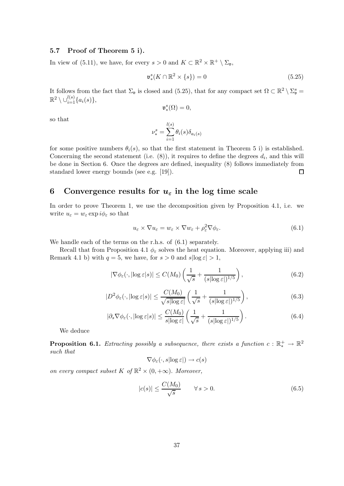### 5.7 Proof of Theorem 5 i).

In view of (5.11), we have, for every  $s > 0$  and  $K \subset \mathbb{R}^2 \times \mathbb{R}^+ \setminus \Sigma_{\mathfrak{v}}$ ,

$$
\mathfrak{v}_{*}^{s}(K \cap \mathbb{R}^{2} \times \{s\}) = 0 \tag{5.25}
$$

It follows from the fact that  $\Sigma_{\mathfrak{v}}$  is closed and (5.25), that for any compact set  $\Omega \subset \mathbb{R}^2 \setminus \Sigma_{\mathfrak{v}}^s =$  $\mathbb{R}^2 \setminus \cup_{i=1}^{l(s)} \{a_i(s)\},\,$ 

$$
\mathfrak{v}^s_*(\Omega)=0,
$$

so that

$$
\nu_*^s = \sum_{i=1}^{l(s)} \theta_i(s) \delta_{a_i(s)}
$$

for some positive numbers  $\theta_i(s)$ , so that the first statement in Theorem 5 i) is established. Concerning the second statement (i.e.  $(8)$ ), it requires to define the degrees  $d_i$ , and this will be done in Section 6. Once the degrees are defined, inequality (8) follows immediately from standard lower energy bounds (see e.g. [19]).  $\Box$ 

# 6 Convergence results for  $u_{\varepsilon}$  in the log time scale

In order to prove Theorem 1, we use the decomposition given by Proposition 4.1, i.e. we write  $u_{\varepsilon} = w_{\varepsilon} \exp i \phi_{\varepsilon}$  so that

$$
u_{\varepsilon} \times \nabla u_{\varepsilon} = w_{\varepsilon} \times \nabla w_{\varepsilon} + \rho_{\varepsilon}^2 \nabla \phi_{\varepsilon}.
$$
\n(6.1)

We handle each of the terms on the r.h.s. of  $(6.1)$  separately.

Recall that from Proposition 4.1  $\phi_{\varepsilon}$  solves the heat equation. Moreover, applying iii) and Remark 4.1 b) with  $q = 5$ , we have, for  $s > 0$  and  $s \log \epsilon > 1$ ,

$$
|\nabla \phi_{\varepsilon}(\cdot,|\log \varepsilon|s)| \le C(M_0) \left(\frac{1}{\sqrt{s}} + \frac{1}{(s|\log \varepsilon|)^{1/5}}\right),\tag{6.2}
$$

$$
|D^2 \phi_{\varepsilon}(\cdot, |\log \varepsilon|s)| \le \frac{C(M_0)}{\sqrt{s |\log \varepsilon|}} \left(\frac{1}{\sqrt{s}} + \frac{1}{(s |\log \varepsilon|)^{1/5}}\right),\tag{6.3}
$$

$$
|\partial_s \nabla \phi_{\varepsilon}(\cdot, |\log \varepsilon|s)| \le \frac{C(M_0)}{s |\log \varepsilon|} \left(\frac{1}{\sqrt{s}} + \frac{1}{(s |\log \varepsilon|)^{1/5}}\right). \tag{6.4}
$$

We deduce

**Proposition 6.1.** Extracting possibly a subsequence, there exists a function  $c : \mathbb{R}^+_* \to \mathbb{R}^2$ such that

$$
\nabla \phi_{\varepsilon}(\cdot, s | \log \varepsilon|) \to c(s)
$$

on every compact subset K of  $\mathbb{R}^2 \times (0, +\infty)$ . Moreover,

$$
|c(s)| \le \frac{C(M_0)}{\sqrt{s}} \qquad \forall \, s > 0. \tag{6.5}
$$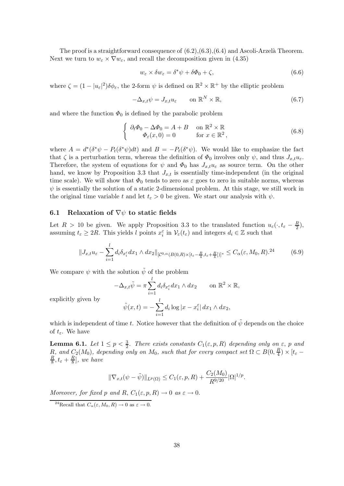The proof is a straightforward consequence of  $(6.2), (6.3), (6.4)$  and Ascoli-Arzelà Theorem. Next we turn to  $w_{\varepsilon} \times \nabla w_{\varepsilon}$ , and recall the decomposition given in (4.35)

$$
w_{\varepsilon} \times \delta w_{\varepsilon} = \delta^* \psi + \delta \Phi_0 + \zeta, \tag{6.6}
$$

where  $\zeta = (1 - |u_{\varepsilon}|^2) \delta \phi_{\varepsilon}$ , the 2-form  $\psi$  is defined on  $\mathbb{R}^2 \times \mathbb{R}^+$  by the elliptic problem

$$
-\Delta_{x,t}\psi = J_{x,t}u_{\varepsilon} \qquad \text{on } \mathbb{R}^N \times \mathbb{R},\tag{6.7}
$$

and where the function  $\Phi_0$  is defined by the parabolic problem

$$
\begin{cases} \n\partial_t \Phi_0 - \Delta \Phi_0 = A + B & \text{on } \mathbb{R}^2 \times \mathbb{R} \\ \n\Phi_{\varepsilon}(x, 0) = 0 & \text{for } x \in \mathbb{R}^2, \n\end{cases} \tag{6.8}
$$

where  $A = d^*(\delta^* \psi - P_t(\delta^* \psi) dt)$  and  $B = -P_t(\delta^* \psi)$ . We would like to emphasize the fact that  $\zeta$  is a perturbation term, whereas the definition of  $\Phi_0$  involves only  $\psi$ , and thus  $J_{x,t}u_{\varepsilon}$ . Therefore, the system of equations for  $\psi$  and  $\Phi_0$  has  $J_{x,t}u_{\varepsilon}$  as source term. On the other hand, we know by Proposition 3.3 that  $J_{x,t}$  is essentially time-independent (in the original time scale). We will show that  $\Phi_0$  tends to zero as  $\varepsilon$  goes to zero in suitable norms, whereas  $\psi$  is essentially the solution of a static 2-dimensional problem. At this stage, we still work in the original time variable t and let  $t_{\varepsilon} > 0$  be given. We start our analysis with  $\psi$ .

### 6.1 Relaxation of  $\nabla \psi$  to static fields

Let  $R > 10$  be given. We apply Proposition 3.3 to the translated function  $u_{\varepsilon}(\cdot, t_{\varepsilon} - \frac{R}{2})$  $\frac{R}{2}$ ), assuming  $t_{\varepsilon} \geq 2R$ . This yields l points  $x_i^{\varepsilon}$  in  $\mathcal{V}_{\varepsilon}(t_{\varepsilon})$  and integers  $d_i \in \mathbb{Z}$  such that

$$
||J_{x,t}u_{\varepsilon} - \sum_{i=1}^{l} d_i \delta_{x_i^{\varepsilon}} dx_1 \wedge dx_2||_{[\mathcal{C}^{0,\alpha}(B(0,R)\times[t_{\varepsilon}-\frac{R}{4},t_{\varepsilon}+\frac{R}{4}])]^*} \leq C_{\alpha}(\varepsilon, M_0, R).^{24}
$$
(6.9)

We compare  $\psi$  with the solution  $\tilde{\psi}$  of the problem

$$
-\Delta_{x,t}\tilde{\psi} = \pi \sum_{i=1}^{l} d_i \delta_{x_i^{\varepsilon}} dx_1 \wedge dx_2 \qquad \text{on } \mathbb{R}^2 \times \mathbb{R},
$$

$$
\tilde{\psi}(x,t) = -\sum_{i=1}^{l} d_i \log|x - x_i^{\varepsilon}| dx_1 \wedge dx_2,
$$

explicitly given by

$$
\tilde{\psi}(x,t) = -\sum_{i=1}^{l} d_i \log |x - x_i^{\varepsilon}| \, dx_1 \wedge dx_2,
$$

which is independent of time t. Notice however that the definition of  $\tilde{\psi}$  depends on the choice of  $t_{\varepsilon}$ . We have

**Lemma 6.1.** Let  $1 \leq p < \frac{3}{2}$ . There exists constants  $C_1(\varepsilon, p, R)$  depending only on  $\varepsilon$ , p and R, and  $C_2(M_0)$ , depending only on  $M_0$ , such that for every compact set  $\Omega \subset B(0, \frac{R}{4})$  $\frac{R}{4}) \times [t_{\varepsilon} -$ R  $\frac{R}{8}$ ,  $t_{\varepsilon} + \frac{R}{8}$  $\frac{R}{8}$ , we have

$$
\|\nabla_{x,t}(\psi - \tilde{\psi})\|_{L^p(\Omega)} \le C_1(\varepsilon, p, R) + \frac{C_2(M_0)}{R^{9/20}} |\Omega|^{1/p}.
$$

Moreover, for fixed p and R,  $C_1(\varepsilon, p, R) \to 0$  as  $\varepsilon \to 0$ .

<sup>&</sup>lt;sup>24</sup>Recall that  $C_{\alpha}(\varepsilon, M_0, R) \to 0$  as  $\varepsilon \to 0$ .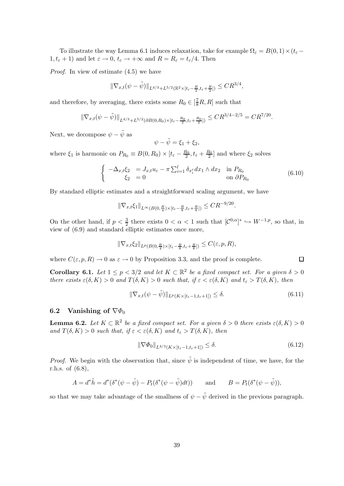To illustrate the way Lemma 6.1 induces relaxation, take for example  $\Omega_{\varepsilon} = B(0,1) \times (t_{\varepsilon} 1, t_{\varepsilon} + 1$ ) and let  $\varepsilon \to 0$ ,  $t_{\varepsilon} \to +\infty$  and  $R = R_{\varepsilon} = t_{\varepsilon}/4$ . Then

Proof. In view of estimate (4.5) we have

$$
\|\nabla_{x,t}(\psi-\tilde{\psi})\|_{L^{4/3}+L^{5/2}(\mathbb{R}^2\times [t_{\varepsilon}-\frac{R}{2},t_{\varepsilon}+\frac{R}{2}])}\leq CR^{3/4},
$$

and therefore, by averaging, there exists some  $R_0 \in [\frac{7}{8}R, R]$  such that

$$
\|\nabla_{x,t}(\psi-\tilde{\psi})\|_{L^{4/3}+L^{5/2}(\partial B(0,R_0)\times [t_{\varepsilon}-\frac{R_0}{2},t_{\varepsilon}+\frac{R_0}{2}])}\leq CR^{3/4-2/5}=CR^{7/20}.
$$

Next, we decompose  $\psi - \tilde{\psi}$  as

$$
\psi - \tilde{\psi} = \xi_1 + \xi_2,
$$

where  $\xi_1$  is harmonic on  $P_{R_0} \equiv B(0, R_0) \times [t_{\varepsilon} - \frac{R_0}{2}, t_{\varepsilon} + \frac{R_0}{2}]$  and where  $\xi_2$  solves

$$
\begin{cases}\n-\Delta_{x,t}\xi_2 &= J_{x,t}u_{\varepsilon} - \pi \sum_{i=1}^l \delta_{x_i^{\varepsilon}} dx_1 \wedge dx_2 & \text{in } P_{R_0} \\
\xi_2 &= 0 & \text{on } \partial P_{R_0}\n\end{cases}
$$
\n(6.10)

By standard elliptic estimates and a straightforward scaling argument, we have

$$
\|\nabla_{x,t}\xi_1\|_{L^{\infty}(B(0,\frac{R}{4})\times[t_{\varepsilon}-\frac{R}{8},t_{\varepsilon}+\frac{R}{8}])}\leq CR^{-9/20}.
$$

On the other hand, if  $p < \frac{3}{2}$  there exists  $0 < \alpha < 1$  such that  $[\mathcal{C}^{0,\alpha}]^* \hookrightarrow W^{-1,p}$ , so that, in view of (6.9) and standard elliptic estimates once more,

$$
\|\nabla_{x,t}\xi_2\|_{L^p(B(0,\frac{R}{4})\times[t_\varepsilon-\frac{R}{8},t_\varepsilon+\frac{R}{8}])}\leq C(\varepsilon,p,R),
$$

where  $C(\varepsilon, p, R) \to 0$  as  $\varepsilon \to 0$  by Proposition 3.3, and the proof is complete.

**Corollary 6.1.** Let  $1 \leq p < 3/2$  and let  $K \subset \mathbb{R}^2$  be a fixed compact set. For a given  $\delta > 0$ there exists  $\varepsilon(\delta,K) > 0$  and  $T(\delta,K) > 0$  such that, if  $\varepsilon < \varepsilon(\delta,K)$  and  $t_{\varepsilon} > T(\delta,K)$ , then

$$
\|\nabla_{x,t}(\psi - \tilde{\psi})\|_{L^p(K \times [t_{\varepsilon} - 1, t_{\varepsilon} + 1])} \le \delta. \tag{6.11}
$$

### 6.2 Vanishing of  $\nabla \phi_0$

**Lemma 6.2.** Let  $K \subset \mathbb{R}^2$  be a fixed compact set. For a given  $\delta > 0$  there exists  $\varepsilon(\delta, K) > 0$ and  $T(\delta,K) > 0$  such that, if  $\varepsilon < \varepsilon(\delta,K)$  and  $t_{\varepsilon} > T(\delta,K)$ , then

$$
\|\nabla \Phi_0\|_{L^{4/3}(K \times [t_{\varepsilon}-1, t_{\varepsilon}+1])} \le \delta. \tag{6.12}
$$

*Proof.* We begin with the observation that, since  $\tilde{\psi}$  is independent of time, we have, for the r.h.s. of (6.8),

$$
A = d^*\tilde{h} = d^*(\delta^*(\psi - \tilde{\psi}) - P_t(\delta^*(\psi - \tilde{\psi})dt)) \quad \text{and} \quad B = P_t(\delta^*(\psi - \tilde{\psi})),
$$

so that we may take advantage of the smallness of  $\psi - \tilde{\psi}$  derived in the previous paragraph.

 $\Box$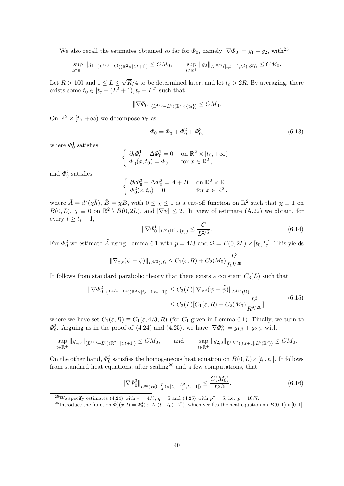We also recall the estimates obtained so far for  $\Phi_0$ , namely  $|\nabla \Phi_0| = g_1 + g_2$ , with<sup>25</sup>

$$
\sup_{t\in\mathbb{R}^+} \|g_1\|_{(L^{4/3}+L^5)(\mathbb{R}^2\times[t,t+1])} \leq CM_0, \qquad \sup_{t\in\mathbb{R}^+} \|g_2\|_{L^{10/7}([t,t+1],L^5(\mathbb{R}^2))} \leq CM_0.
$$

Let  $R > 100$  and  $1 \le L \le \sqrt{R}/4$  to be determined later, and let  $t_{\varepsilon} > 2R$ . By averaging, there exists some  $t_0 \in [t_{\varepsilon} - (L^2 + 1), t_{\varepsilon} - L^2]$  such that

$$
\|\nabla \Phi_0\|_{(L^{4/3}+L^5)(\mathbb{R}^2\times\{t_0\})}\leq CM_0.
$$

On  $\mathbb{R}^2 \times [t_0, +\infty)$  we decompose  $\Phi_0$  as

$$
\Phi_0 = \Phi_0^1 + \Phi_0^2 + \Phi_0^3,\tag{6.13}
$$

where  $\Phi_0^1$  satisfies

$$
\begin{cases} \n\partial_t \Phi_0^1 - \Delta \Phi_0^1 = 0 & \text{on } \mathbb{R}^2 \times [t_0, +\infty) \\ \n\Phi_0^1(x, t_0) = \Phi_0 & \text{for } x \in \mathbb{R}^2, \n\end{cases}
$$

and  $\Phi_0^2$  satisfies

$$
\begin{cases} \n\partial_t \Phi_0^2 - \Delta \Phi_0^2 = \tilde{A} + \tilde{B} & \text{on } \mathbb{R}^2 \times \mathbb{R} \\ \n\Phi_0^2(x, t_0) = 0 & \text{for } x \in \mathbb{R}^2, \n\end{cases}
$$

where  $\tilde{A} = d^*(\chi \tilde{h}), \ \tilde{B} = \chi B$ , with  $0 \leq \chi \leq 1$  is a cut-off function on  $\mathbb{R}^2$  such that  $\chi \equiv 1$  on  $B(0,L)$ ,  $\chi \equiv 0$  on  $\mathbb{R}^2 \setminus B(0,2L)$ , and  $|\nabla \chi| \leq 2$ . In view of estimate (A.22) we obtain, for every  $t \geq t_{\varepsilon} - 1$ ,

$$
\|\nabla \Phi_0^1\|_{L^\infty(\mathbb{R}^2 \times \{t\})} \le \frac{C}{L^{2/5}}.\tag{6.14}
$$

For  $\Phi_0^2$  we estimate  $\tilde{A}$  using Lemma 6.1 with  $p = 4/3$  and  $\Omega = B(0, 2L) \times [t_0, t_{\varepsilon}]$ . This yields

$$
\|\nabla_{x,t}(\psi-\tilde{\psi})\|_{L^{4/3}(\Omega)} \leq C_1(\varepsilon,R) + C_2(M_0) \frac{L^3}{R^{9/20}}.
$$

It follows from standard parabolic theory that there exists a constant  $C_3(L)$  such that

$$
\|\nabla \Phi_0^2\|_{(L^{4/3} + L^4)(\mathbb{R}^2 \times [t_{\varepsilon} - 1, t_{\varepsilon} + 1])} \le C_3(L) \|\nabla_{x,t} (\psi - \tilde{\psi})\|_{L^{4/3}(\Omega)}
$$
  
\n
$$
\le C_3(L) [C_1(\varepsilon, R) + C_2(M_0) \frac{L^3}{R^{9/20}}].
$$
\n(6.15)

where we have set  $C_1(\varepsilon,R) \equiv C_1(\varepsilon,4/3,R)$  (for  $C_1$  given in Lemma 6.1). Finally, we turn to  $\Phi_0^3$ . Arguing as in the proof of (4.24) and (4.25), we have  $|\nabla \Phi_0^3| = g_{1,3} + g_{2,3}$ , with

$$
\sup_{t\in\mathbb{R}^+} \|g_{1,3}\|_{(L^{4/3}+L^5)(\mathbb{R}^2\times[t,t+1])} \le CM_0, \quad \text{and} \quad \sup_{t\in\mathbb{R}^+} \|g_{2,3}\|_{L^{10/7}([t,t+1],L^5(\mathbb{R}^2))} \le CM_0.
$$

On the other hand,  $\Phi_0^3$  satisfies the homogeneous heat equation on  $B(0,L)\times [t_0,t_\varepsilon]$ . It follows from standard heat equations, after scaling<sup>26</sup> and a few computations, that

$$
\|\nabla\Phi_0^3\|_{L^\infty(B(0,\frac{L}{2})\times[t_\varepsilon-\frac{L^2}{4},t_\varepsilon+1])} \le \frac{C(M_0)}{L^{2/5}}.\tag{6.16}
$$

<sup>&</sup>lt;sup>25</sup>We specify estimates (4.24) with  $r = 4/3$ ,  $q = 5$  and (4.25) with  $p^* = 5$ , i.e.  $p = 10/7$ .

<sup>&</sup>lt;sup>26</sup>Introduce the function  $\tilde{\Phi}_0^3(x,t) = \Phi_0^3(x \cdot L, (t-t_0) \cdot L^2)$ , which verifies the heat equation on  $B(0,1) \times [0,1]$ .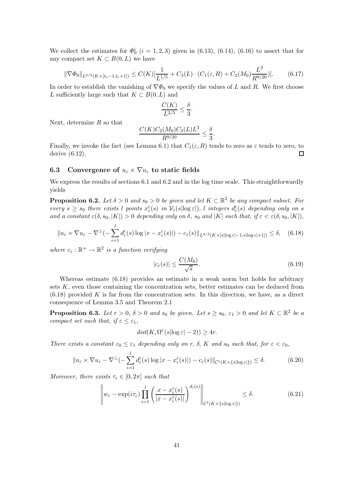We collect the estimates for  $\Phi_0^i$   $(i = 1, 2, 3)$  given in (6.13), (6.14), (6.16) to assert that for any compact set  $K \subset B(0,L)$  we have

$$
\|\nabla\Phi_0\|_{L^{4/3}(K \times [t_{\varepsilon}-1, t_{\varepsilon}+1])} \le C(K) [\frac{1}{L^{1/5}} + C_3(L) \cdot (C_1(\varepsilon, R) + C_2(M_0) \frac{L^3}{R^{9/20}})]. \tag{6.17}
$$

In order to establish the vanishing of  $\nabla \Phi_0$  we specify the values of L and R. We first choose L sufficiently large such that  $K \subset B(0,L)$  and

$$
\frac{C(K)}{L^{2/5}} \le \frac{\delta}{3}.
$$

Next, determine  $R$  so that

$$
\frac{C(K)C_2(M_0)C_3(L)L^3}{R^{9/20}} \le \frac{\delta}{3}.
$$

Finally, we invoke the fact (see Lemma 6.1) that  $C_1(\varepsilon, R)$  tends to zero as  $\varepsilon$  tends to zero, to derive (6.12).  $\Box$ 

### 6.3 Convergence of  $u_{\varepsilon} \times \nabla u_{\varepsilon}$  to static fields

We express the results of sections 6.1 and 6.2 and in the log time scale. This straightforwardly yields

**Proposition 6.2.** Let  $\delta > 0$  and  $s_0 > 0$  be given and let  $K \subset \mathbb{R}^2$  be any compact subset. For every  $s \geq s_0$  there exists l points  $x_i^{\varepsilon}(s)$  in  $\mathcal{V}_{\varepsilon}(s|\log \varepsilon|)$ , l integers  $d_i^{\varepsilon}(s)$  depending only on s and a constant  $\varepsilon(\delta,s_0,|K|) > 0$  depending only on  $\delta$ ,  $s_0$  and  $|K|$  such that, if  $\varepsilon < \varepsilon(\delta,s_0,|K|)$ ,

$$
||u_{\varepsilon} \times \nabla u_{\varepsilon} - \nabla^{\perp}(-\sum_{i=1}^{l} d_{i}^{\varepsilon}(s) \log |x - x_{i}^{\varepsilon}(s)|) - c_{\varepsilon}(s)||_{L^{4/3}(K \times [s] \log \varepsilon [-1, s] \log \varepsilon [+1])} \leq \delta, \quad (6.18)
$$

where  $c_{\varepsilon}: \mathbb{R}^+ \to \mathbb{R}^2$  is a function verifying

$$
|c_{\varepsilon}(s)| \le \frac{C(M_0)}{\sqrt{s}}.\tag{6.19}
$$

Whereas estimate (6.18) provides an estimate in a weak norm but holds for arbitrary sets  $K$ , even those containing the concentration sets, better estimates can be deduced from  $(6.18)$  provided K is far from the concentration sets. In this direction, we have, as a direct consequence of Lemma 3.5 and Theorem 2.1

**Proposition 6.3.** Let  $r > 0$ ,  $\delta > 0$  and  $s_0$  be given. Let  $s \geq s_0$ ,  $\varepsilon_1 > 0$  and let  $K \subset \mathbb{R}^2$  be a compact set such that, if  $\varepsilon \leq \varepsilon_1$ ,

$$
dist(K, \Omega^{\varepsilon}(s | \log \varepsilon | - 2)) \ge 4r.
$$

There exists a constant  $\varepsilon_0 \leq \varepsilon_1$  depending only on r,  $\delta$ , K and  $s_0$  such that, for  $\varepsilon < \varepsilon_0$ ,

$$
||u_{\varepsilon} \times \nabla u_{\varepsilon} - \nabla^{\perp}(-\sum_{i=1}^{l} d_{i}^{\varepsilon}(s) \log |x - x_{i}^{\varepsilon}(s)|) - c_{\varepsilon}(s)||_{\mathcal{C}^{1}(K \times \{s | \log \varepsilon| \})} \leq \delta.
$$
 (6.20)

Moreover, there exists  $\tau_{\varepsilon} \in [0, 2\pi]$  such that

$$
\left\| w_{\varepsilon} - \exp(i\tau_{\varepsilon}) \prod_{i=1}^{l} \left( \frac{x - x_i^{\varepsilon}(s)}{|x - x_i^{\varepsilon}(s)|} \right)^{d_i(s)} \right\|_{\mathcal{C}^1(K \times \{s | \log \varepsilon | \})} \le \delta. \tag{6.21}
$$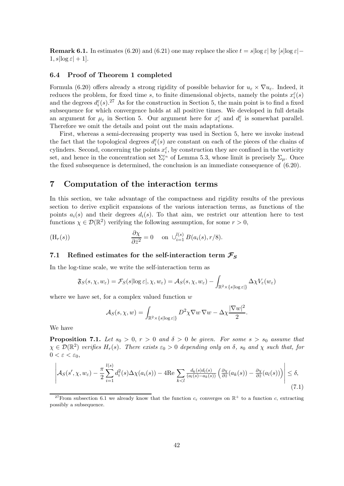**Remark 6.1.** In estimates (6.20) and (6.21) one may replace the slice  $t = s \log \varepsilon$  by  $[s \log \varepsilon]$  $1, s \log \varepsilon + 1$ .

### 6.4 Proof of Theorem 1 completed

Formula (6.20) offers already a strong rigidity of possible behavior for  $u_{\varepsilon} \times \nabla u_{\varepsilon}$ . Indeed, it reduces the problem, for fixed time s, to finite dimensional objects, namely the points  $x_i^{\varepsilon}(s)$ and the degrees  $d_i^{\varepsilon}(s)$ .<sup>27</sup> As for the construction in Section 5, the main point is to find a fixed subsequence for which convergence holds at all positive times. We developed in full details an argument for  $\mu_{\varepsilon}$  in Section 5. Our argument here for  $x_i^{\varepsilon}$  and  $d_i^{\varepsilon}$  is somewhat parallel. Therefore we omit the details and point out the main adaptations.

First, whereas a semi-decreasing property was used in Section 5, here we invoke instead the fact that the topological degrees  $d_i^{\varepsilon}(s)$  are constant on each of the pieces of the chains of cylinders. Second, concerning the points  $x_i^{\varepsilon}$ , by construction they are confined in the vorticity set, and hence in the concentration set  $\Sigma_r^{\varepsilon_n}$  of Lemma 5.3, whose limit is precisely  $\Sigma_\mu$ . Once the fixed subsequence is determined, the conclusion is an immediate consequence of (6.20).

### 7 Computation of the interaction terms

In this section, we take advantage of the compactness and rigidity results of the previous section to derive explicit expansions of the various interaction terms, as functions of the points  $a_i(s)$  and their degrees  $d_i(s)$ . To that aim, we restrict our attention here to test functions  $\chi \in \mathcal{D}(\mathbb{R}^2)$  verifying the following assumption, for some  $r > 0$ ,

$$
\frac{\partial \chi}{\partial \bar{z}^2} = 0 \quad \text{on } \cup_{i=1}^{l(s)} B(a_i(s), r/8).
$$

### 7.1 Refined estimates for the self-interaction term  $\mathcal{F}_S$

In the log-time scale, we write the self-interaction term as

$$
\mathfrak{F}_S(s,\chi,w_\varepsilon)=\mathcal{F}_S(s|\log \varepsilon|,\chi,w_\varepsilon)=\mathcal{A}_S(s,\chi,w_\varepsilon)-\int_{\mathbb{R}^2\times\{s|\log \varepsilon|\}}\Delta\chi V_\varepsilon(w_\varepsilon)
$$

where we have set, for a complex valued function  $w$ 

$$
\mathcal{A}_S(s,\chi,w) = \int_{\mathbb{R}^2 \times \{s | \log \varepsilon\}} D^2 \chi \nabla w \, \nabla w - \Delta \chi \frac{|\nabla w|^2}{2}.
$$

We have

**Proposition 7.1.** Let  $s_0 > 0$ ,  $r > 0$  and  $\delta > 0$  be given. For some  $s > s_0$  assume that  $\chi \in \mathcal{D}(\mathbb{R}^2)$  verifies  $H_r(s)$ . There exists  $\varepsilon_0 > 0$  depending only on  $\delta$ ,  $s_0$  and  $\chi$  such that, for  $0 < \varepsilon < \varepsilon_0$ ,

$$
\left| \mathcal{A}_{S}(s',\chi,w_{\varepsilon}) - \frac{\pi}{2} \sum_{i=1}^{l(s)} d_{i}^{2}(s) \Delta \chi(a_{i}(s)) - 4 \text{Re} \sum_{k < l} \frac{d_{k}(s) d_{l}(s)}{(a_{l}(s) - a_{k}(s))} \left( \frac{\partial \chi}{\partial \bar{z}}(a_{k}(s)) - \frac{\partial \chi}{\partial \bar{z}}(a_{l}(s)) \right) \right| \leq \delta,
$$
\n(7.1)

<sup>&</sup>lt;sup>27</sup>From subsection 6.1 we already know that the function  $c_{\varepsilon}$  converges on  $\mathbb{R}^+$  to a function c, extracting possibly a subsequence.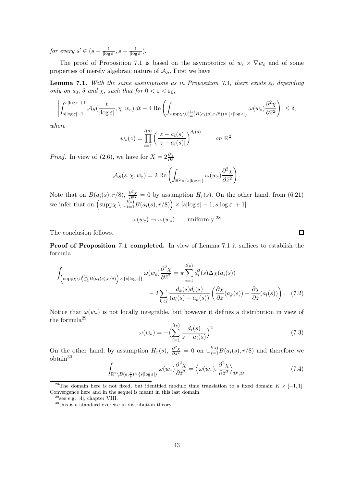for every  $s' \in (s - \frac{1}{\lceil \log n \rceil})$  $\frac{1}{\left|\log\varepsilon\right|},s+\frac{1}{\left|\log\varepsilon\right|}$  $\frac{1}{|\log \varepsilon|}$ ).

The proof of Proposition 7.1 is based on the asymptotics of  $w_{\varepsilon} \times \nabla w_{\varepsilon}$  and of some properties of merely algebraic nature of  $A<sub>S</sub>$ . First we have

**Lemma 7.1.** With the same assumptions as in Proposition 7.1, there exists  $\varepsilon_0$  depending only on  $s_0$ ,  $\delta$  and  $\chi$ , such that for  $0 < \varepsilon < \varepsilon_0$ ,

$$
\left| \int_{s|\log \varepsilon| - 1}^{s|\log \varepsilon| + 1} \mathcal{A}_{S}(\frac{t}{|\log \varepsilon|}, \chi, w_{\varepsilon}) dt - 4 \operatorname{Re} \left( \int_{\text{supp}\chi \backslash \cup_{i=1}^{l(s)} B(a_{i}(s), r/8)) \times \{s | \log \varepsilon|\}} \omega(w_{*}) \frac{\partial^{2} \chi}{\partial \bar{z}^{2}} \right) \right| \leq \delta,
$$

where

$$
w_*(z) = \prod_{i=1}^{l(s)} \left( \frac{z - a_i(s)}{|z - a_i(s)|} \right)^{d_i(s)} \qquad on \ \mathbb{R}^2.
$$

*Proof.* In view of (2.6), we have for  $X = 2\frac{\partial \chi}{\partial \bar{z}}$ 

$$
\mathcal{A}_{S}(s,\chi,w_{\varepsilon})=2\operatorname{Re}\left(\int_{\mathbb{R}^{2}\times\{s|\log\varepsilon|\}}\omega(w_{\varepsilon})\frac{\partial^{2}\chi}{\partial\bar{z}^{2}}\right).
$$

Note that on  $B(a_i(s), r/8), \frac{\partial^2 \chi}{\partial \bar{z}^2}$  $\frac{\partial^2 Y}{\partial \bar{z}^2} = 0$  by assumption  $H_r(s)$ . On the other hand, from (6.21) we infer that on  $\left(\text{supp}\chi \setminus \cup_{i=1}^{l(s)} B(a_i(s), r/8)\right) \times [s|\log \varepsilon| - 1, s|\log \varepsilon| + 1]$ 

 $\omega(w_{\varepsilon}) \to \omega(w_*)$  uniformly.<sup>28</sup>

The conclusion follows.

Proof of Proposition 7.1 completed. In view of Lemma 7.1 it suffices to establish the formula

$$
\int_{\left(\supp\chi\setminus\bigcup_{i=1}^{l(s)}B(a_i(s),r/8)\right)\times\left\{s\mid\log\varepsilon\right\}}\omega(w_\varepsilon)\frac{\partial^2\chi}{\partial\bar{z}^2} = \pi\sum_{i=1}^{l(s)}d_i^2(s)\Delta\chi(a_i(s))
$$
\n
$$
-2\sum_{k
$$

Notice that  $\omega(w_*)$  is not locally integrable, but however it defines a distribution in view of the formula<sup>29</sup>

$$
\omega(w_*) = -\left(\sum_{i=1}^{l(s)} \frac{d_i(s)}{z - a_i(s)}\right)^2.
$$
\n(7.3)

On the other hand, by assumption  $H_r(s)$ ,  $\frac{\partial^2 \chi}{\partial \bar{z}^2}$  $\frac{\partial^2 \chi}{\partial \bar{z}^2} = 0$  on  $\bigcup_{i=1}^{l(s)} B(a_i(s), r/8)$  and therefore we obtain<sup>30</sup>

$$
\int_{\mathbb{R}^2 \setminus B(a,\frac{r}{8}) \times \{s | \log \varepsilon| \}} \omega(w_*) \frac{\partial^2 \chi}{\partial \bar{z}^2} = \left\langle \omega(w_*) , \frac{\partial^2 \chi}{\partial \bar{z}^2} \right\rangle_{\mathcal{D}',\mathcal{D}}.
$$
\n(7.4)

<sup>&</sup>lt;sup>28</sup>The domain here is not fixed, but identified modulo time translation to a fixed domain  $K \times [-1,1]$ . Convergence here and in the sequel is meant in this last domain.

 $29$ see e.g. [4], chapter VIII.

<sup>30</sup>this is a standard exercise in distribution theory.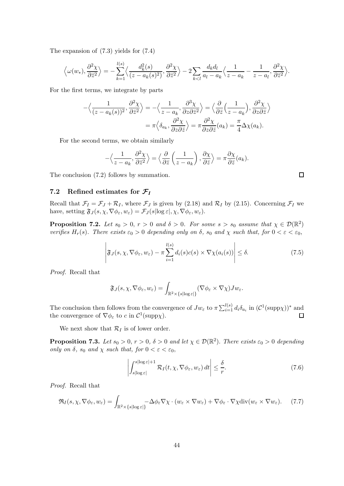The expansion of (7.3) yields for (7.4)

$$
\left\langle \omega(w_*) , \frac{\partial^2 \chi}{\partial \bar{z}^2} \right\rangle = -\sum_{k=1}^{l(s)} \left\langle \frac{d_k^2(s)}{(z - a_k(s)^2)} , \frac{\partial^2 \chi}{\partial \bar{z}^2} \right\rangle - 2 \sum_{k < l} \frac{d_k d_l}{a_l - a_k} \left\langle \frac{1}{z - a_k} - \frac{1}{z - a_l} , \frac{\partial^2 \chi}{\partial \bar{z}^2} \right\rangle.
$$

For the first terms, we integrate by parts

$$
-\langle \frac{1}{(z-a_k(s))^2}, \frac{\partial^2 \chi}{\partial \bar{z}^2} \rangle = -\langle \frac{1}{z-a_k}, \frac{\partial^3 \chi}{\partial z \partial \bar{z}^2} \rangle = \langle \frac{\partial}{\partial \bar{z}} \left(\frac{1}{z-a_k}\right), \frac{\partial^2 \chi}{\partial z \partial \bar{z}} \rangle
$$

$$
= \pi \langle \delta_{a_k}, \frac{\partial^2 \chi}{\partial z \partial \bar{z}} \rangle = \pi \frac{\partial^2 \chi}{\partial z \partial \bar{z}}(a_k) = \frac{\pi}{4} \Delta \chi(a_k).
$$

For the second terms, we obtain similarly

$$
-\left\langle \frac{1}{z-a_k}, \frac{\partial^2 \chi}{\partial \bar{z}^2} \right\rangle = \left\langle \frac{\partial}{\partial \bar{z}} \left( \frac{1}{z-a_k} \right), \frac{\partial \chi}{\partial \bar{z}} \right\rangle = \pi \frac{\partial \chi}{\partial \bar{z}}(a_k).
$$

The conclusion (7.2) follows by summation.

#### 7.2 Refined estimates for  $\mathcal{F}_I$

Recall that  $\mathcal{F}_I = \mathcal{F}_J + \mathcal{R}_I$ , where  $\mathcal{F}_J$  is given by (2.18) and  $\mathcal{R}_I$  by (2.15). Concerning  $\mathcal{F}_I$  we have, setting  $\mathfrak{F}_J(s,\chi,\nabla\phi_{\varepsilon},w_{\varepsilon})=\mathcal{F}_J(s|\log \varepsilon|,\chi,\nabla\phi_{\varepsilon},w_{\varepsilon}).$ 

**Proposition 7.2.** Let  $s_0 > 0$ ,  $r > 0$  and  $\delta > 0$ . For some  $s > s_0$  assume that  $\chi \in \mathcal{D}(\mathbb{R}^2)$ verifies  $H_r(s)$ . There exists  $\varepsilon_0 > 0$  depending only on  $\delta$ ,  $s_0$  and  $\chi$  such that, for  $0 < \varepsilon < \varepsilon_0$ ,

$$
\left| \mathfrak{F}_J(s, \chi, \nabla \phi_{\varepsilon}, w_{\varepsilon}) - \pi \sum_{i=1}^{l(s)} d_i(s) c(s) \times \nabla \chi(a_i(s)) \right| \leq \delta.
$$
 (7.5)

Proof. Recall that

$$
\mathfrak{F}_J(s,\chi,\nabla\phi_{\varepsilon},w_{\varepsilon})=\int_{\mathbb{R}^2\times\{s|\log\varepsilon|\}}(\nabla\phi_{\varepsilon}\times\nabla\chi)Jw_{\varepsilon}.
$$

The conclusion then follows from the convergence of  $Jw_{\varepsilon}$  to  $\pi \sum_{i=1}^{l(s)} d_i \delta_{a_i}$  in  $(C^1(\text{supp}\chi))^*$  and the convergence of  $\nabla \phi_{\varepsilon}$  to c in  $C^1(\text{supp}\chi)$ .  $\Box$ 

We next show that  $\mathcal{R}_I$  is of lower order.

**Proposition 7.3.** Let  $s_0 > 0$ ,  $r > 0$ ,  $\delta > 0$  and let  $\chi \in \mathcal{D}(\mathbb{R}^2)$ . There exists  $\varepsilon_0 > 0$  depending only on  $\delta$ ,  $s_0$  and  $\chi$  such that, for  $0 < \varepsilon < \varepsilon_0$ ,

$$
\left| \int_{s|\log \varepsilon|}^{s|\log \varepsilon|+1} \mathcal{R}_I(t, \chi, \nabla \phi_\varepsilon, w_\varepsilon) dt \right| \leq \frac{\delta}{r}.
$$
 (7.6)

Proof. Recall that

$$
\mathfrak{R}_I(s, \chi, \nabla \phi_{\varepsilon}, w_{\varepsilon}) = \int_{\mathbb{R}^2 \times \{s | \log \varepsilon| \}} -\Delta \phi_{\varepsilon} \nabla \chi \cdot (w_{\varepsilon} \times \nabla w_{\varepsilon}) + \nabla \phi_{\varepsilon} \cdot \nabla \chi \text{div}(w_{\varepsilon} \times \nabla w_{\varepsilon}). \tag{7.7}
$$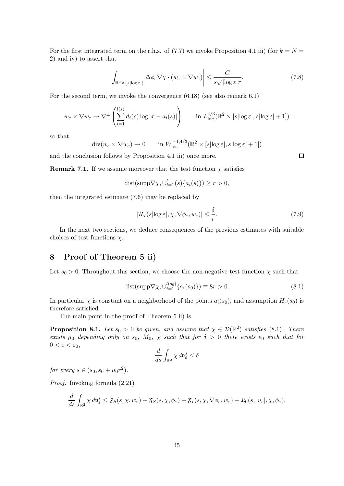For the first integrated term on the r.h.s. of (7.7) we invoke Proposition 4.1 iii) (for  $k = N =$ 2) and iv) to assert that

$$
\left| \int_{\mathbb{R}^2 \times \{s | \log \varepsilon\}} \Delta \phi_{\varepsilon} \nabla \chi \cdot (w_{\varepsilon} \times \nabla w_{\varepsilon}) \right| \leq \frac{C}{s \sqrt{|\log \varepsilon|} r}.
$$
\n(7.8)

For the second term, we invoke the convergence (6.18) (see also remark 6.1)

$$
w_{\varepsilon} \times \nabla w_{\varepsilon} \to \nabla^{\perp} \left( \sum_{i=1}^{l(s)} d_i(s) \log |x - a_i(s)| \right) \qquad \text{in } L_{\text{loc}}^{4/3}(\mathbb{R}^2 \times [s | \log \varepsilon |, s | \log \varepsilon | + 1])
$$

so that

$$
\operatorname{div}(w_{\varepsilon} \times \nabla w_{\varepsilon}) \to 0 \qquad \text{in } W_{\text{loc}}^{-1,4/3}(\mathbb{R}^2 \times [s] \log \varepsilon, |s| \log \varepsilon + 1])
$$

and the conclusion follows by Proposition 4.1 iii) once more.

**Remark 7.1.** If we assume moreover that the test function  $\chi$  satisfies

$$
dist(supp \nabla \chi, \cup_{i=1}^{l} (s)\{a_i(s)\}) \ge r > 0,
$$

then the integrated estimate (7.6) may be replaced by

$$
|\mathcal{R}_I(s|\log \varepsilon|, \chi, \nabla \phi_\varepsilon, w_\varepsilon)| \leq \frac{\delta}{r}.
$$
\n(7.9)

In the next two sections, we deduce consequences of the previous estimates with suitable choices of test functions  $\chi$ .

# 8 Proof of Theorem 5 ii)

Let  $s_0 > 0$ . Throughout this section, we choose the non-negative test function  $\chi$  such that

dist(supp
$$
\nabla \chi, \bigcup_{i=1}^{l(s_0)} \{a_i(s_0)\}\right) \equiv 8r > 0.
$$
 (8.1)

In particular  $\chi$  is constant on a neighborhood of the points  $a_i(s_0)$ , and assumption  $H_r(s_0)$  is therefore satisfied.

The main point in the proof of Theorem 5 ii) is

**Proposition 8.1.** Let  $s_0 > 0$  be given, and assume that  $\chi \in \mathcal{D}(\mathbb{R}^2)$  satisfies (8.1). There exists  $\mu_0$  depending only on  $s_0$ ,  $M_0$ ,  $\chi$  such that for  $\delta > 0$  there exists  $\varepsilon_0$  such that for  $0 < \varepsilon < \varepsilon_0$ ,

$$
\frac{d}{ds} \int_{\mathbb{R}^2} \chi \, d\mathfrak{v}_{\varepsilon}^s \le \delta
$$

for every  $s \in (s_0, s_0 + \mu_0 r^2)$ .

Proof. Invoking formula (2.21)

$$
\frac{d}{ds}\int_{\mathbb{R}^2}\chi\,d\mathfrak{v}_{\varepsilon}^s\leq \mathfrak{F}_S(s,\chi,w_{\varepsilon})+\mathfrak{F}_S(s,\chi,\phi_{\varepsilon})+\mathfrak{F}_I(s,\chi,\nabla\phi_{\varepsilon},w_{\varepsilon})+\mathfrak{L}_0(s,|u_{\varepsilon}|,\chi,\phi_{\varepsilon}).
$$

 $\Box$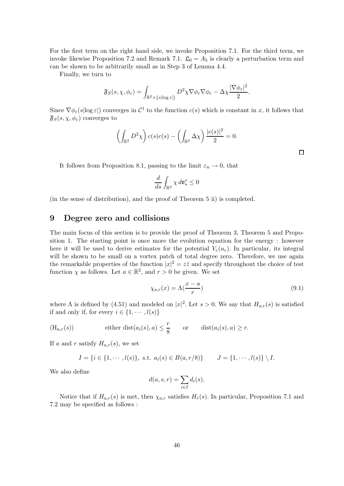For the first term on the right hand side, we invoke Proposition 7.1. For the third term, we invoke likewise Proposition 7.2 and Remark 7.1.  $\mathfrak{L}_0 = A_5$  is clearly a perturbation term and can be shown to be arbitrarily small as in Step 3 of Lemma 4.4.

Finally, we turn to

$$
\mathfrak{F}_S(s,\chi,\phi_{\varepsilon})=\int_{\mathbb{R}^2\times\{s|\log\varepsilon|\}}D^2\chi\nabla\phi_{\varepsilon}\nabla\phi_{\varepsilon}-\Delta\chi\frac{|\nabla\phi_{\varepsilon}|^2}{2}.
$$

Since  $\nabla \phi_{\varepsilon}(s | \log \varepsilon)$  converges in  $\mathcal{C}^1$  to the function  $c(s)$  which is constant in x, it follows that  $\mathfrak{F}_{S}(s,\chi,\phi_{\varepsilon})$  converges to

$$
\left(\int_{\mathbb{R}^2} D^2 \chi\right) c(s) c(s) - \left(\int_{\mathbb{R}^2} \Delta \chi\right) \frac{|c(s)|^2}{2} = 0.
$$

It follows from Proposition 8.1, passing to the limit  $\varepsilon_n \to 0$ , that

$$
\frac{d}{ds}\int_{\mathbb{R}^2}\chi\,d\mathfrak{v}_*^s\leq 0
$$

(in the sense of distribution), and the proof of Theorem 5 ii) is completed.

### 9 Degree zero and collisions

The main focus of this section is to provide the proof of Theorem 3, Theorem 5 and Proposition 1. The starting point is once more the evolution equation for the energy : however here it will be used to derive estimates for the potential  $V_{\varepsilon}(u_{\varepsilon})$ . In particular, its integral will be shown to be small on a vortex patch of total degree zero. Therefore, we use again the remarkable properties of the function  $|x|^2 = z\overline{z}$  and specify throughout the choice of test function  $\chi$  as follows. Let  $a \in \mathbb{R}^2$ , and  $r > 0$  be given. We set

$$
\chi_{a,r}(x) = \Lambda(\frac{x-a}{r})\tag{9.1}
$$

where  $\Lambda$  is defined by (4.51) and modeled on  $|x|^2$ . Let  $s > 0$ . We say that  $H_{a,r}(s)$  is satisfied if and only if, for every  $i \in \{1, \dots, l(s)\}\$ 

$$
(\mathrm{H}_{a,r}(s)) \qquad \qquad \mathrm{either} \; \mathrm{dist}(a_i(s),a) \leq \frac{r}{8} \qquad \mathrm{or} \qquad \mathrm{dist}(a_i(s),a) \geq r.
$$

If a and r satisfy  $H_{a,r}(s)$ , we set

$$
I = \{i \in \{1, \cdots, l(s)\}, \text{ s.t. } a_i(s) \in B(a, r/8)\} \qquad J = \{1, \cdots, l(s)\} \setminus I.
$$

We also define

$$
d(a, s, r) = \sum_{i \in I} d_i(s).
$$

Notice that if  $H_{a,r}(s)$  is met, then  $\chi_{a,r}$  satisfies  $H_r(s)$ . In particular, Proposition 7.1 and 7.2 may be specified as follows :

 $\Box$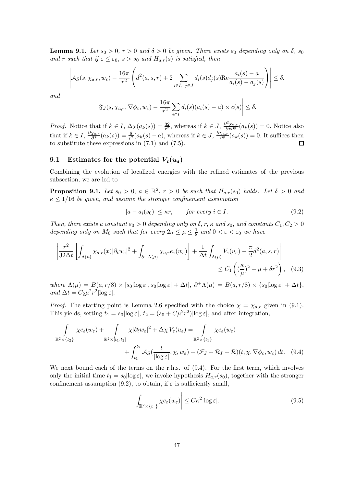**Lemma 9.1.** Let  $s_0 > 0$ ,  $r > 0$  and  $\delta > 0$  be given. There exists  $\varepsilon_0$  depending only on  $\delta$ ,  $s_0$ and r such that if  $\varepsilon \leq \varepsilon_0$ ,  $s > s_0$  and  $H_{a,r}(s)$  is satisfied, then

$$
\left| \mathcal{A}_{S}(s,\chi_{a,r},w_{\varepsilon}) - \frac{16\pi}{r^2} \left( d^2(a,s,r) + 2 \sum_{i \in I, j \in J} d_i(s) d_j(s) \text{Re} \frac{a_i(s) - a}{a_i(s) - a_j(s)} \right) \right| \le \delta.
$$

and

$$
\left|\mathfrak{F}_J(s,\chi_{a,r},\nabla\phi_{\varepsilon},w_{\varepsilon})-\frac{16\pi}{r^2}\sum_{i\in I}d_i(s)(a_i(s)-a)\times c(s)\right|\leq \delta.
$$

*Proof.* Notice that if  $k \in I$ ,  $\Delta \chi(a_k(s)) = \frac{32}{r^2}$ , whereas if  $k \in J$ ,  $\frac{\partial^2 \chi_{a,r}}{\partial z \partial \overline{z}}$  $\frac{\partial^2 X_{a,r}}{\partial z \partial \overline{z}}(a_k(s)) = 0.$  Notice also that if  $k \in I$ ,  $\frac{\partial \chi_{a,r}}{\partial \bar{z}}$  $\frac{\chi_{a,r}}{\partial \bar{z}}(a_k(s)) = \frac{8}{r^2}(a_k(s)-a)$ , whereas if  $k \in J$ ,  $\frac{\partial \chi_{a,r}}{\partial \bar{z}}$  $\frac{\chi_{a,r}}{\partial \bar{z}}(a_k(s))=0.$  It suffices then to substitute these expressions in  $(7.1)$  and  $(7.5)$ .

# 9.1 Estimates for the potential  $V_{\varepsilon}(u_{\varepsilon})$

Combining the evolution of localized energies with the refined estimates of the previous subsection, we are led to

**Proposition 9.1.** Let  $s_0 > 0$ ,  $a \in \mathbb{R}^2$ ,  $r > 0$  be such that  $H_{a,r}(s_0)$  holds. Let  $\delta > 0$  and  $\kappa \leq 1/16$  be given, and assume the stronger confinement assumption

$$
|a - a_i(s_0)| \le \kappa r, \qquad \text{for every } i \in I. \tag{9.2}
$$

Then, there exists a constant  $\varepsilon_0 > 0$  depending only on  $\delta$ , r,  $\kappa$  and  $s_0$ , and constants  $C_1, C_2 > 0$ depending only on  $M_0$  such that for every  $2\kappa \leq \mu \leq \frac{1}{8}$  $\frac{1}{8}$  and  $0 < \varepsilon < \varepsilon_0$  we have

$$
\left| \frac{r^2}{32\Delta t} \left[ \int_{\Lambda(\mu)} \chi_{a,r}(x) |\partial_t w_{\varepsilon}|^2 + \int_{\partial^+ \Lambda(\mu)} \chi_{a,r} e_{\varepsilon}(w_{\varepsilon}) \right] + \frac{1}{\Delta t} \int_{\Lambda(\mu)} V_{\varepsilon}(u_{\varepsilon}) - \frac{\pi}{2} d^2(a,s,r) \right| \leq C_1 \left( \left( \frac{\kappa}{\mu} \right)^2 + \mu + \delta r^2 \right), \quad (9.3)
$$

where  $\Lambda(\mu) = B(a, r/8) \times [s_0] \log \varepsilon, s_0 \log \varepsilon + \Delta t, \ \partial^+ \Lambda(\mu) = B(a, r/8) \times \{s_0 |\log \varepsilon| + \Delta t\},$ and  $\Delta t = C_2 \mu^2 r^2 |\log \varepsilon|$ .

*Proof.* The starting point is Lemma 2.6 specified with the choice  $\chi = \chi_{a,r}$  given in (9.1). This yields, setting  $t_1 = s_0 |\log \varepsilon|$ ,  $t_2 = (s_0 + C\mu^2 r^2) |\log \varepsilon|$ , and after integration,

$$
\int_{\mathbb{R}^2 \times \{t_2\}} \chi e_{\varepsilon}(w_{\varepsilon}) + \int_{\mathbb{R}^2 \times [t_1, t_2]} \chi |\partial_t w_{\varepsilon}|^2 + \Delta \chi V_{\varepsilon}(u_{\varepsilon}) = \int_{\mathbb{R}^2 \times \{t_1\}} \chi e_{\varepsilon}(w_{\varepsilon}) + \int_{t_1}^{t_2} \mathcal{A}_S(\frac{t}{|\log \varepsilon|}, \chi, w_{\varepsilon}) + (\mathcal{F}_J + \mathcal{R}_I + \mathcal{R})(t, \chi, \nabla \phi_{\varepsilon}, w_{\varepsilon}) dt. \tag{9.4}
$$

We next bound each of the terms on the r.h.s. of (9.4). For the first term, which involves only the initial time  $t_1 = s_0 |\log \varepsilon|$ , we invoke hypothesis  $H_{a,r}(s_0)$ , together with the stronger confinement assumption (9.2), to obtain, if  $\varepsilon$  is sufficiently small,

$$
\left| \int_{\mathbb{R}^2 \times \{t_1\}} \chi e_{\varepsilon}(w_{\varepsilon}) \right| \leq C \kappa^2 |\log \varepsilon|. \tag{9.5}
$$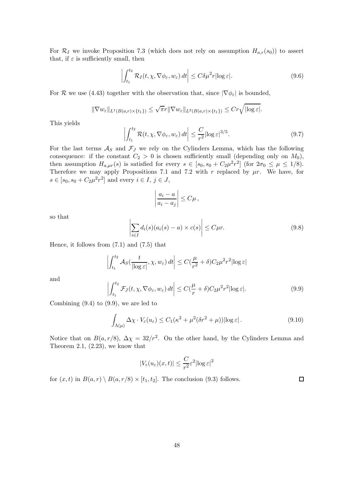For  $\mathcal{R}_I$  we invoke Proposition 7.3 (which does not rely on assumption  $H_{a,r}(s_0)$ ) to assert that, if  $\varepsilon$  is sufficiently small, then

$$
\left| \int_{t_1}^{t_2} \mathcal{R}_I(t, \chi, \nabla \phi_{\varepsilon}, w_{\varepsilon}) dt \right| \le C \delta \mu^2 r |\log \varepsilon|.
$$
 (9.6)

For R we use (4.43) together with the observation that, since  $|\nabla \phi_{\varepsilon}|$  is bounded,

$$
\|\nabla w_{\varepsilon}\|_{L^{1}(B(a,r)\times\{t_1\})}\leq \sqrt{\pi}r\|\nabla w_{\varepsilon}\|_{L^{2}(B(a,r)\times\{t_1\})}\leq Cr\sqrt{|\log \varepsilon|}.
$$

This yields

$$
\left| \int_{t_1}^{t_2} \mathcal{R}(t, \chi, \nabla \phi_{\varepsilon}, w_{\varepsilon}) dt \right| \leq \frac{C}{r^2} |\log \varepsilon|^{3/5}.
$$
 (9.7)

For the last terms  $\mathcal{A}_S$  and  $\mathcal{F}_J$  we rely on the Cylinders Lemma, which has the following consequence: if the constant  $C_2 > 0$  is chosen sufficiently small (depending only on  $M_0$ ), then assumption  $H_{a,\mu r}(s)$  is satisfied for every  $s \in [s_0, s_0 + C_2 \mu^2 r^2]$  (for  $2\sigma_0 \leq \mu \leq 1/8$ ). Therefore we may apply Propositions 7.1 and 7.2 with r replaced by  $\mu r$ . We have, for  $s \in [s_0, s_0 + C_2 \mu^2 r^2]$  and every  $i \in I, j \in J$ ,

$$
\left|\frac{a_i-a}{a_i-a_j}\right|\leq C\mu\,,
$$

so that

$$
\left| \sum_{i \in I} d_i(s) (a_i(s) - a) \times c(s) \right| \le C \mu r. \tag{9.8}
$$

Hence, it follows from (7.1) and (7.5) that

$$
\left| \int_{t_1}^{t_2} \mathcal{A}_S(\frac{t}{|\log \varepsilon|}, \chi, w_\varepsilon) dt \right| \le C(\frac{\mu}{r^2} + \delta) C_2 \mu^2 r^2 |\log \varepsilon|
$$

and

$$
\left| \int_{t_1}^{t_2} \mathcal{F}_J(t, \chi, \nabla \phi_{\varepsilon}, w_{\varepsilon}) dt \right| \le C \left( \frac{\mu}{r} + \delta \right) C_2 \mu^2 r^2 |\log \varepsilon|. \tag{9.9}
$$

Combining  $(9.4)$  to  $(9.9)$ , we are led to

$$
\int_{\Lambda(\mu)} \Delta \chi \cdot V_{\varepsilon}(u_{\varepsilon}) \le C_1(\kappa^2 + \mu^2(\delta r^2 + \mu)) |\log \varepsilon|.
$$
\n(9.10)

Notice that on  $B(a, r/8)$ ,  $\Delta \chi = 32/r^2$ . On the other hand, by the Cylinders Lemma and Theorem 2.1,  $(2.23)$ , we know that

$$
|V_{\varepsilon}(u_{\varepsilon})(x,t)| \leq \frac{C}{r^2} \varepsilon^2 |\log \varepsilon|^2
$$

for  $(x,t)$  in  $B(a,r) \setminus B(a,r/8) \times [t_1,t_2]$ . The conclusion (9.3) follows.

 $\Box$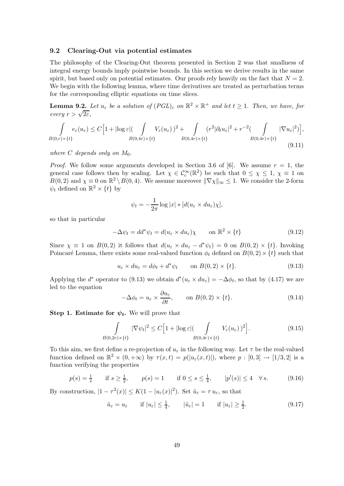#### 9.2 Clearing-Out via potential estimates

The philosophy of the Clearing-Out theorem presented in Section 2 was that smallness of integral energy bounds imply pointwise bounds. In this section we derive results in the same spirit, but based only on potential estimates. Our proofs rely heavily on the fact that  $N = 2$ . We begin with the following lemma, where time derivatives are treated as perturbation terms for the corresponding elliptic equations on time slices.

**Lemma 9.2.** Let  $u_{\varepsilon}$  be a solution of  $(PGL)_{\varepsilon}$  on  $\mathbb{R}^2 \times \mathbb{R}^+$  and let  $t \geq 1$ . Then, we have, for  $every r > \sqrt{2\varepsilon},$ 

$$
\int_{B(0,r)\times\{t\}} e_{\varepsilon}(u_{\varepsilon}) \leq C \Big[ 1 + |\log \varepsilon| (\int_{B(0,4r)\times\{t\}} V_{\varepsilon}(u_{\varepsilon}))^{2} + \int_{B(0,4r)\times\{t\}} (r^{2}|\partial_{t}u_{\varepsilon}|^{2} + r^{-2} (\int_{B(0,4r)\times\{t\}} |\nabla u_{\varepsilon}|^{2}) \Big], \tag{9.11}
$$

where  $C$  depends only on  $M_0$ .

*Proof.* We follow some arguments developed in Section 3.6 of [6]. We assume  $r = 1$ , the general case follows then by scaling. Let  $\chi \in C_c^{\infty}(\mathbb{R}^2)$  be such that  $0 \leq \chi \leq 1$ ,  $\chi \equiv 1$  on  $B(0, 2)$  and  $\chi \equiv 0$  on  $\mathbb{R}^2 \setminus B(0, 4)$ . We assume moreover  $\|\nabla \chi\|_{\infty} \leq 1$ . We consider the 2-form  $\psi_t$  defined on  $\mathbb{R}^2 \times \{t\}$  by

$$
\psi_t = -\frac{1}{2\pi} \log |x| * [d(u_\varepsilon \times du_\varepsilon)\chi],
$$

so that in particular

$$
-\Delta \psi_t = dd^* \psi_t = d(u_\varepsilon \times du_\varepsilon) \chi \qquad \text{on } \mathbb{R}^2 \times \{t\}
$$
 (9.12)

Since  $\chi \equiv 1$  on  $B(0, 2)$  it follows that  $d(u_{\varepsilon} \times du_{\varepsilon} - d^* \psi_t) = 0$  on  $B(0, 2) \times \{t\}$ . Invoking Poincaré Lemma, there exists some real-valued function  $\phi_t$  defined on  $B(0, 2) \times \{t\}$  such that

$$
u_{\varepsilon} \times du_{\varepsilon} = d\phi_t + d^*\psi_t \qquad \text{on } B(0,2) \times \{t\}. \tag{9.13}
$$

Applying the  $d^*$  operator to (9.13) we obtain  $d^*(u_\varepsilon \times du_\varepsilon) = -\Delta \phi_t$ , so that by (4.17) we are led to the equation

$$
-\Delta \phi_t = u_\varepsilon \times \frac{\partial u_\varepsilon}{\partial t}, \qquad \text{on } B(0,2) \times \{t\}. \tag{9.14}
$$

Step 1. Estimate for  $\psi_t$ . We will prove that

$$
\int_{B(0,2r)\times\{t\}} |\nabla \psi_t|^2 \le C \Big[ 1 + |\log \varepsilon| \Big( \int_{B(0,4r)\times\{t\}} V_{\varepsilon}(u_{\varepsilon})\Big)^2 \Big]. \tag{9.15}
$$

To this aim, we first define a re-projection of  $u_{\varepsilon}$  in the following way. Let  $\tau$  be the real-valued function defined on  $\mathbb{R}^2 \times (0, +\infty)$  by  $\tau(x,t) = p(|u_{\varepsilon}(x,t)|)$ , where  $p : [0,3] \to [1/3,2]$  is a function verifying the properties

$$
p(s) = \frac{1}{s}
$$
 if  $s \ge \frac{1}{2}$ ,  $p(s) = 1$  if  $0 \le s \le \frac{1}{4}$ ,  $|p'(s)| \le 4 \quad \forall s$ . (9.16)

By construction,  $|1 - \tau^2(x)| \le K(1 - |u_{\varepsilon}(x)|^2)$ . Set  $\tilde{u}_{\varepsilon} = \tau u_{\varepsilon}$ , so that

$$
\tilde{u}_{\varepsilon} = u_{\varepsilon} \qquad \text{if } |u_{\varepsilon}| \le \frac{1}{4}, \qquad |\tilde{u}_{\varepsilon}| = 1 \qquad \text{if } |u_{\varepsilon}| \ge \frac{1}{2}.
$$
\n
$$
(9.17)
$$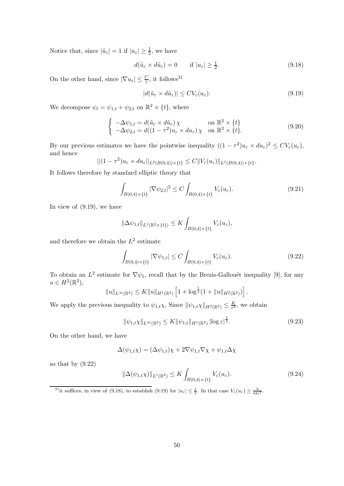Notice that, since  $|\tilde{u}_{\varepsilon}| = 1$  if  $|u_{\varepsilon}| \ge \frac{1}{2}$ , we have

$$
d(\tilde{u}_{\varepsilon} \times d\tilde{u}_{\varepsilon}) = 0 \qquad \text{if } |u_{\varepsilon}| \ge \frac{1}{2}.
$$

On the other hand, since  $|\nabla u_{\varepsilon}| \leq \frac{C}{\varepsilon}$ , it follows<sup>31</sup>

$$
|d(\tilde{u}_{\varepsilon} \times d\tilde{u}_{\varepsilon})| \le CV_{\varepsilon}(u_{\varepsilon}).
$$
\n(9.19)

We decompose  $\psi_t = \psi_{1,t} + \psi_{2,t}$  on  $\mathbb{R}^2 \times \{t\}$ , where

$$
\begin{cases}\n-\Delta \psi_{1,t} = d(\tilde{u}_{\varepsilon} \times d\tilde{u}_{\varepsilon}) \chi & \text{on } \mathbb{R}^2 \times \{t\} \\
-\Delta \psi_{2,t} = d((1 - \tau^2)u_{\varepsilon} \times du_{\varepsilon}) \chi & \text{on } \mathbb{R}^2 \times \{t\}.\n\end{cases}
$$
\n(9.20)

By our previous estimates we have the pointwise inequality  $((1 - \tau^2)u_\varepsilon \times du_\varepsilon)^2 \le CV_\varepsilon(u_\varepsilon)$ , and hence

$$
||(1-\tau^2)u_{\varepsilon} \times du_{\varepsilon}||_{L^2(B(0,4))\times\{t\}} \leq C||V_{\varepsilon}(u_{\varepsilon})||_{L^1(B(0,4))\times\{t\}}.
$$

It follows therefore by standard elliptic theory that

$$
\int_{B(0,4)\times\{t\}} |\nabla \psi_{2,t}|^2 \le C \int_{B(0,4)\times\{t\}} V_{\varepsilon}(u_{\varepsilon}). \tag{9.21}
$$

In view of (9.19), we have

$$
\|\Delta \psi_{1,t}\|_{L^1(\mathbb{R}^2\times\{t\})}\leq K \int_{B(0,4)\times\{t\}}V_{\varepsilon}(u_{\varepsilon}),
$$

and therefore we obtain the  $L^2$  estimate

$$
\int_{B(0,4)\times\{t\}} |\nabla \psi_{1,t}| \le C \int_{B(0,4)\times\{t\}} V_{\varepsilon}(u_{\varepsilon}). \tag{9.22}
$$

To obtain an  $L^2$  estimate for  $\nabla \psi_1$ , recall that by the Brezis-Gallouët inequality [9], for any  $u \in H^2(\mathbb{R}^2),$ 

$$
||u||_{L^{\infty}(\mathbb{R}^2)} \leq K||u||_{H^1(\mathbb{R}^2)} \left[1 + \log^{\frac{1}{2}}(1 + ||u||_{H^2(\mathbb{R}^2)})\right].
$$

We apply the previous inequality to  $\psi_{1,t}\chi$ . Since  $\|\psi_{1,t}\chi\|_{H^2(\mathbb{R}^2)} \leq \frac{K}{\varepsilon^2}$  $\frac{K}{\varepsilon^2}$ , we obtain

$$
\|\psi_{1,t}\chi\|_{L^{\infty}(\mathbb{R}^2)} \le K \|\psi_{1,t}\|_{H^1(\mathbb{R}^2)} |\log \varepsilon|^{\frac{1}{2}}.
$$
\n(9.23)

On the other hand, we have

$$
\Delta(\psi_{1,t}\chi) = (\Delta\psi_{1,t})\chi + 2\nabla\psi_{1,t}\nabla\chi + \psi_{1,t}\Delta\chi
$$

so that by (9.22)

$$
\|\Delta(\psi_{1,t}\chi)\|_{L^1(\mathbb{R}^2)} \le K \int_{B(0,4)\times\{t\}} V_{\varepsilon}(u_{\varepsilon}).\tag{9.24}
$$

<sup>31</sup>it suffices, in view of (9.18), to establish (9.19) for  $|u_{\varepsilon}| \leq \frac{1}{2}$ . In that case  $V_{\varepsilon}(u_{\varepsilon}) \geq \frac{9}{64\varepsilon^2}$ .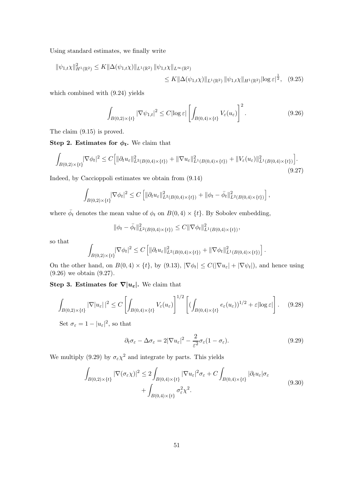Using standard estimates, we finally write

$$
\|\psi_{1,t}\chi\|_{H^1(\mathbb{R}^2)}^2 \le K \|\Delta(\psi_{1,t}\chi)\|_{L^1(\mathbb{R}^2)} \|\psi_{1,t}\chi\|_{L^\infty(\mathbb{R}^2)}\n\le K \|\Delta(\psi_{1,t}\chi)\|_{L^1(\mathbb{R}^2)} \|\psi_{1,t}\chi\|_{H^1(\mathbb{R}^2)} |\log \varepsilon|^{\frac{1}{2}}, \quad (9.25)
$$

which combined with (9.24) yields

$$
\int_{B(0,2)\times\{t\}} |\nabla \psi_{1,t}|^2 \le C |\log \varepsilon| \left[ \int_{B(0,4)\times\{t\}} V_{\varepsilon}(u_{\varepsilon}) \right]^2.
$$
\n(9.26)

The claim (9.15) is proved.

Step 2. Estimates for  $\phi_t$ . We claim that

$$
\int_{B(0,2)\times\{t\}} |\nabla \phi_t|^2 \le C \Big[ \| \partial_t u_\varepsilon \|_{L^2(B(0,4)\times\{t\})}^2 + \| \nabla u_\varepsilon \|_{L^1(B(0,4)\times\{t\})}^2 + \| V_\varepsilon(u_\varepsilon) \|_{L^1(B(0,4)\times\{t\})}^2 \Big].
$$
\n(9.27)

Indeed, by Caccioppoli estimates we obtain from (9.14)

$$
\int_{B(0,2)\times\{t\}} |\nabla \phi_t|^2 \le C \left[ \|\partial_t u_{\varepsilon}\|_{L^2(B(0,4)\times\{t\})}^2 + \|\phi_t - \bar{\phi}_t\|_{L^2(B(0,4)\times\{t\})}^2 \right],
$$

where  $\bar{\phi}_t$  denotes the mean value of  $\phi_t$  on  $B(0, 4) \times \{t\}$ . By Sobolev embedding,

$$
\|\phi_t - \bar{\phi}_t\|_{L^2(B(0,4)\times\{t\})}^2 \le C \|\nabla \phi_t\|_{L^1(B(0,4)\times\{t\})}^2,
$$

so that

$$
\int_{B(0,2)\times\{t\}} |\nabla \phi_t|^2 \leq C \left[ \|\partial_t u_{\varepsilon}\|_{L^2(B(0,4)\times\{t\})}^2 + \|\nabla \phi_t\|_{L^1(B(0,4)\times\{t\})}^2 \right].
$$

On the other hand, on  $B(0,4) \times \{t\}$ , by (9.13),  $|\nabla \phi_t| \leq C(|\nabla u_{\varepsilon}| + |\nabla \psi_t|)$ , and hence using (9.26) we obtain (9.27).

Step 3. Estimates for  $\nabla |u_{\varepsilon}|$ . We claim that

$$
\int_{B(0,2)\times\{t\}} |\nabla |u_{\varepsilon}||^2 \le C \left[ \int_{B(0,4)\times\{t\}} V_{\varepsilon}(u_{\varepsilon}) \right]^{1/2} \left[ \left( \int_{B(0,4)\times\{t\}} e_{\varepsilon}(u_{\varepsilon}) \right)^{1/2} + \varepsilon |\log \varepsilon| \right]. \tag{9.28}
$$

Set  $\sigma_{\varepsilon} = 1 - |u_{\varepsilon}|^2$ , so that

$$
\partial_t \sigma_{\varepsilon} - \Delta \sigma_{\varepsilon} = 2|\nabla u_{\varepsilon}|^2 - \frac{2}{\varepsilon^2} \sigma_{\varepsilon} (1 - \sigma_{\varepsilon}). \tag{9.29}
$$

We multiply (9.29) by  $\sigma_{\varepsilon} \chi^2$  and integrate by parts. This yields

$$
\int_{B(0,2)\times\{t\}} |\nabla(\sigma_{\varepsilon}\chi)|^2 \le 2 \int_{B(0,4)\times\{t\}} |\nabla u_{\varepsilon}|^2 \sigma_{\varepsilon} + C \int_{B(0,4)\times\{t\}} |\partial_t u_{\varepsilon}| \sigma_{\varepsilon} + \int_{B(0,4)\times\{t\}} \sigma_{\varepsilon}^2 \chi^2.
$$
\n(9.30)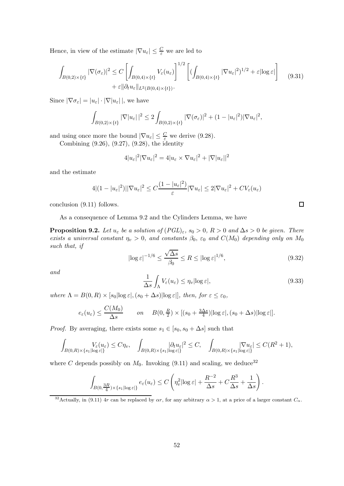Hence, in view of the estimate  $|\nabla u_{\varepsilon}| \leq \frac{C}{\varepsilon}$  we are led to

$$
\int_{B(0,2)\times\{t\}} |\nabla(\sigma_{\varepsilon})|^2 \le C \left[ \int_{B(0,4)\times\{t\}} V_{\varepsilon}(u_{\varepsilon}) \right]^{1/2} \left[ (\int_{B(0,4)\times\{t\}} |\nabla u_{\varepsilon}|^2)^{1/2} + \varepsilon |\log \varepsilon| \right] \tag{9.31}
$$
\n
$$
+ \varepsilon ||\partial_t u_{\varepsilon}||_{L^2(B(0,4)\times\{t\})}.
$$

Since  $|\nabla \sigma_{\varepsilon}| = |u_{\varepsilon}| \cdot |\nabla |u_{\varepsilon}|$ , we have

$$
\int_{B(0,2)\times\{t\}} |\nabla |u_{\varepsilon}||^2 \leq 2 \int_{B(0,2)\times\{t\}} |\nabla (\sigma_{\varepsilon})|^2 + (1-|u_{\varepsilon}|^2) |\nabla u_{\varepsilon}|^2,
$$

and using once more the bound  $|\nabla u_{\varepsilon}| \leq \frac{C}{\varepsilon}$  we derive (9.28).

Combining (9.26), (9.27), (9.28), the identity

$$
4|u_{\varepsilon}|^2|\nabla u_{\varepsilon}|^2=4|u_{\varepsilon}\times\nabla u_{\varepsilon}|^2+|\nabla|u_{\varepsilon}||^2
$$

and the estimate

$$
4|(1-|u_{\varepsilon}|^2)||\nabla u_{\varepsilon}|^2 \leq C\frac{(1-|u_{\varepsilon}|^2)}{\varepsilon}|\nabla u_{\varepsilon}| \leq 2|\nabla u_{\varepsilon}|^2 + CV_{\varepsilon}(u_{\varepsilon})
$$

conclusion (9.11) follows.

As a consequence of Lemma 9.2 and the Cylinders Lemma, we have

**Proposition 9.2.** Let  $u_{\varepsilon}$  be a solution of  $(PGL)_{\varepsilon}$ ,  $s_0 > 0$ ,  $R > 0$  and  $\Delta s > 0$  be given. There exists a universal constant  $\eta_v > 0$ , and constants  $\beta_0$ ,  $\varepsilon_0$  and  $C(M_0)$  depending only on  $M_0$ such that, if

$$
|\log \varepsilon|^{-1/6} \le \frac{\sqrt{\Delta s}}{\beta_0} \le R \le |\log \varepsilon|^{1/6},\tag{9.32}
$$

and

$$
\frac{1}{\Delta s} \int_{\Lambda} V_{\varepsilon}(u_{\varepsilon}) \le \eta_v |\log \varepsilon|,
$$
\n(9.33)

where  $\Lambda = B(0,R) \times [s_0|\log \varepsilon|, (s_0 + \Delta s)|\log \varepsilon|]$ , then, for  $\varepsilon \leq \varepsilon_0$ ,

$$
e_{\varepsilon}(u_{\varepsilon}) \leq \frac{C(M_0)}{\Delta s} \qquad on \quad B(0, \frac{R}{2}) \times [(s_0 + \frac{3\Delta s}{4})|\log \varepsilon|, (s_0 + \Delta s)|\log \varepsilon|].
$$

*Proof.* By averaging, there exists some  $s_1 \in [s_0, s_0 + \Delta s]$  such that

$$
\int_{B(0,R)\times\{s_1|\log\varepsilon|\}} V_{\varepsilon}(u_{\varepsilon}) \leq C\eta_v, \quad \int_{B(0,R)\times\{s_1|\log\varepsilon|\}} |\partial_t u_{\varepsilon}|^2 \leq C, \quad \int_{B(0,R)\times\{s_1|\log\varepsilon|\}} |\nabla u_{\varepsilon}| \leq C(R^2+1),
$$

where C depends possibly on  $M_0$ . Invoking (9.11) and scaling, we deduce<sup>32</sup>

$$
\int_{B(0,\frac{3R}{4})\times\{s_1|\log\varepsilon|\}} e_{\varepsilon}(u_{\varepsilon}) \leq C\left(\eta_v^2|\log\varepsilon| + \frac{R^{-2}}{\Delta s} + C\frac{R^3}{\Delta s} + \frac{1}{\Delta s}\right).
$$

 $\Box$ 

<sup>&</sup>lt;sup>32</sup>Actually, in (9.11) 4r can be replaced by  $\alpha r$ , for any arbitrary  $\alpha > 1$ , at a price of a larger constant  $C_{\alpha}$ .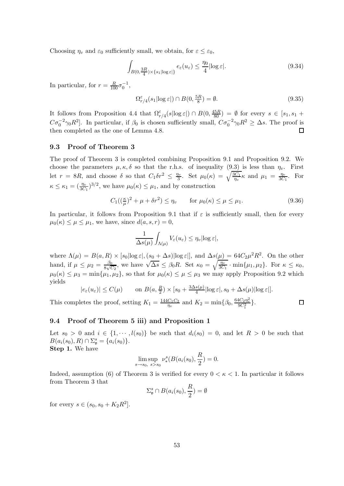Choosing  $\eta_v$  and  $\varepsilon_0$  sufficiently small, we obtain, for  $\varepsilon \leq \varepsilon_0$ ,

$$
\int_{B(0,\frac{3R}{4})\times\{s_1|\log\varepsilon|\}} e_{\varepsilon}(u_{\varepsilon}) \leq \frac{\eta_0}{4} |\log\varepsilon|.
$$
\n(9.34)

In particular, for  $r = \frac{R}{100} \sigma_0^{-1}$ ,

$$
\Omega_{r/4}^{\varepsilon}(s_1|\log \varepsilon|) \cap B(0, \frac{5R}{8}) = \emptyset. \tag{9.35}
$$

It follows from Proposition 4.4 that  $\Omega_{r/4}^{\varepsilon}(s|\log \varepsilon|) \cap B(0, \frac{45R}{80}) = \emptyset$  for every  $s \in [s_1, s_1 +$  $C\sigma_0^{-2}\gamma_0 R^2$ . In particular, if  $\beta_0$  is chosen sufficiently small,  $C\sigma_0^{-2}\gamma_0 R^2 \geq \Delta s$ . The proof is then completed as the one of Lemma 4.8.

#### 9.3 Proof of Theorem 3

The proof of Theorem 3 is completed combining Proposition 9.1 and Proposition 9.2. We choose the parameters  $\mu, \kappa, \delta$  so that the r.h.s. of inequality (9.3) is less than  $\eta_v$ . First let  $r = 8R$ , and choose  $\delta$  so that  $C_1 \delta r^2 \leq \frac{\eta_v}{3}$  $\frac{\partial v}{\partial 3}$ . Set  $\mu_0(\kappa) = \sqrt{\frac{3C_1}{\eta_v}}\kappa$  and  $\mu_1 = \frac{\eta_v}{3C_1}$  $rac{\eta_v}{3C_1}$ . For  $\kappa \leq \kappa_1 = \left(\frac{\eta_v}{3C_1}\right)^{3/2}$ , we have  $\mu_0(\kappa) \leq \mu_1$ , and by construction

$$
C_1\left(\left(\frac{\kappa}{\mu}\right)^2 + \mu + \delta r^2\right) \le \eta_v \qquad \text{for } \mu_0(\kappa) \le \mu \le \mu_1. \tag{9.36}
$$

In particular, it follows from Proposition 9.1 that if  $\varepsilon$  is sufficiently small, then for every  $\mu_0(\kappa) \leq \mu \leq \mu_1$ , we have, since  $d(a,s,r) = 0$ ,

$$
\frac{1}{\Delta s(\mu)}\int_{\Lambda(\mu)}V_{\varepsilon}(u_{\varepsilon})\leq \eta_v|\!\log\varepsilon|,
$$

where  $\Lambda(\mu) = B(a, R) \times [s_0 |\log \varepsilon|, (s_0 + \Delta s)|\log \varepsilon|]$ , and  $\Delta s(\mu) = 64C_2\mu^2 R^2$ . On the other hand, if  $\mu \leq \mu_2 = \frac{\beta_0}{8\sqrt{\zeta}}$  $\frac{\beta_0}{8\sqrt{C_2}}$ , we have  $\sqrt{\Delta s} \leq \beta_0 R$ . Set  $\kappa_0 = \sqrt{\frac{\eta_v}{3C_1}} \cdot \min\{\mu_1, \mu_2\}$ . For  $\kappa \leq \kappa_0$ ,  $\mu_0(\kappa) \leq \mu_3 = \min{\{\mu_1, \mu_2\}}$ , so that for  $\mu_0(\kappa) \leq \mu \leq \mu_3$  we may apply Proposition 9.2 which yields

$$
|e_{\varepsilon}(u_{\varepsilon})| \le C(\mu) \qquad \text{on } B(a, \frac{R}{2}) \times [s_0 + \frac{3\Delta s(\mu)}{4}|\log \varepsilon|, s_0 + \Delta s(\mu)|\log \varepsilon|].
$$
  
This completes the proof, setting  $K_1 = \frac{144C_1C_2}{\eta_v}$  and  $K_2 = \min\{\beta_0, \frac{64C_2\eta_v^2}{9C_1^2}\}.$ 

### 9.4 Proof of Theorem 5 iii) and Proposition 1

Let  $s_0 > 0$  and  $i \in \{1, \dots, l(s_0)\}\$ be such that  $d_i(s_0) = 0$ , and let  $R > 0$  be such that  $B(a_i(s_0), R) \cap \Sigma_{\mathfrak{v}}^s = \{a_i(s_0)\}.$ 

 $\eta_v$ 

Step 1. We have

$$
\lim_{s \to s_0, s>s_0} \nu_*^s(B(a_i(s_0), \frac{R}{2}) = 0.
$$

Indeed, assumption (6) of Theorem 3 is verified for every  $0 < \kappa < 1$ . In particular it follows from Theorem 3 that

$$
\Sigma_{\mathfrak{v}}^{s} \cap B(a_{i}(s_{0}), \frac{R}{2}) = \emptyset
$$

for every  $s \in (s_0, s_0 + K_2 R^2]$ .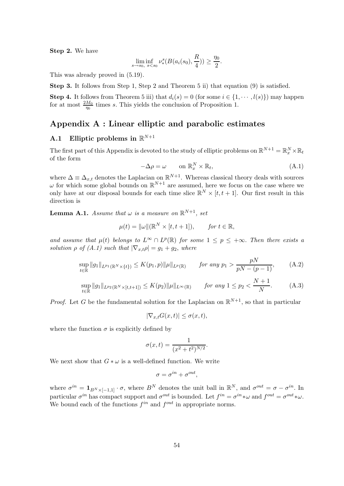Step 2. We have

$$
\liminf_{s \to s_0, s < s_0} \nu^s_*(B(a_i(s_0), \frac{R}{4})) \ge \frac{\eta_0}{2}.
$$

This was already proved in (5.19).

Step 3. It follows from Step 1, Step 2 and Theorem 5 ii) that equation (9) is satisfied.

**Step 4.** It follows from Theorem 5 iii) that  $d_i(s) = 0$  (for some  $i \in \{1, \dots, l(s)\}\)$  may happen for at most  $\frac{2M_0}{\eta_0}$  times s. This yields the conclusion of Proposition 1.

# Appendix A : Linear elliptic and parabolic estimates

# A.1 Elliptic problems in  $\mathbb{R}^{N+1}$

The first part of this Appendix is devoted to the study of elliptic problems on  $\mathbb{R}^{N+1} = \mathbb{R}^N_x \times \mathbb{R}_t$ of the form

$$
-\Delta \rho = \omega \qquad \text{on } \mathbb{R}_x^N \times \mathbb{R}_t,
$$
\n(A.1)

where  $\Delta \equiv \Delta_{x,t}$  denotes the Laplacian on  $\mathbb{R}^{N+1}$ . Whereas classical theory deals with sources  $\omega$  for which some global bounds on  $\mathbb{R}^{N+1}$  are assumed, here we focus on the case where we only have at our disposal bounds for each time slice  $\mathbb{R}^N \times [t, t+1]$ . Our first result in this direction is

**Lemma A.1.** Assume that  $\omega$  is a measure on  $\mathbb{R}^{N+1}$ , set

$$
\mu(t) = \|\omega\|(\mathbb{R}^N \times [t, t+1]), \quad \text{for } t \in \mathbb{R},
$$

and assume that  $\mu(t)$  belongs to  $L^{\infty} \cap L^{p}(\mathbb{R})$  for some  $1 \leq p \leq +\infty$ . Then there exists a solution  $\rho$  of (A.1) such that  $|\nabla_{x,t}\rho| = g_1 + g_2$ , where

$$
\sup_{t \in \mathbb{R}} \|g_1\|_{L^{p_1}(\mathbb{R}^N \times \{t\})} \le K(p_1, p) \|\mu\|_{L^p(\mathbb{R})} \qquad \text{for any } p_1 > \frac{pN}{pN - (p-1)}, \tag{A.2}
$$

$$
\sup_{t \in \mathbb{R}} \|g_1\|_{L^{p_2}(\mathbb{R}^N \times [t,t+1])} \le K(p_2) \|\mu\|_{L^{\infty}(\mathbb{R})} \qquad \text{for any } 1 \le p_2 < \frac{N+1}{N}.\tag{A.3}
$$

*Proof.* Let G be the fundamental solution for the Laplacian on  $\mathbb{R}^{N+1}$ , so that in particular

$$
|\nabla_{x,t}G(x,t)| \le \sigma(x,t),
$$

where the function  $\sigma$  is explicitly defined by

$$
\sigma(x,t) = \frac{1}{(x^2 + t^2)^{N/2}}.
$$

We next show that  $G * \omega$  is a well-defined function. We write

$$
\sigma = \sigma^{in} + \sigma^{out},
$$

where  $\sigma^{in} = \mathbf{1}_{B^N \times [-1,1]} \cdot \sigma$ , where  $B^N$  denotes the unit ball in  $\mathbb{R}^N$ , and  $\sigma^{out} = \sigma - \sigma^{in}$ . In particular  $\sigma^{in}$  has compact support and  $\sigma^{out}$  is bounded. Let  $f^{in} = \sigma^{in} * \omega$  and  $f^{out} = \sigma^{out} * \omega$ . We bound each of the functions  $f^{in}$  and  $f^{out}$  in appropriate norms.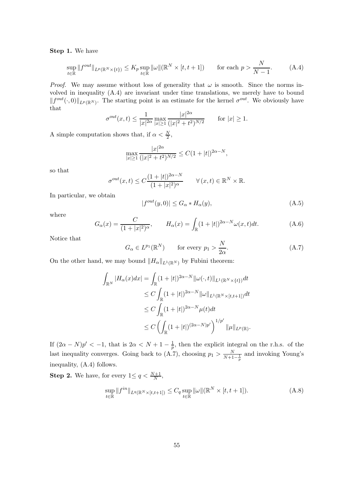Step 1. We have

$$
\sup_{t \in \mathbb{R}} \|f^{out}\|_{L^p(\mathbb{R}^N \times \{t\})} \le K_p \sup_{t \in \mathbb{R}} \|\omega\|(\mathbb{R}^N \times [t, t+1]) \qquad \text{for each } p > \frac{N}{N-1}.\tag{A.4}
$$

*Proof.* We may assume without loss of generality that  $\omega$  is smooth. Since the norms involved in inequality (A.4) are invariant under time translations, we merely have to bound  $||f^{out}(\cdot, 0)||_{L^p(\mathbb{R}^N)}$ . The starting point is an estimate for the kernel  $\sigma^{out}$ . We obviously have that

$$
\sigma^{out}(x,t) \le \frac{1}{|x|^{2\alpha}} \max_{|x| \ge 1} \frac{|x|^{2\alpha}}{(|x|^2 + t^2)^{N/2}} \quad \text{for } |x| \ge 1.
$$

A simple computation shows that, if  $\alpha < \frac{N}{2}$ ,

$$
\max_{|x|\geq 1} \frac{|x|^{2\alpha}}{(|x|^2 + t^2)^{N/2}} \leq C(1+|t|)^{2\alpha-N},
$$

so that

$$
\sigma^{out}(x,t) \le C \frac{(1+|t|)^{2\alpha-N}}{(1+|x|^2)^{\alpha}} \qquad \forall (x,t) \in \mathbb{R}^N \times \mathbb{R}.
$$

In particular, we obtain

$$
|f^{out}(y,0)| \le G_{\alpha} * H_{\alpha}(y), \tag{A.5}
$$

where

$$
G_{\alpha}(x) = \frac{C}{(1+|x|^2)^{\alpha}}, \qquad H_{\alpha}(x) = \int_{\mathbb{R}} (1+|t|)^{2\alpha-N} \omega(x,t) dt.
$$
 (A.6)

Notice that

$$
G_{\alpha} \in L^{p_1}(\mathbb{R}^N) \qquad \text{for every } p_1 > \frac{N}{2\alpha}.\tag{A.7}
$$

On the other hand, we may bound  $||H_{\alpha}||_{L^{1}(\mathbb{R}^{N})}$  by Fubini theorem:

$$
\int_{\mathbb{R}^N} |H_{\alpha}(x)dx| = \int_{\mathbb{R}} (1+|t|)^{2\alpha-N} \|\omega(\cdot,t)\|_{L^1(\mathbb{R}^N \times \{t\})} dt
$$
  
\n
$$
\leq C \int_{\mathbb{R}} (1+|t|)^{2\alpha-N} \|\omega\|_{L^1(\mathbb{R}^N \times [t,t+1])} dt
$$
  
\n
$$
\leq C \int_{\mathbb{R}} (1+|t|)^{2\alpha-N} \mu(t) dt
$$
  
\n
$$
\leq C \left( \int_{\mathbb{R}} (1+|t|)^{(2\alpha-N)p'} \right)^{1/p'} \|\mu\|_{L^p(\mathbb{R})}.
$$

If  $(2\alpha - N)p' < -1$ , that is  $2\alpha < N + 1 - \frac{1}{p}$  $\frac{1}{p}$ , then the explicit integral on the r.h.s. of the last inequality converges. Going back to (A.7), choosing  $p_1 > \frac{N}{N+1-\frac{1}{p}}$  and invoking Young's inequality, (A.4) follows.

**Step 2.** We have, for every  $1 \le q < \frac{N+1}{N}$ ,

$$
\sup_{t \in \mathbb{R}} \|f^{in}\|_{L^q(\mathbb{R}^N \times [t,t+1])} \le C_q \sup_{t \in \mathbb{R}} \|\omega\|(\mathbb{R}^N \times [t,t+1]).
$$
\n(A.8)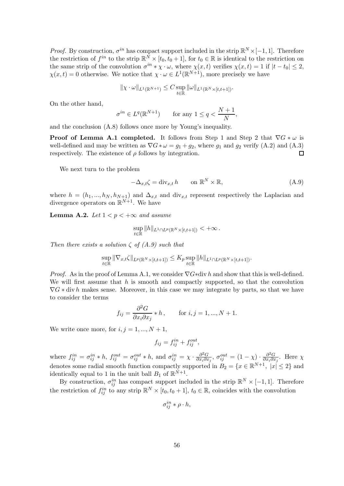*Proof.* By construction,  $\sigma^{in}$  has compact support included in the strip  $\mathbb{R}^N \times [-1,1]$ . Therefore the restriction of  $f^{in}$  to the strip  $\mathbb{R}^N \times [t_0, t_0 + 1]$ , for  $t_0 \in \mathbb{R}$  is identical to the restriction on the same strip of the convolution  $\sigma^{in} * \chi \cdot \omega$ , where  $\chi(x,t)$  verifies  $\chi(x,t) = 1$  if  $|t-t_0| \leq 2$ ,  $\chi(x,t) = 0$  otherwise. We notice that  $\chi \cdot \omega \in L^1(\mathbb{R}^{N+1})$ , more precisely we have

$$
\|\chi \cdot \omega\|_{L^1(\mathbb{R}^{N+1})} \leq C \sup_{t \in \mathbb{R}} \|\omega\|_{L^1(\mathbb{R}^N \times [t,t+1])}.
$$

On the other hand,

$$
\sigma^{in} \in L^q(\mathbb{R}^{N+1}) \qquad \text{for any } 1 \le q < \frac{N+1}{N},
$$

and the conclusion (A.8) follows once more by Young's inequality.

**Proof of Lemma A.1 completed.** It follows from Step 1 and Step 2 that  $\nabla G * \omega$  is well-defined and may be written as  $\nabla G * \omega = g_1 + g_2$ , where  $g_1$  and  $g_2$  verify (A.2) and (A.3) respectively. The existence of  $\rho$  follows by integration. П

We next turn to the problem

$$
-\Delta_{x,t}\zeta = \text{div}_{x,t} h \qquad \text{on } \mathbb{R}^N \times \mathbb{R}, \tag{A.9}
$$

where  $h = (h_1, ..., h_N, h_{N+1})$  and  $\Delta_{x,t}$  and div<sub>x,t</sub> represent respectively the Laplacian and divergence operators on  $\mathbb{R}^{N+1}$ . We have

**Lemma A.2.** Let  $1 < p < +\infty$  and assume

$$
\sup_{t\in\mathbb{R}}\|h\|_{L^1\cap L^p(\mathbb{R}^N\times[t,t+1])}<+\infty.
$$

Then there exists a solution  $\zeta$  of  $(A.9)$  such that

$$
\sup_{t\in\mathbb{R}}\|\nabla_{x,t}\zeta\|_{L^p(\mathbb{R}^N\times[t,t+1])}\leq K_p\sup_{t\in\mathbb{R}}\|h\|_{L^1\cap L^p(\mathbb{R}^N\times[t,t+1])}.
$$

*Proof.* As in the proof of Lemma A.1, we consider  $\nabla G * d\mathbf{v} h$  and show that this is well-defined. We will first assume that  $h$  is smooth and compactly supported, so that the convolution  $\nabla G * \text{div } h$  makes sense. Moreover, in this case we may integrate by parts, so that we have to consider the terms

$$
f_{ij} = \frac{\partial^2 G}{\partial x_i \partial x_j} * h, \quad \text{for } i, j = 1, ..., N + 1.
$$

We write once more, for  $i, j = 1, ..., N + 1$ ,

$$
f_{ij} = f_{ij}^{in} + f_{ij}^{out},
$$

where  $f_{ij}^{in} = \sigma_{ij}^{in} * h$ ,  $f_{ij}^{out} = \sigma_{ij}^{out} * h$ , and  $\sigma_{ij}^{in} = \chi \cdot \frac{\partial^2 G}{\partial x_i \partial x_j}$  $\frac{\partial^2 G}{\partial x_i \partial x_j}$ ,  $\sigma_{ij}^{out} = (1 - \chi) \cdot \frac{\partial^2 G}{\partial x_i \partial x_j}$  $\frac{\partial^2 G}{\partial x_i \partial x_j}$ . Here  $\chi$ denotes some radial smooth function compactly supported in  $B_2 = \{x \in \mathbb{R}^{N+1}, |x| \leq 2\}$  and identically equal to 1 in the unit ball  $B_1$  of  $\mathbb{R}^{N+1}$ .

By construction,  $\sigma_{ij}^{in}$  has compact support included in the strip  $\mathbb{R}^N \times [-1,1]$ . Therefore the restriction of  $f_{ij}^{in}$  to any strip  $\mathbb{R}^N \times [t_0, t_0 + 1], t_0 \in \mathbb{R}$ , coincides with the convolution

$$
\sigma_{ij}^{in} * \rho \cdot h,
$$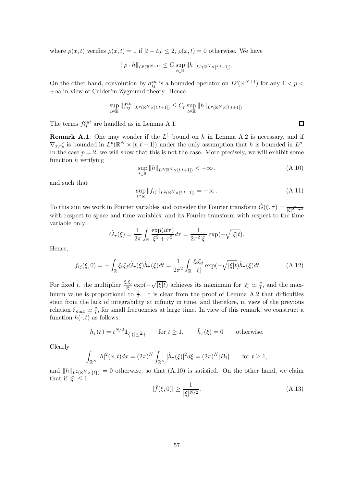where  $\rho(x,t)$  verifies  $\rho(x,t) = 1$  if  $|t - t_0| \leq 2$ ,  $\rho(x,t) = 0$  otherwise. We have

$$
\|\rho \cdot h\|_{L^p(\mathbb{R}^{N+1})} \leq C \sup_{t \in \mathbb{R}} \|h\|_{L^p(\mathbb{R}^N \times [t,t+1])}.
$$

On the other hand, convolution by  $\sigma_{ij}^{in}$  is a bounded operator on  $L^p(\mathbb{R}^{N+1})$  for any  $1 < p <$  $+\infty$  in view of Calderon-Zygmund theory. Hence

$$
\sup_{t \in \mathbb{R}} \|f_{ij}^{in}\|_{L^{p}(\mathbb{R}^{N}\times[t,t+1])} \leq C_{p} \sup_{t \in \mathbb{R}} \|h\|_{L^{p}(\mathbb{R}^{N}\times[t,t+1])}.
$$

The terms  $f_{ij}^{out}$  are handled as in Lemma A.1.

**Remark A.1.** One may wonder if the  $L^1$  bound on h in Lemma A.2 is necessary, and if  $\nabla_{x,t}\zeta$  is bounded in  $L^p(\mathbb{R}^N\times [t,t+1])$  under the only assumption that h is bounded in  $L^p$ . In the case  $p = 2$ , we will show that this is not the case. More precisely, we will exhibit some function  $h$  verifying

$$
\sup_{t \in \mathbb{R}} ||h||_{L^2(\mathbb{R}^N \times [t,t+1])} < +\infty \,, \tag{A.10}
$$

and such that

$$
\sup_{t \in \mathbb{R}} \|f_{ij}\|_{L^2(\mathbb{R}^N \times [t,t+1])} = +\infty.
$$
\n(A.11)

To this aim we work in Fourier variables and consider the Fourier transform  $\hat{G}(\xi,\tau) = \frac{1}{|\xi|^2 + \tau^2}$ with respect to space and time variables, and its Fourier transform with respect to the time variable only

$$
\hat{G}_{\tau}(\xi) = \frac{1}{2\pi} \int_{\mathbb{R}} \frac{\exp(it\tau)}{\xi^2 + \tau^2} d\tau = \frac{1}{2\pi^2 |\xi|} \exp(-\sqrt{|\xi|t}).
$$

Hence,

$$
f_{ij}(\xi,0) = -\int_{\mathbb{R}} \xi_i \xi_j \hat{G}_\tau(\xi) \hat{h}_\tau(\xi) dt = \frac{1}{2\pi^2} \int_{\mathbb{R}} \frac{\xi_i \xi_j}{|\xi|} \exp(-\sqrt{|\xi|t}) \hat{h}_\tau(\xi) dt.
$$
 (A.12)

For fixed t, the multiplier  $\frac{\xi_i \xi_j}{|\xi|} \exp(-\sqrt{|\xi|t})$  achieves its maximum for  $|\xi| \simeq \frac{c}{t}$ , and the maximum value is proportional to  $\frac{1}{t}$ . It is clear from the proof of Lemma A.2 that difficulties stem from the lack of integrability at infinity in time, and therefore, in view of the previous relation  $\xi_{max} \simeq \frac{c}{t}$  $\frac{c}{t}$ , for small frequencies at large time. In view of this remark, we construct a function  $h(\cdot,t)$  as follows:

$$
\hat{h}_{\tau}(\xi) = t^{N/2} \mathbf{1}_{\{|\xi| \le \frac{1}{\tau}\}} \quad \text{for } t \ge 1, \quad \hat{h}_{\tau}(\xi) = 0 \quad \text{otherwise.}
$$

Clearly

$$
\int_{\mathbb{R}^N} |h|^2(x,t) dx = (2\pi)^N \int_{\mathbb{R}^N} |\hat{h}_\tau(\xi)|^2 d\xi = (2\pi)^N |B_1| \quad \text{for } t \ge 1,
$$

and  $||h||_{L^2(\mathbb{R}^N\times\{t\})}=0$  otherwise, so that (A.10) is satisfied. On the other hand, we claim that if  $|\xi|$  < 1

$$
|\hat{f}(\xi,0)| \ge \frac{1}{|\xi|^{N/2}}.\tag{A.13}
$$

 $\Box$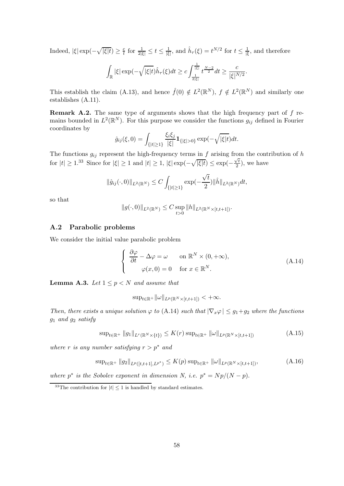Indeed,  $|\xi| \exp(-\sqrt{|\xi|t}) \geq \frac{c}{t}$  $\frac{c}{t}$  for  $\frac{1}{2|\xi|} \leq t \leq \frac{1}{|\xi|}$  $\frac{1}{|\xi|}$ , and  $\hat{h}_{\tau}(\xi) = t^{N/2}$  for  $t \leq \frac{1}{|\xi|}$  $\frac{1}{\left|\xi\right|}$ , and therefore

$$
\int_{\mathbb{R}} |\xi| \exp(-\sqrt{|\xi|t}) \hat{h}_{\tau}(\xi) dt \geq c \int_{\frac{1}{2|\xi|}}^{\frac{1}{|\xi|}} t^{\frac{N-2}{2}} dt \geq \frac{c}{|\xi|^{N/2}}.
$$

This establish the claim (A.13), and hence  $\hat{f}(0) \notin L^2(\mathbb{R}^N)$ ,  $f \notin L^2(\mathbb{R}^N)$  and similarly one establishes (A.11).

**Remark A.2.** The same type of arguments shows that the high frequency part of  $f$  remains bounded in  $L^2(\mathbb{R}^N)$ . For this purpose we consider the functions  $g_{ij}$  defined in Fourier coordinates by

$$
\hat{g}_{ij}(\xi,0) = \int_{\{|t| \ge 1\}} \frac{\xi_i \xi_j}{|\xi|} \mathbf{1}_{\{|\xi| > 0\}} \exp(-\sqrt{|\xi|t}) dt.
$$

The functions  $g_{ij}$  represent the high-frequency terms in f arising from the contribution of h for  $|t| \ge 1.33$  Since for  $|\xi| \ge 1$  and  $|t| \ge 1$ ,  $|\xi| \exp(-\sqrt{|\xi|t}) \le \exp(-\frac{\sqrt{t}}{2})$  $\frac{\sqrt{t}}{2}$ , we have

$$
\|\hat{g}_{ij}(\cdot,0)\|_{L^2(\mathbb{R}^N)} \leq C \int_{\{|t|\geq 1\}} \exp(-\frac{\sqrt{t}}{2}) \|\hat{h}\|_{L^2(\mathbb{R}^N)} dt,
$$

so that

$$
||g(\cdot,0)||_{L^2(\mathbb{R}^N)} \leq C \sup_{t>0} ||h||_{L^2(\mathbb{R}^N \times [t,t+1])}.
$$

### A.2 Parabolic problems

We consider the initial value parabolic problem

$$
\begin{cases}\n\frac{\partial \varphi}{\partial t} - \Delta \varphi = \omega & \text{on } \mathbb{R}^N \times (0, +\infty), \\
\varphi(x, 0) = 0 & \text{for } x \in \mathbb{R}^N.\n\end{cases}
$$
\n(A.14)

**Lemma A.3.** Let  $1 \leq p \leq N$  and assume that

$$
\sup_{t\in\mathbb{R}^+} \|\omega\|_{L^p(\mathbb{R}^N\times[t,t+1])} < +\infty.
$$

Then, there exists a unique solution  $\varphi$  to (A.14) such that  $|\nabla_x \varphi| \leq g_1+g_2$  where the functions  $g_1$  and  $g_2$  satisfy

$$
\sup_{t \in \mathbb{R}^+} \|g_1\|_{L^r(\mathbb{R}^N \times \{t\})} \le K(r) \sup_{t \in \mathbb{R}^+} \|\omega\|_{L^p(\mathbb{R}^N \times [t,t+1])}
$$
\n(A.15)

where r is any number satisfying  $r > p^*$  and

$$
\sup_{t \in \mathbb{R}^+} \|g_2\|_{L^p([t,t+1],L^{p^*})} \le K(p) \sup_{t \in \mathbb{R}^+} \|\omega\|_{L^p(\mathbb{R}^N \times [t,t+1])},\tag{A.16}
$$

where  $p^*$  is the Sobolev exponent in dimension N, i.e.  $p^* = Np/(N - p)$ .

<sup>&</sup>lt;sup>33</sup>The contribution for  $|t| \leq 1$  is handled by standard estimates.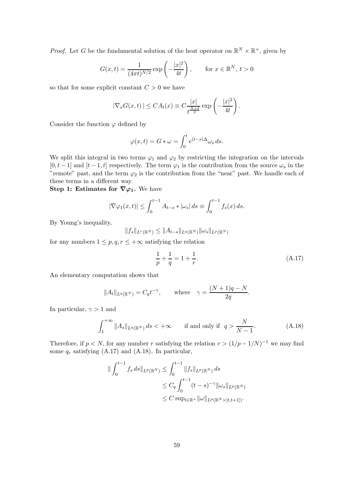*Proof.* Let G be the fundamental solution of the heat operator on  $\mathbb{R}^N \times \mathbb{R}^+$ , given by

$$
G(x,t) = \frac{1}{(4\pi t)^{N/2}} \exp\left(-\frac{|x|^2}{4t}\right)
$$
, for  $x \in \mathbb{R}^N$ ,  $t > 0$ 

so that for some explicit constant  $C > 0$  we have

$$
|\nabla_x G(x,t)| \leq CA_t(x) \equiv C \frac{|x|}{t^{\frac{N+2}{2}}} \exp\left(-\frac{|x|^2}{4t}\right).
$$

Consider the function  $\varphi$  defined by

$$
\varphi(x,t) = G * \omega = \int_0^t e^{(t-s)\Delta} \omega_s ds.
$$

We split this integral in two terms  $\varphi_1$  and  $\varphi_2$  by restricting the integration on the intervals  $[0, t-1]$  and  $[t-1, t]$  respectively. The term  $\varphi_1$  is the contribution from the source  $\omega_s$  in the "remote" past, and the term  $\varphi_2$  is the contribution from the "near" past. We handle each of these terms in a different way.

Step 1: Estimates for  $\nabla\varphi_1$ . We have

$$
|\nabla \varphi_1(x,t)| \le \int_0^{t-1} A_{t-s} * |\omega_s| ds \equiv \int_0^{t-1} f_s(x) ds.
$$

By Young's inequality,

$$
||f_s||_{L^r(\mathbb{R}^N)} \leq ||A_{t-s}||_{L^q(\mathbb{R}^N)}||\omega_s||_{L^p(\mathbb{R}^N)}
$$

for any numbers  $1 \leq p, q, r \leq +\infty$  satisfying the relation

$$
\frac{1}{p} + \frac{1}{q} = 1 + \frac{1}{r}.\tag{A.17}
$$

An elementary computation shows that

$$
||A_t||_{L^q(\mathbb{R}^N)} = C_q t^{-\gamma}, \quad \text{where} \quad \gamma = \frac{(N+1)q - N}{2q}.
$$

In particular,  $\gamma > 1$  and

$$
\int_{1}^{+\infty} \|A_s\|_{L^q(\mathbb{R}^N)} ds < +\infty \qquad \text{if and only if} \quad q > \frac{N}{N-1}.\tag{A.18}
$$

Therefore, if  $p < N$ , for any number r satisfying the relation  $r > (1/p - 1/N)^{-1}$  we may find some  $q_r$  satisfying (A.17) and (A.18). In particular,

$$
\begin{aligned} \|\int_0^{t-1} f_s ds \|_{L^p(\mathbb{R}^N)} &\le \int_0^{t-1} \|f_s\|_{L^p(\mathbb{R}^N)} ds \\ &\le C_q \int_0^{t-1} (t-s)^{-\gamma} \|\omega_s\|_{L^p(\mathbb{R}^N)} \\ &\le C \sup_{t \in \mathbb{R}^+} \|\omega\|_{L^p(\mathbb{R}^N \times [t,t+1])} .\end{aligned}
$$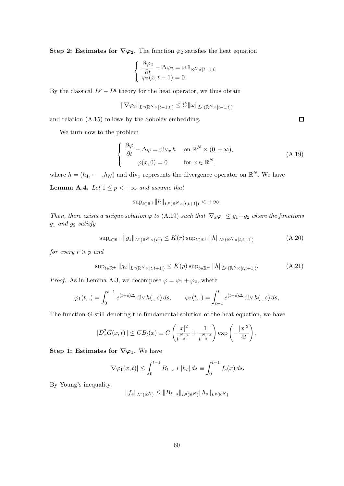Step 2: Estimates for  $\nabla \varphi_2$ . The function  $\varphi_2$  satisfies the heat equation

$$
\begin{cases} \frac{\partial \varphi_2}{\partial t} - \Delta \varphi_2 = \omega \mathbf{1}_{\mathbb{R}^N \times [t-1,t]} \\ \varphi_2(x, t-1) = 0. \end{cases}
$$

By the classical  $L^p - L^q$  theory for the heat operator, we thus obtain

$$
\|\nabla \varphi_2\|_{L^p(\mathbb{R}^N\times [t-1,t])} \leq C \|\omega\|_{L^p(\mathbb{R}^N\times [t-1,t])}
$$

and relation (A.15) follows by the Sobolev embedding.

We turn now to the problem

$$
\begin{cases}\n\frac{\partial \varphi}{\partial t} - \Delta \varphi = \text{div}_x h & \text{on } \mathbb{R}^N \times (0, +\infty), \\
\varphi(x, 0) = 0 & \text{for } x \in \mathbb{R}^N,\n\end{cases}
$$
\n(A.19)

where  $h = (h_1, \dots, h_N)$  and div<sub>x</sub> represents the divergence operator on  $\mathbb{R}^N$ . We have

**Lemma A.4.** Let  $1 \leq p < +\infty$  and assume that

$$
\sup_{t\in\mathbb{R}^+} \|h\|_{L^p(\mathbb{R}^N\times[t,t+1])} < +\infty.
$$

Then, there exists a unique solution  $\varphi$  to (A.19) such that  $|\nabla_x \varphi| \leq g_1 + g_2$  where the functions  $g_1$  and  $g_2$  satisfy

$$
\sup_{t \in \mathbb{R}^+} \|g_1\|_{L^r(\mathbb{R}^N \times \{t\})} \le K(r) \sup_{t \in \mathbb{R}^+} \|h\|_{L^p(\mathbb{R}^N \times [t,t+1])}
$$
(A.20)

for every  $r > p$  and

$$
\sup_{t \in \mathbb{R}^+} \|g_2\|_{L^p(\mathbb{R}^N \times [t,t+1])} \le K(p) \sup_{t \in \mathbb{R}^+} \|h\|_{L^p(\mathbb{R}^N \times [t,t+1])}.\tag{A.21}
$$

*Proof.* As in Lemma A.3, we decompose  $\varphi = \varphi_1 + \varphi_2$ , where

$$
\varphi_1(t,.) = \int_0^{t-1} e^{(t-s)\Delta} \operatorname{div} h(.,s) \, ds, \qquad \varphi_2(t,.) = \int_{t-1}^t e^{(t-s)\Delta} \operatorname{div} h(.,s) \, ds,
$$

The function G still denoting the fundamental solution of the heat equation, we have

$$
|D_x^2 G(x,t)| \leq C B_t(x) \equiv C \left( \frac{|x|^2}{t^{\frac{N+4}{2}}} + \frac{1}{t^{\frac{N+2}{2}}} \right) \exp \left( -\frac{|x|^2}{4t} \right).
$$

Step 1: Estimates for  $\nabla\varphi_1$ . We have

$$
|\nabla \varphi_1(x,t)| \leq \int_0^{t-1} B_{t-s} * |h_s| ds \equiv \int_0^{t-1} f_s(x) ds.
$$

By Young's inequality,

$$
||f_s||_{L^r(\mathbb{R}^N)} \leq ||B_{t-s}||_{L^q(\mathbb{R}^N)}||h_s||_{L^p(\mathbb{R}^N)}
$$

 $\Box$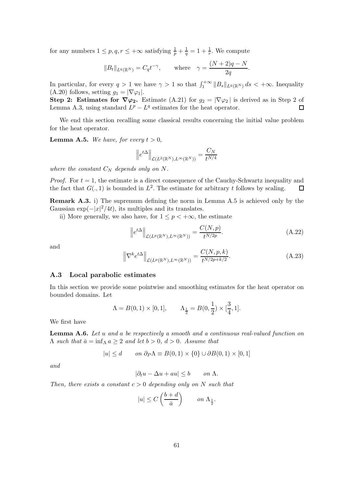for any numbers  $1 \leq p, q, r \leq +\infty$  satisfying  $\frac{1}{p} + \frac{1}{q} = 1 + \frac{1}{r}$ . We compute

$$
||B_t||_{L^q(\mathbb{R}^N)} = C_q t^{-\gamma}, \quad \text{where} \quad \gamma = \frac{(N+2)q - N}{2q}.
$$

In particular, for every  $q > 1$  we have  $\gamma > 1$  so that  $\int_1^{+\infty} ||B_s||_{L^q(\mathbb{R}^N)} ds < +\infty$ . Inequality (A.20) follows, setting  $g_1 = |\nabla \varphi_1|$ .

Step 2: Estimates for  $\nabla \varphi_2$ . Estimate (A.21) for  $g_2 = |\nabla \varphi_2|$  is derived as in Step 2 of Lemma A.3, using standard  $L^p - L^q$  estimates for the heat operator. Lemma A.3, using standard  $L^p - L^q$  estimates for the heat operator.

We end this section recalling some classical results concerning the initial value problem for the heat operator.

**Lemma A.5.** We have, for every  $t > 0$ ,

$$
\left\|e^{t\Delta}\right\|_{\mathcal{L}\left(L^2(\mathbb{R}^N),L^\infty(\mathbb{R}^N)\right)} = \frac{C_N}{t^{N/4}}
$$

where the constant  $C_N$  depends only on N.

*Proof.* For  $t = 1$ , the estimate is a direct consequence of the Cauchy-Schwartz inequality and the fact that  $G(., 1)$  is bounded in  $L^2$ . The estimate for arbitrary t follows by scaling.  $\Box$ 

Remark A.3. i) The supremum defining the norm in Lemma A.5 is achieved only by the Gaussian  $\exp(-|x|^2/4t)$ , its multiples and its translates.

ii) More generally, we also have, for  $1 \leq p < +\infty$ , the estimate

$$
\left\| e^{t\Delta} \right\|_{\mathcal{L}(L^p(\mathbb{R}^N), L^\infty(\mathbb{R}^N))} = \frac{C(N, p)}{t^{N/2p}}.
$$
\n(A.22)

and

$$
\left\| \nabla^k e^{t\Delta} \right\|_{\mathcal{L}(L^p(\mathbb{R}^N), L^\infty(\mathbb{R}^N))} = \frac{C(N, p, k)}{t^{N/2p + k/2}}.
$$
\n(A.23)

#### A.3 Local parabolic estimates

In this section we provide some pointwise and smoothing estimates for the heat operator on bounded domains. Let

$$
\Lambda = B(0, 1) \times [0, 1],
$$
  $\Lambda_{\frac{1}{2}} = B(0, \frac{1}{2}) \times [\frac{3}{4}, 1].$ 

We first have

Lemma A.6. Let u and a be respectively a smooth and a continuous real-valued function on  $Λ$  such that  $\bar{a} = \inf_{Λ} a ≥ 2$  and let  $b > 0$ ,  $d > 0$ . Assume that

$$
|u| \le d \qquad on \ \partial_P \Lambda \equiv B(0,1) \times \{0\} \cup \partial B(0,1) \times [0,1]
$$

and

$$
|\partial_t u - \Delta u + au| \le b \qquad on \ \Lambda.
$$

Then, there exists a constant  $c > 0$  depending only on N such that

$$
|u| \le C\left(\frac{b+d}{\bar{a}}\right) \qquad on \ \Lambda_{\frac{1}{2}}.
$$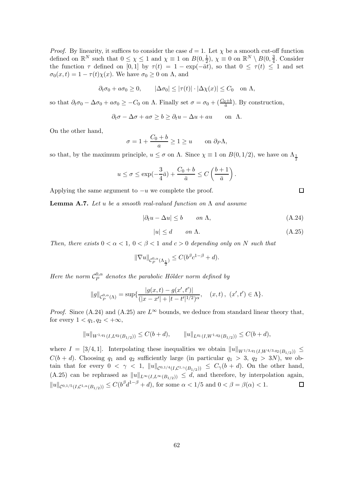*Proof.* By linearity, it suffices to consider the case  $d = 1$ . Let  $\chi$  be a smooth cut-off function defined on  $\mathbb{R}^N$  such that  $0 \leq \chi \leq 1$  and  $\chi \equiv 1$  on  $B(0, \frac{1}{2})$  $(\frac{1}{2}), \chi \equiv 0 \text{ on } \mathbb{R}^N \setminus B(0, \frac{3}{4})$  $\frac{3}{4}$ . Consider the function  $\tau$  defined on [0, 1] by  $\tau(t) = 1 - \exp(-\overline{a}t)$ , so that  $0 \leq \tau(t) \leq 1$  and set  $\sigma_0(x,t) = 1 - \tau(t)\chi(x)$ . We have  $\sigma_0 \geq 0$  on  $\Lambda$ , and

$$
\partial_t \sigma_0 + a \sigma_0 \ge 0,
$$
  $|\Delta \sigma_0| \le |\tau(t)| \cdot |\Delta \chi(x)| \le C_0$  on  $\Lambda$ ,

so that  $\partial_t \sigma_0 - \Delta \sigma_0 + a \sigma_0 \geq -C_0$  on  $\Lambda$ . Finally set  $\sigma = \sigma_0 + (\frac{C_0 + b}{\bar{a}})$ . By construction,

$$
\partial_t \sigma - \Delta \sigma + a \sigma \ge b \ge \partial_t u - \Delta u + au \quad \text{on } \Lambda.
$$

On the other hand,

$$
\sigma = 1 + \frac{C_0 + b}{a} \ge 1 \ge u \quad \text{on } \partial_P \Lambda,
$$

so that, by the maximum principle,  $u \le \sigma$  on  $\Lambda$ . Since  $\chi \equiv 1$  on  $B(0, 1/2)$ , we have on  $\Lambda_{\frac{1}{2}}$ 

$$
u \le \sigma \le \exp(-\frac{3}{4}\bar{a}) + \frac{C_0+b}{\bar{a}} \le C\left(\frac{b+1}{\bar{a}}\right).
$$

Applying the same argument to  $-u$  we complete the proof.

**Lemma A.7.** Let u be a smooth real-valued function on  $\Lambda$  and assume

$$
|\partial_t u - \Delta u| \le b \qquad on \ \Lambda,\tag{A.24}
$$

$$
|u| \le d \qquad on \ \Lambda. \tag{A.25}
$$

Then, there exists  $0 < \alpha < 1$ ,  $0 < \beta < 1$  and  $c > 0$  depending only on N such that

$$
\|\nabla u\|_{\mathcal{C}_P^{0,\alpha}(\Lambda_{\frac{1}{2}})} \leq C(b^{\beta}c^{1-\beta} + d).
$$

Here the norm  $\mathcal{C}_{P}^{0,\alpha}$  $P_P^{\text{O},\alpha}$  denotes the parabolic Hölder norm defined by

$$
||g||_{\mathcal{C}_{P}^{0,\alpha}(\Lambda)} = \sup \{ \frac{|g(x,t) - g(x',t')|}{(|x - x'| + |t - t'|^{1/2})^{\alpha}}, \quad (x,t), \ (x',t') \in \Lambda \}.
$$

*Proof.* Since (A.24) and (A.25) are  $L^{\infty}$  bounds, we deduce from standard linear theory that, for every  $1 < q_1, q_2 < +\infty$ ,

$$
||u||_{W^{1,q_1}(I,L^{q_2}(B_{1/2}))} \le C(b+d), \qquad ||u||_{L^{q_1}(I,W^{1,q_2}(B_{1/2}))} \le C(b+d),
$$

where  $I = [3/4, 1]$ . Interpolating these inequalities we obtain  $||u||_{W^{1/3,q_1}(I, W^{4/3,q_2}(B_{1/2}))}$  $C(b + d)$ . Choosing  $q_1$  and  $q_2$  sufficiently large (in particular  $q_1 > 3$ ,  $q_2 > 3N$ ), we obtain that for every  $0 < \gamma < 1$ ,  $||u||_{\mathcal{C}^{0,1/4}(I,\mathcal{C}^{1,\gamma}(B_{1/2}))} \leq C_{\gamma}(b+d)$ . On the other hand, (A.25) can be rephrased as  $||u||_{L^{\infty}(I,L^{\infty}(B_{1/2}))} \leq d$ , and therefore, by interpolation again,  $||u||_{\mathcal{C}^{0,1/5}(I,\mathcal{C}^{1,\alpha}(B_{1/2}))} \leq C(b^{\beta}d^{1-\beta}+d)$ , for some  $\alpha < 1/5$  and  $0 < \beta = \beta(\alpha) < 1$ .  $\Box$ 

 $\Box$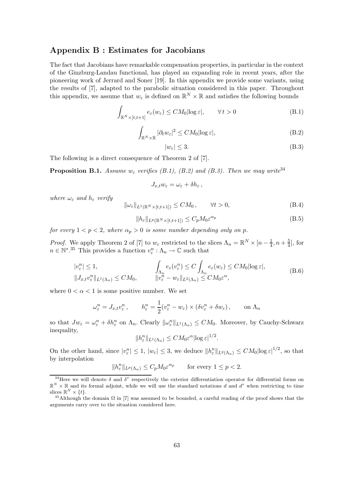### Appendix B : Estimates for Jacobians

The fact that Jacobians have remarkable compensation properties, in particular in the context of the Ginzburg-Landau functional, has played an expanding role in recent years, after the pioneering work of Jerrard and Soner [19]. In this appendix we provide some variants, using the results of [7], adapted to the parabolic situation considered in this paper. Throughout this appendix, we assume that  $w_{\varepsilon}$  is defined on  $\mathbb{R}^N \times \mathbb{R}$  and satisfies the following bounds

$$
\int_{\mathbb{R}^N \times [t, t+1]} e_{\varepsilon}(w_{\varepsilon}) \le CM_0 |\log \varepsilon|, \qquad \forall \, t > 0 \tag{B.1}
$$

$$
\int_{\mathbb{R}^N \times \mathbb{R}} |\partial_t w_\varepsilon|^2 \le CM_0 |\log \varepsilon|,
$$
\n(B.2)

$$
|w_{\varepsilon}| \le 3. \tag{B.3}
$$

The following is a direct consequence of Theorem 2 of [7].

**Proposition B.1.** Assume  $w_{\varepsilon}$  verifies (B.1), (B.2) and (B.3). Then we may write<sup>34</sup>

$$
J_{x,t}w_{\varepsilon}=\omega_{\varepsilon}+\delta h_{\varepsilon}\,,
$$

where  $\omega_{\varepsilon}$  and  $h_{\varepsilon}$  verify

$$
\|\omega_{\varepsilon}\|_{L^{1}(\mathbb{R}^{N}\times[t,t+1])} \le CM_{0}, \qquad \forall t > 0,
$$
\n(B.4)

$$
||h_{\varepsilon}||_{L^{p}(\mathbb{R}^{N}\times[t,t+1])} \leq C_{p}M_{0}\varepsilon^{\alpha_{p}} \tag{B.5}
$$

for every  $1 < p < 2$ , where  $\alpha_p > 0$  is some number depending only on p.

*Proof.* We apply Theorem 2 of [7] to  $w_{\varepsilon}$  restricted to the slices  $\Lambda_n = \mathbb{R}^N \times [n - \frac{1}{4}]$  $\frac{1}{4}$ ,  $n+\frac{5}{4}$  $\frac{5}{4}$ , for  $n \in \mathbb{N}^*$ <sup>35</sup> This provides a function  $v_\varepsilon^n : \Lambda_n \to \mathbb{C}$  such that

$$
|v_{\varepsilon}^{n}| \leq 1, \qquad \qquad \int_{\Lambda_{n}} e_{\varepsilon}(v_{\varepsilon}^{n}) \leq C \int_{\Lambda_{n}} e_{\varepsilon}(w_{\varepsilon}) \leq CM_{0} |\log \varepsilon|, \qquad \qquad (B.6)
$$
  

$$
||J_{x,t}v_{\varepsilon}^{n}||_{L^{1}(\Lambda_{n})} \leq CM_{0}, \qquad \qquad ||v_{\varepsilon}^{n} - w_{\varepsilon}||_{L^{2}(\Lambda_{n})} \leq CM_{0}\varepsilon^{\alpha},
$$

where  $0 < \alpha < 1$  is some positive number. We set

$$
\omega_{\varepsilon}^{n} = J_{x,t} v_{\varepsilon}^{n}, \qquad h_{\varepsilon}^{n} = \frac{1}{2} (v_{\varepsilon}^{n} - w_{\varepsilon}) \times (\delta v_{\varepsilon}^{n} + \delta w_{\varepsilon}), \qquad \text{on } \Lambda_{n}
$$

so that  $Jw_{\varepsilon} = \omega_{\varepsilon}^n + \delta h_{\varepsilon}^n$  on  $\Lambda_n$ . Clearly  $\|\omega_{\varepsilon}^n\|_{L^1(\Lambda_n)} \leq CM_0$ . Moreover, by Cauchy-Schwarz inequality,

$$
||h_{\varepsilon}^{n}||_{L^{1}(\Lambda_{n})} \leq CM_{0}\varepsilon^{\alpha}||\log \varepsilon|^{1/2}.
$$

On the other hand, since  $|v_{\varepsilon}^n| \leq 1$ ,  $|w_{\varepsilon}| \leq 3$ , we deduce  $||h_{\varepsilon}^n||_{L^2(\Lambda_n)} \leq CM_0 |\log \varepsilon|^{1/2}$ , so that by interpolation

$$
||h_{\varepsilon}^n||_{L^p(\Lambda_n)} \le C_p M_0 \varepsilon^{\alpha_p} \qquad \text{for every } 1 \le p < 2.
$$

<sup>&</sup>lt;sup>34</sup>Here we will denote  $\delta$  and  $\delta^*$  respectively the exterior differentiation operator for differential forms on  $\mathbb{R}^N \times \mathbb{R}$  and its formal adjoint, while we will use the standard notations d and  $d^*$  when restricting to time slices  $\mathbb{R}^N \times \{t\}.$ 

<sup>&</sup>lt;sup>35</sup>Although the domain  $\Omega$  in [7] was assumed to be bounded, a careful reading of the proof shows that the arguments carry over to the situation considered here.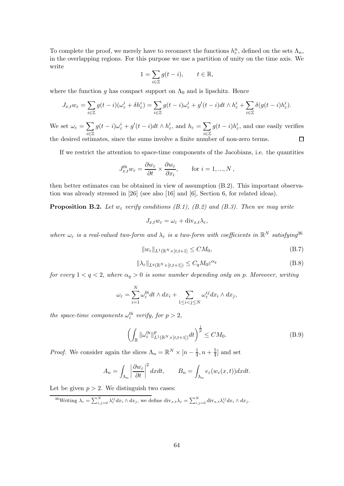To complete the proof, we merely have to reconnect the functions  $h_{\varepsilon}^n$ , defined on the sets  $\Lambda_n$ , in the overlapping regions. For this purpose we use a partition of unity on the time axis. We write

$$
1 = \sum_{i \in \mathbb{Z}} g(t - i), \qquad t \in \mathbb{R},
$$

where the function g has compact support on  $\Lambda_0$  and is lipschitz. Hence

$$
J_{x,t}w_{\varepsilon} = \sum_{i \in \mathbb{Z}} g(t-i)(\omega_{\varepsilon}^i + \delta h_{\varepsilon}^i) = \sum_{i \in \mathbb{Z}} g(t-i)\omega_{\varepsilon}^i + g'(t-i)dt \wedge h_{\varepsilon}^i + \sum_{i \in \mathbb{Z}} \delta(g(t-i)h_{\varepsilon}^i).
$$

We set  $\omega_{\varepsilon} = \sum$ i∈Z  $g(t-i)\omega_{\varepsilon}^i + g'(t-i)dt \wedge h_{\varepsilon}^i$ , and  $h_{\varepsilon} = \sum$ i∈Z  $g(t-i)h_{\varepsilon}^i$ , and one easily verifies the desired estimates, since the sums involve a finite number of non-zero terms.

If we restrict the attention to space-time components of the Jacobians, i.e. the quantities

$$
J_{x,t}^{0i}w_{\varepsilon} = \frac{\partial w_{\varepsilon}}{\partial t} \times \frac{\partial w_{\varepsilon}}{\partial x_i}, \quad \text{for } i = 1, ..., N,
$$

then better estimates can be obtained in view of assumption (B.2). This important observation was already stressed in [26] (see also [16] and [6], Section 6, for related ideas).

**Proposition B.2.** Let  $w_{\varepsilon}$  verify conditions (B.1), (B.2) and (B.3). Then we may write

$$
J_{x,t}w_{\varepsilon} = \omega_{\varepsilon} + \text{div}_{x,t}\lambda_{\varepsilon},
$$

where  $\omega_{\varepsilon}$  is a real-valued two-form and  $\lambda_{\varepsilon}$  is a two-form with coefficients in  $\mathbb{R}^N$  satisfying<sup>36</sup>

$$
||w_{\varepsilon}||_{L^{1}(\mathbb{R}^{N}\times[t,t+1]}\leq CM_{0},\tag{B.7}
$$

$$
\|\lambda_{\varepsilon}\|_{L^{q}(\mathbb{R}^{N}\times[t,t+1])} \leq C_{q}M_{0}\varepsilon^{\alpha_{q}}\tag{B.8}
$$

for every  $1 < q < 2$ , where  $\alpha_q > 0$  is some number depending only on p. Moreover, writing

$$
\omega_{\varepsilon} = \sum_{i=1}^{N} \omega_{\varepsilon}^{0i} dt \wedge dx_i + \sum_{1 \leq i < j \leq N} \omega_{\varepsilon}^{ij} dx_i \wedge dx_j,
$$

the space-time components  $\omega_{\varepsilon}^{0i}$  verify, for  $p > 2$ ,

$$
\left(\int_{\mathbb{R}}\|\omega_{\varepsilon}^{0i}\|_{L^{1}(\mathbb{R}^{N}\times[t,t+1])}^{p}dt\right)^{\frac{1}{p}} \leq CM_{0}.
$$
\n(B.9)

*Proof.* We consider again the slices  $\Lambda_n = \mathbb{R}^N \times [n - \frac{1}{4}]$  $\frac{1}{4}$ ,  $n + \frac{5}{4}$  $\frac{5}{4}$  and set

$$
A_n = \int_{\Lambda_n} \left| \frac{\partial w_{\varepsilon}}{\partial t} \right|^2 dx dt, \qquad B_n = \int_{\Lambda_n} e_{\varepsilon}(w_{\varepsilon}(x, t)) dx dt.
$$

Let be given  $p > 2$ . We distinguish two cases:

<sup>36</sup>Writing  $\lambda_{\varepsilon} = \sum_{i,j=0}^{N} \lambda_{\varepsilon}^{ij} dx_i \wedge dx_j$ , we define  $\text{div}_{x,t} \lambda_{\varepsilon} = \sum_{i,j=0}^{N} \text{div}_{x,t} \lambda_{\varepsilon}^{ij} dx_i \wedge dx_j$ .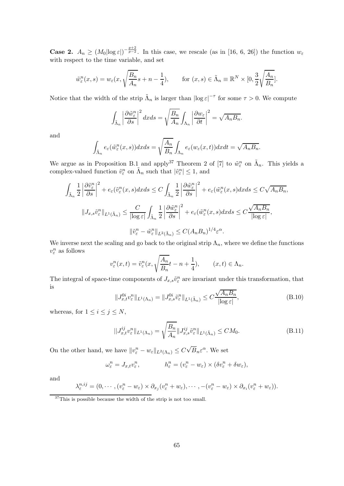**Case 2.**  $A_n \geq (M_0 |\log \varepsilon|)^{-\frac{p+2}{p-2}}$ . In this case, we rescale (as in [16, 6, 26]) the function  $w_{\varepsilon}$ with respect to the time variable, and set

$$
\tilde{w}_{\varepsilon}^{n}(x,s) = w_{\varepsilon}(x, \sqrt{\frac{B_{n}}{A_{n}}}s + n - \frac{1}{4}), \quad \text{for } (x,s) \in \tilde{\Lambda}_{n} \equiv \mathbb{R}^{N} \times [0, \frac{3}{2}\sqrt{\frac{A_{n}}{B_{n}}}].
$$

Notice that the width of the strip  $\tilde{\Lambda}_n$  is larger than  $|\log \varepsilon|^{-\tau}$  for some  $\tau > 0$ . We compute

$$
\int_{\tilde{\Lambda}_n} \left| \frac{\partial \tilde{w}_{\varepsilon}^n}{\partial s} \right|^2 dx ds = \sqrt{\frac{B_n}{A_n}} \int_{\Lambda_n} \left| \frac{\partial w_{\varepsilon}}{\partial t} \right|^2 = \sqrt{A_n B_n}.
$$

and

$$
\int_{\tilde{\Lambda}_n} e_{\varepsilon}(\tilde{w}_{\varepsilon}^n(x,s))dxds = \sqrt{\frac{A_n}{B_n}} \int_{\Lambda_n} e_{\varepsilon}(w_{\varepsilon}(x,t))dxdt = \sqrt{A_n B_n}.
$$

We argue as in Proposition B.1 and apply<sup>37</sup> Theorem 2 of [7] to  $\tilde{w}^n_{\varepsilon}$  on  $\tilde{\Lambda}_n$ . This yields a complex-valued function  $\tilde{v}^n_{\varepsilon}$  on  $\tilde{\Lambda}_n$  such that  $|\tilde{v}^n_{\varepsilon}| \leq 1$ , and

$$
\int_{\tilde{\Lambda}_n} \frac{1}{2} \left| \frac{\partial \tilde{v}^n_{\varepsilon}}{\partial s} \right|^2 + e_{\varepsilon} (\tilde{v}^n_{\varepsilon}(x, s) dx ds \le C \int_{\tilde{\Lambda}_n} \frac{1}{2} \left| \frac{\partial \tilde{w}^n_{\varepsilon}}{\partial s} \right|^2 + e_{\varepsilon} (\tilde{w}^n_{\varepsilon}(x, s) dx ds \le C \sqrt{A_n B_n},
$$
  

$$
\|J_{x,s} \tilde{v}^n_{\varepsilon}\|_{L^1(\tilde{\Lambda}_n)} \le \frac{C}{|\log \varepsilon|} \int_{\tilde{\Lambda}_n} \frac{1}{2} \left| \frac{\partial \tilde{w}^n_{\varepsilon}}{\partial s} \right|^2 + e_{\varepsilon} (\tilde{w}^n_{\varepsilon}(x, s) dx ds \le C \frac{\sqrt{A_n B_n}}{|\log \varepsilon|},
$$
  

$$
\|\tilde{v}^n_{\varepsilon} - \tilde{w}^n_{\varepsilon}\|_{L^2(\tilde{\Lambda}_n)} \le C (A_n B_n)^{1/4} \varepsilon^{\alpha}.
$$

We inverse next the scaling and go back to the original strip  $\Lambda_n$ , where we define the functions  $v_{\varepsilon}^n$  as follows

$$
v_{\varepsilon}^{n}(x,t) = \tilde{v}_{\varepsilon}^{n}(x, \sqrt{\frac{A_{n}}{B_{n}}}t - n + \frac{1}{4}), \qquad (x,t) \in \Lambda_{n}.
$$

The integral of space-time components of  $J_{x,s}\tilde{v}^n_{\varepsilon}$  are invariant under this transformation, that is

$$
||J_{x,t}^{0i}v_{\varepsilon}^{n}||_{L^{1}(\Lambda_{n})} = ||J_{x,s}^{0i}\tilde{v}_{\varepsilon}^{n}||_{L^{1}(\tilde{\Lambda}_{n})} \leq C\frac{\sqrt{A_{n}B_{n}}}{|\log \varepsilon|},
$$
\n(B.10)

whereas, for  $1 \leq i \leq j \leq N$ ,

$$
||J_{x,t}^{ij}v_{\varepsilon}^{n}||_{L^{1}(\Lambda_{n})} = \sqrt{\frac{B_{n}}{A_{n}}}||J_{x,s}^{ij}\tilde{v}_{\varepsilon}^{n}||_{L^{1}(\tilde{\Lambda}_{n})} \le CM_{0}.
$$
\n(B.11)

On the other hand, we have  $||v_{\varepsilon}^n - w_{\varepsilon}||_{L^2(\Lambda_n)} \leq C\sqrt{B_n}\varepsilon^{\alpha}$ . We set

$$
\omega_{\varepsilon}^n = J_{x,t} v_{\varepsilon}^n, \qquad h_{\varepsilon}^n = (v_{\varepsilon}^n - w_{\varepsilon}) \times (\delta v_{\varepsilon}^n + \delta w_{\varepsilon}),
$$

and

$$
\lambda_{\varepsilon}^{n,ij}=(0,\cdots,(v_{\varepsilon}^n-w_{\varepsilon})\times\partial_{x_j}(v_{\varepsilon}^n+w_{\varepsilon}),\cdots,-(v_{\varepsilon}^n-w_{\varepsilon})\times\partial_{x_i}(v_{\varepsilon}^n+w_{\varepsilon})).
$$

<sup>&</sup>lt;sup>37</sup>This is possible because the width of the strip is not too small.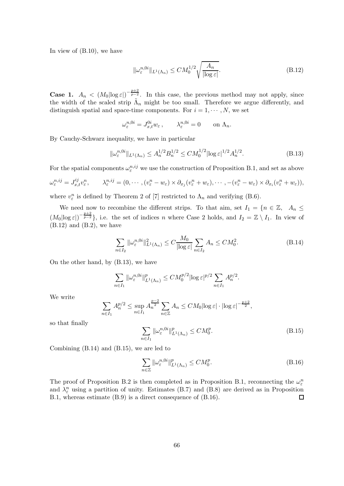In view of (B.10), we have

$$
\|\omega_{\varepsilon}^{n,0i}\|_{L^{1}(\Lambda_{n})} \le CM_0^{1/2} \sqrt{\frac{A_n}{|\log \varepsilon|}}.
$$
\n(B.12)

**Case 1.**  $A_n < (M_0|\log \varepsilon|)^{-\frac{p+2}{p-2}}$ . In this case, the previous method may not apply, since the width of the scaled strip  $\tilde{\Lambda}_n$  might be too small. Therefore we argue differently, and distinguish spatial and space-time components. For  $i = 1, \dots, N$ , we set

$$
\omega_{\varepsilon}^{n,0i} = J_{x,t}^{0i} w_{\varepsilon} , \qquad \lambda_{\varepsilon}^{n,0i} = 0 \qquad \text{on } \Lambda_n.
$$

By Cauchy-Schwarz inequality, we have in particular

$$
\|\omega_{\varepsilon}^{n,0i}\|_{L^1(\Lambda_n)} \le A_n^{1/2} B_n^{1/2} \le C M_0^{1/2} |\log \varepsilon|^{1/2} A_n^{1/2}.
$$
 (B.13)

For the spatial components  $\omega_{\varepsilon}^{n,ij}$  we use the construction of Proposition B.1, and set as above

$$
\omega_{\varepsilon}^{n,ij} = J_{x,t}^{ij} v_{\varepsilon}^n, \qquad \lambda_{\varepsilon}^{n,ij} = (0,\cdots,(v_{\varepsilon}^n - w_{\varepsilon}) \times \partial_{x_j} (v_{\varepsilon}^n + w_{\varepsilon}), \cdots, -(v_{\varepsilon}^n - w_{\varepsilon}) \times \partial_{x_i} (v_{\varepsilon}^n + w_{\varepsilon})),
$$

where  $v_{\varepsilon}^{n}$  is defined by Theorem 2 of [7] restricted to  $\Lambda_{n}$  and verifying (B.6).

We need now to recombine the different strips. To that aim, set  $I_1 = \{n \in \mathbb{Z}, A_n \leq$  $(M_0|\log \varepsilon|)^{-\frac{p+2}{p-2}}\},\$ i.e. the set of indices n where Case 2 holds, and  $I_2 = \mathbb{Z} \setminus I_1$ . In view of  $(B.12)$  and  $(B.2)$ , we have

$$
\sum_{n \in I_2} \|\omega_{\varepsilon}^{n,0i}\|_{L^1(\Lambda_n)}^2 \le C \frac{M_0}{|\log \varepsilon|} \sum_{n \in I_2} A_n \le CM_0^2.
$$
 (B.14)

On the other hand, by (B.13), we have

$$
\sum_{n \in I_1} ||\omega_{\varepsilon}^{n,0i}||_{L^1(\Lambda_n)}^p \leq CM_0^{p/2} |\log \varepsilon|^{p/2} \sum_{n \in I_1} A_n^{p/2}.
$$

We write

$$
\sum_{n\in I_1} A_n^{p/2} \le \sup_{n\in I_1} A_n^{\frac{p-2}{2}} \sum_{n\in \mathbb{Z}} A_n \le CM_0 |\log \varepsilon| \cdot |\log \varepsilon|^{-\frac{p+2}{2}},
$$

so that finally

$$
\sum_{n\in I_1} \|\omega_{\varepsilon}^{n,0i}\|_{L^1(\Lambda_n)}^p \le CM_0^p. \tag{B.15}
$$

Combining (B.14) and (B.15), we are led to

$$
\sum_{n\in\mathbb{Z}} \|\omega_{\varepsilon}^{n,0i}\|_{L^1(\Lambda_n)}^p \le CM_0^p. \tag{B.16}
$$

The proof of Proposition B.2 is then completed as in Proposition B.1, reconnecting the  $\omega_{\varepsilon}^n$ and  $\lambda_{\varepsilon}^{n}$  using a partition of unity. Estimates (B.7) and (B.8) are derived as in Proposition B.1, whereas estimate (B.9) is a direct consequence of (B.16).  $\Box$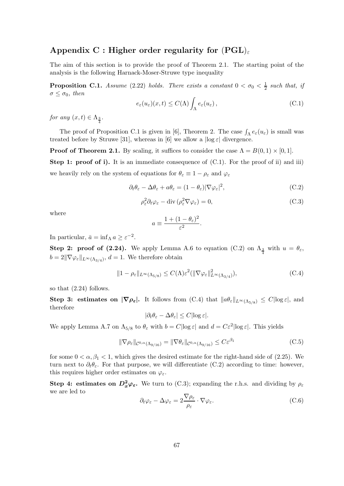# Appendix C : Higher order regularity for  $(PGL)_{\epsilon}$

The aim of this section is to provide the proof of Theorem 2.1. The starting point of the analysis is the following Harnack-Moser-Struwe type inequality

**Proposition C.1.** Assume (2.22) holds. There exists a constant  $0 < \sigma_0 < \frac{1}{2}$  $rac{1}{2}$  such that, if  $\sigma \leq \sigma_0$ , then

$$
e_{\varepsilon}(u_{\varepsilon})(x,t) \le C(\Lambda) \int_{\Lambda} e_{\varepsilon}(u_{\varepsilon}), \qquad (C.1)
$$

for any  $(x,t) \in \Lambda_{\frac{3}{4}}$ .

The proof of Proposition C.1 is given in [6], Theorem 2. The case  $\int_{\Lambda} e_{\varepsilon}(u_{\varepsilon})$  is small was treated before by Struwe [31], whereas in [6] we allow a  $\log \varepsilon$  divergence.

**Proof of Theorem 2.1.** By scaling, it suffices to consider the case  $\Lambda = B(0,1) \times [0,1]$ .

**Step 1: proof of i).** It is an immediate consequence of  $(C.1)$ . For the proof of ii) and iii) we heavily rely on the system of equations for  $\theta_{\varepsilon} \equiv 1 - \rho_{\varepsilon}$  and  $\varphi_{\varepsilon}$ 

$$
\partial_t \theta_{\varepsilon} - \Delta \theta_{\varepsilon} + a \theta_{\varepsilon} = (1 - \theta_{\varepsilon}) |\nabla \varphi_{\varepsilon}|^2, \tag{C.2}
$$

$$
\rho_{\varepsilon}^{2} \partial_{t} \varphi_{\varepsilon} - \text{div} \left( \rho_{\varepsilon}^{2} \nabla \varphi_{\varepsilon} \right) = 0, \tag{C.3}
$$

where

$$
a \equiv \frac{1 + (1 - \theta_{\varepsilon})^2}{\varepsilon^2}
$$

In particular,  $\bar{a} = \inf_{\Lambda} a \geq \varepsilon^{-2}$ .

Step 2: proof of (2.24). We apply Lemma A.6 to equation (C.2) on  $\Lambda_{\frac{3}{4}}$  with  $u = \theta_{\varepsilon}$ ,  $b = 2\|\nabla\varphi_{\varepsilon}\|_{L^{\infty}(\Lambda_{3/4})}, d = 1.$  We therefore obtain

$$
||1 - \rho_{\varepsilon}||_{L^{\infty}(\Lambda_{5/8})} \le C(\Lambda) \varepsilon^{2} (||\nabla \varphi_{\varepsilon}||_{L^{\infty}(\Lambda_{3/4})}^{2}),
$$
\n(C.4)

.

so that (2.24) follows.

Step 3: estimates on  $|\nabla \rho_{\varepsilon}|$ . It follows from  $(C.4)$  that  $||a\theta_{\varepsilon}||_{L^{\infty}(\Lambda_{5/8})} \leq C |\log \varepsilon|$ , and therefore

$$
|\partial_t \theta_{\varepsilon} - \Delta \theta_{\varepsilon}| \le C |\log \varepsilon|.
$$

We apply Lemma A.7 on  $\Lambda_{5/8}$  to  $\theta_{\varepsilon}$  with  $b = C|\log \varepsilon|$  and  $d = C\varepsilon^2 |\log \varepsilon|$ . This yields

$$
\|\nabla \rho_{\varepsilon}\|_{\mathcal{C}^{0,\alpha}(\Lambda_{9/16})} = \|\nabla \theta_{\varepsilon}\|_{\mathcal{C}^{0,\alpha}(\Lambda_{9/16})} \le C\varepsilon^{\beta_1} \tag{C.5}
$$

for some  $0 < \alpha, \beta_1 < 1$ , which gives the desired estimate for the right-hand side of (2.25). We turn next to  $\partial_t \theta_{\varepsilon}$ . For that purpose, we will differentiate (C.2) according to time: however, this requires higher order estimates on  $\varphi_{\varepsilon}$ .

Step 4: estimates on  $D_x^2\varphi_{\varepsilon}$ . We turn to (C.3); expanding the r.h.s. and dividing by  $\rho_{\varepsilon}$ we are led to

$$
\partial_t \varphi_{\varepsilon} - \Delta \varphi_{\varepsilon} = 2 \frac{\nabla \rho_{\varepsilon}}{\rho_{\varepsilon}} \cdot \nabla \varphi_{\varepsilon}.
$$
 (C.6)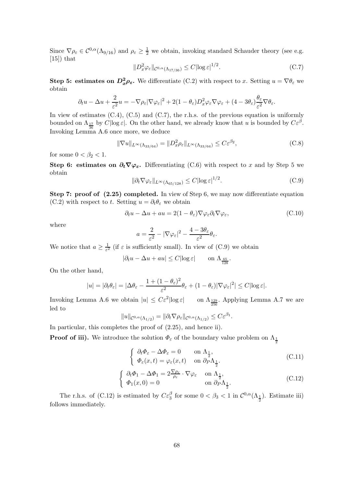Since  $\nabla \rho_{\varepsilon} \in C^{0,\alpha}(\Lambda_{9/16})$  and  $\rho_{\varepsilon} \geq \frac{1}{2}$  we obtain, invoking standard Schauder theory (see e.g.  $[15]$  that

$$
||D_x^2 \varphi_{\varepsilon}||_{\mathcal{C}^{0,\alpha}(\Lambda_{17/36})} \le C |\log \varepsilon|^{1/2}.
$$
 (C.7)

**Step 5: estimates on**  $D_x^2 \rho_{\varepsilon}$ **.** We differentiate (C.2) with respect to x. Setting  $u = \nabla \theta_{\varepsilon}$  we obtain

$$
\partial_t u - \Delta u + \frac{2}{\varepsilon^2} u = -\nabla \rho_\varepsilon |\nabla \varphi_\varepsilon|^2 + 2(1 - \theta_\varepsilon) D_x^2 \varphi_\varepsilon \nabla \varphi_\varepsilon + (4 - 3\theta_\varepsilon) \frac{\theta_\varepsilon}{\varepsilon^2} \nabla \theta_\varepsilon.
$$

In view of estimates  $(C.4)$ ,  $(C.5)$  and  $(C.7)$ , the r.h.s. of the previous equation is uniformly bounded on  $\Lambda_{\frac{17}{36}}$  by  $C|\log \varepsilon|$ . On the other hand, we already know that u is bounded by  $C\varepsilon^{\beta}$ . 36 Invoking Lemma A.6 once more, we deduce

$$
\|\nabla u\|_{L^{\infty}(\Lambda_{33/64})} = \|D_x^2 \rho_{\varepsilon}\|_{L^{\infty}(\Lambda_{33/64})} \le C\varepsilon^{\beta_2},\tag{C.8}
$$

for some  $0 < \beta_2 < 1$ .

Step 6: estimates on  $\partial_t \nabla \varphi_{\varepsilon}$ . Differentiating (C.6) with respect to x and by Step 5 we obtain

$$
\|\partial_t \nabla \varphi_{\varepsilon}\|_{L^{\infty}(\Lambda_{65/128})} \le C |\log \varepsilon|^{1/2}.
$$
 (C.9)

Step 7: proof of  $(2.25)$  completed. In view of Step 6, we may now differentiate equation (C.2) with respect to t. Setting  $u = \partial_t \theta_\varepsilon$  we obtain

$$
\partial_t u - \Delta u + au = 2(1 - \theta_\varepsilon) \nabla \varphi_\varepsilon \partial_t \nabla \varphi_\varepsilon,\tag{C.10}
$$

where

$$
a = \frac{2}{\varepsilon^2} - |\nabla \varphi_{\varepsilon}|^2 - \frac{4 - 3\theta_{\varepsilon}}{\varepsilon^2} \theta_{\varepsilon}.
$$

We notice that  $a \geq \frac{1}{\varepsilon^2}$  (if  $\varepsilon$  is sufficiently small). In view of (C.9) we obtain

$$
|\partial_t u - \Delta u + au| \le C |\log \varepsilon| \qquad \text{on } \Lambda_{\frac{65}{128}}.
$$

On the other hand,

$$
|u| = |\partial_t \theta_{\varepsilon}| = |\Delta \theta_{\varepsilon} - \frac{1 + (1 - \theta_{\varepsilon})^2}{\varepsilon^2} \theta_{\varepsilon} + (1 - \theta_{\varepsilon}) |\nabla \varphi_{\varepsilon}|^2| \le C |\log \varepsilon|.
$$

Invoking Lemma A.6 we obtain  $|u| \leq C \varepsilon^2 |\log \varepsilon|$  $|\log \varepsilon|$  on  $\Lambda_{\frac{129}{256}}$ . Applying Lemma A.7 we are led to

$$
||u||_{\mathcal{C}^{0,\alpha}(\Lambda_{1/2})}=||\partial_t \nabla \rho_{\varepsilon}||_{\mathcal{C}^{0,\alpha}(\Lambda_{1/2})}\leq C\varepsilon^{\beta_1}.
$$

In particular, this completes the proof of  $(2.25)$ , and hence ii).

**Proof of iii).** We introduce the solution  $\Phi_{\varepsilon}$  of the boundary value problem on  $\Lambda_{\frac{1}{2}}$ 

$$
\begin{cases} \n\partial_t \Phi_{\varepsilon} - \Delta \Phi_{\varepsilon} = 0 & \text{on } \Lambda_{\frac{1}{2}},\\ \n\Phi_{\varepsilon}(x, t) = \varphi_{\varepsilon}(x, t) & \text{on } \partial_P \Lambda_{\frac{1}{2}}.\n\end{cases} \tag{C.11}
$$

$$
\begin{cases} \n\partial_t \Phi_1 - \Delta \Phi_1 = 2 \frac{\nabla \rho_{\varepsilon}}{\rho_{\varepsilon}} \cdot \nabla \varphi_{\varepsilon} & \text{on } \Lambda_{\frac{1}{2}},\\ \n\Phi_1(x,0) = 0 & \text{on } \partial_P \Lambda_{\frac{1}{2}}.\n\end{cases}
$$
\n(C.12)

The r.h.s. of (C.12) is estimated by  $C\varepsilon_3^{\beta}$  for some  $0 < \beta_3 < 1$  in  $C^{0,\alpha}(\Lambda_{\frac{1}{2}})$ . Estimate iii) follows immediately.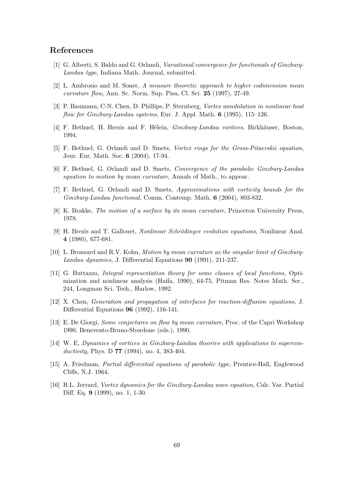# References

- [1] G. Alberti, S. Baldo and G. Orlandi, Variational convergence for functionals of Ginzburg-Landau type, Indiana Math. Journal, submitted.
- [2] L. Ambrosio and M. Soner, A measure theoretic approach to higher codimension mean curvature flow, Ann. Sc. Norm. Sup. Pisa, Cl. Sci.  $25$  (1997), 27-49.
- [3] P. Baumann, C-N. Chen, D. Phillips, P. Sternberg, Vortex annihilation in nonlinear heat flow for Ginzburg-Landau systems, Eur. J. Appl. Math. 6 (1995), 115–126.
- [4] F. Bethuel, H. Brezis and F. Hélein, *Ginzburg-Landau vortices*, Birkhäuser, Boston, 1994.
- [5] F. Bethuel, G. Orlandi and D. Smets, Vortex rings for the Gross-Pitaevskii equation, Jour. Eur. Math. Soc. 6 (2004), 17-94.
- [6] F. Bethuel, G. Orlandi and D. Smets, Convergence of the parabolic Ginzburg-Landau equation to motion by mean curvature, Annals of Math., to appear.
- [7] F. Bethuel, G. Orlandi and D. Smets, Approximations with vorticity bounds for the Ginzburg-Landau functional, Comm. Contemp. Math. 6 (2004), 803-832.
- [8] K. Brakke, The motion of a surface by its mean curvature, Princeton University Press, 1978.
- [9] H. Brezis and T. Gallouet, *Nonlinear Schrödinger evolution equations*, Nonlinear Anal. 4 (1980), 677-681.
- [10] L. Bronsard and R.V. Kohn, Motion by mean curvature as the singular limit of Ginzburg-Landau dynamics, J. Differential Equations 90 (1991), 211-237.
- [11] G. Buttazzo, Integral representation theory for some classes of local functions, Optimization and nonlinear analysis (Haifa, 1990), 64-75, Pitman Res. Notes Math. Ser., 244, Longman Sci. Tech., Harlow, 1992.
- [12] X. Chen, Generation and propagation of interfaces for reaction-diffusion equations, J. Differential Equations 96 (1992), 116-141.
- [13] E. De Giorgi, Some conjectures on flow by mean curvature, Proc. of the Capri Workshop 1990, Benevento-Bruno-Sbordone (eds.), 1990.
- [14] W. E, Dynamics of vortices in Ginzburg-Landau theories with applications to superconductivity, Phys. D  $77$  (1994), no. 4, 383-404.
- [15] A. Friedman, Partial differential equations of parabolic type, Prentice-Hall, Englewood Cliffs, N.J. 1964.
- [16] R.L. Jerrard, Vortex dynamics for the Ginzburg-Landau wave equation, Calc. Var. Partial Diff. Eq. 9 (1999), no. 1, 1-30.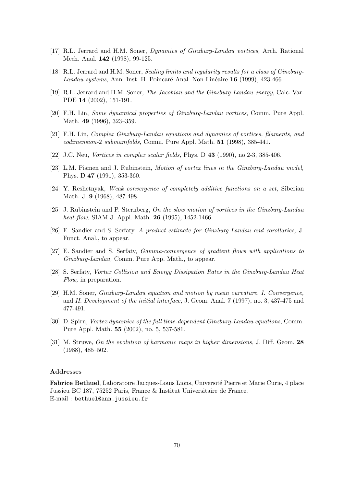- [17] R.L. Jerrard and H.M. Soner, Dynamics of Ginzburg-Landau vortices, Arch. Rational Mech. Anal. 142 (1998), 99-125.
- [18] R.L. Jerrard and H.M. Soner, Scaling limits and regularity results for a class of Ginzburg-Landau systems, Ann. Inst. H. Poincaré Anal. Non Linéaire  $16$  (1999), 423-466.
- [19] R.L. Jerrard and H.M. Soner, The Jacobian and the Ginzburg-Landau energy, Calc. Var. PDE 14 (2002), 151-191.
- [20] F.H. Lin, Some dynamical properties of Ginzburg-Landau vortices, Comm. Pure Appl. Math. 49 (1996), 323–359.
- [21] F.H. Lin, Complex Ginzburg-Landau equations and dynamics of vortices, filaments, and codimension-2 submanifolds, Comm. Pure Appl. Math. 51 (1998), 385-441.
- [22] J.C. Neu, *Vortices in complex scalar fields*, Phys. D **43** (1990), no.2-3, 385-406.
- [23] L.M. Pismen and J. Rubinstein, Motion of vortex lines in the Ginzburg-Landau model, Phys. D 47 (1991), 353-360.
- [24] Y. Reshetnyak, Weak convergence of completely additive functions on a set, Siberian Math. J. 9 (1968), 487-498.
- [25] J. Rubinstein and P. Sternberg, On the slow motion of vortices in the Ginzburg-Landau heat-flow, SIAM J. Appl. Math. **26** (1995), 1452-1466.
- [26] E. Sandier and S. Serfaty, A product-estimate for Ginzburg-Landau and corollaries, J. Funct. Anal., to appear.
- [27] E. Sandier and S. Serfaty, Gamma-convergence of gradient flows with applications to Ginzburg-Landau, Comm. Pure App. Math., to appear.
- [28] S. Serfaty, Vortex Collision and Energy Dissipation Rates in the Ginzburg-Landau Heat Flow, in preparation.
- [29] H.M. Soner, Ginzburg-Landau equation and motion by mean curvature. I. Convergence, and II. Development of the initial interface, J. Geom. Anal. 7 (1997), no. 3, 437-475 and 477-491.
- [30] D. Spirn, Vortex dynamics of the full time-dependent Ginzburg-Landau equations, Comm. Pure Appl. Math. 55 (2002), no. 5, 537-581.
- [31] M. Struwe, On the evolution of harmonic maps in higher dimensions, J. Diff. Geom. 28 (1988), 485–502.

#### Addresses

Fabrice Bethuel, Laboratoire Jacques-Louis Lions, Université Pierre et Marie Curie, 4 place Jussieu BC 187, 75252 Paris, France & Institut Universitaire de France. E-mail : bethuel@ann.jussieu.fr